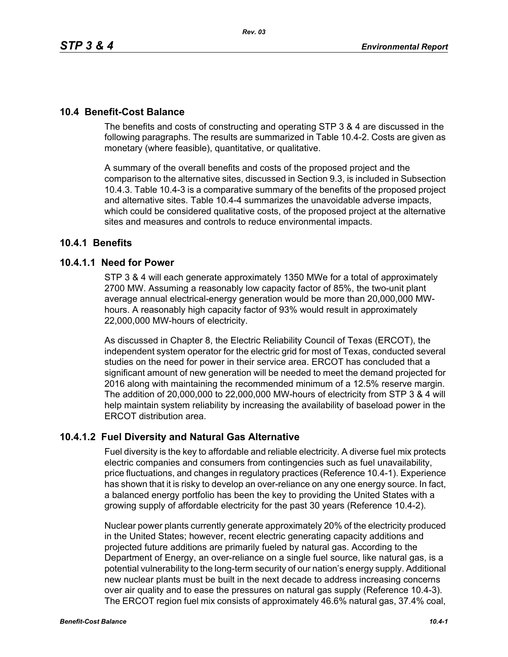# **10.4 Benefit-Cost Balance**

The benefits and costs of constructing and operating STP 3 & 4 are discussed in the following paragraphs. The results are summarized in Table 10.4-2. Costs are given as monetary (where feasible), quantitative, or qualitative.

A summary of the overall benefits and costs of the proposed project and the comparison to the alternative sites, discussed in Section 9.3, is included in Subsection 10.4.3. Table 10.4-3 is a comparative summary of the benefits of the proposed project and alternative sites. Table 10.4-4 summarizes the unavoidable adverse impacts, which could be considered qualitative costs, of the proposed project at the alternative sites and measures and controls to reduce environmental impacts.

# **10.4.1 Benefits**

# **10.4.1.1 Need for Power**

STP 3 & 4 will each generate approximately 1350 MWe for a total of approximately 2700 MW. Assuming a reasonably low capacity factor of 85%, the two-unit plant average annual electrical-energy generation would be more than 20,000,000 MWhours. A reasonably high capacity factor of 93% would result in approximately 22,000,000 MW-hours of electricity.

As discussed in Chapter 8, the Electric Reliability Council of Texas (ERCOT), the independent system operator for the electric grid for most of Texas, conducted several studies on the need for power in their service area. ERCOT has concluded that a significant amount of new generation will be needed to meet the demand projected for 2016 along with maintaining the recommended minimum of a 12.5% reserve margin. The addition of 20,000,000 to 22,000,000 MW-hours of electricity from STP 3 & 4 will help maintain system reliability by increasing the availability of baseload power in the ERCOT distribution area.

# **10.4.1.2 Fuel Diversity and Natural Gas Alternative**

Fuel diversity is the key to affordable and reliable electricity. A diverse fuel mix protects electric companies and consumers from contingencies such as fuel unavailability, price fluctuations, and changes in regulatory practices (Reference 10.4-1). Experience has shown that it is risky to develop an over-reliance on any one energy source. In fact, a balanced energy portfolio has been the key to providing the United States with a growing supply of affordable electricity for the past 30 years (Reference 10.4-2).

Nuclear power plants currently generate approximately 20% of the electricity produced in the United States; however, recent electric generating capacity additions and projected future additions are primarily fueled by natural gas. According to the Department of Energy, an over-reliance on a single fuel source, like natural gas, is a potential vulnerability to the long-term security of our nation's energy supply. Additional new nuclear plants must be built in the next decade to address increasing concerns over air quality and to ease the pressures on natural gas supply (Reference 10.4-3). The ERCOT region fuel mix consists of approximately 46.6% natural gas, 37.4% coal,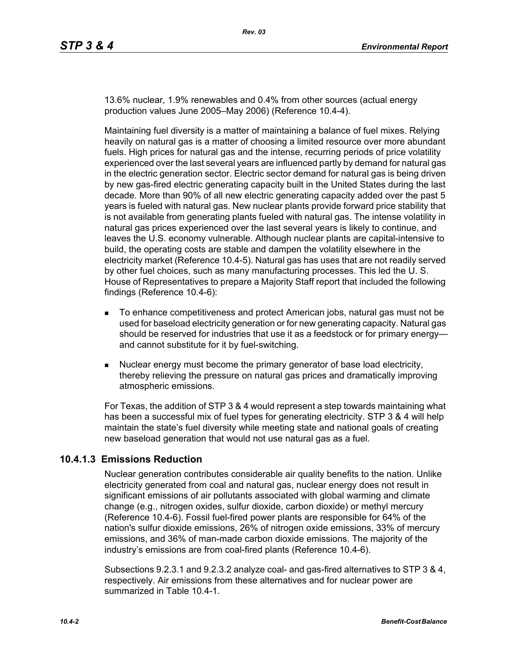13.6% nuclear, 1.9% renewables and 0.4% from other sources (actual energy production values June 2005–May 2006) (Reference 10.4-4).

Maintaining fuel diversity is a matter of maintaining a balance of fuel mixes. Relying heavily on natural gas is a matter of choosing a limited resource over more abundant fuels. High prices for natural gas and the intense, recurring periods of price volatility experienced over the last several years are influenced partly by demand for natural gas in the electric generation sector. Electric sector demand for natural gas is being driven by new gas-fired electric generating capacity built in the United States during the last decade. More than 90% of all new electric generating capacity added over the past 5 years is fueled with natural gas. New nuclear plants provide forward price stability that is not available from generating plants fueled with natural gas. The intense volatility in natural gas prices experienced over the last several years is likely to continue, and leaves the U.S. economy vulnerable. Although nuclear plants are capital-intensive to build, the operating costs are stable and dampen the volatility elsewhere in the electricity market (Reference 10.4-5). Natural gas has uses that are not readily served by other fuel choices, such as many manufacturing processes. This led the U. S. House of Representatives to prepare a Majority Staff report that included the following findings (Reference 10.4-6):

- To enhance competitiveness and protect American jobs, natural gas must not be used for baseload electricity generation or for new generating capacity. Natural gas should be reserved for industries that use it as a feedstock or for primary energy and cannot substitute for it by fuel-switching.
- Nuclear energy must become the primary generator of base load electricity, thereby relieving the pressure on natural gas prices and dramatically improving atmospheric emissions.

For Texas, the addition of STP 3 & 4 would represent a step towards maintaining what has been a successful mix of fuel types for generating electricity. STP 3 & 4 will help maintain the state's fuel diversity while meeting state and national goals of creating new baseload generation that would not use natural gas as a fuel.

# **10.4.1.3 Emissions Reduction**

Nuclear generation contributes considerable air quality benefits to the nation. Unlike electricity generated from coal and natural gas, nuclear energy does not result in significant emissions of air pollutants associated with global warming and climate change (e.g., nitrogen oxides, sulfur dioxide, carbon dioxide) or methyl mercury (Reference 10.4-6). Fossil fuel-fired power plants are responsible for 64% of the nation's sulfur dioxide emissions, 26% of nitrogen oxide emissions, 33% of mercury emissions, and 36% of man-made carbon dioxide emissions. The majority of the industry's emissions are from coal-fired plants (Reference 10.4-6).

Subsections 9.2.3.1 and 9.2.3.2 analyze coal- and gas-fired alternatives to STP 3 & 4, respectively. Air emissions from these alternatives and for nuclear power are summarized in Table 10.4-1.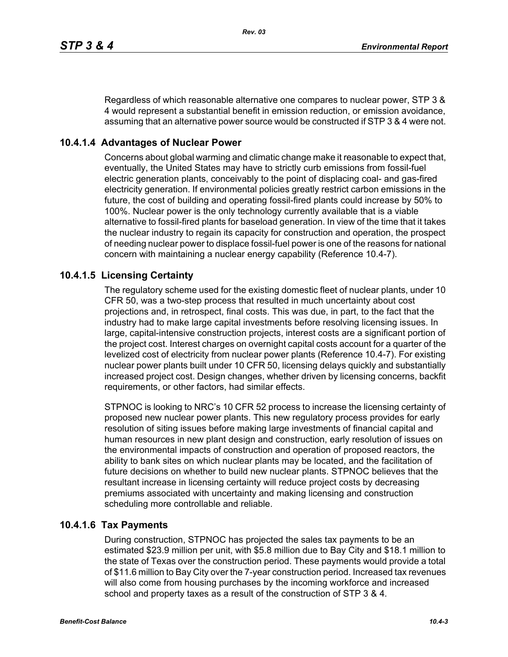Regardless of which reasonable alternative one compares to nuclear power, STP 3 & 4 would represent a substantial benefit in emission reduction, or emission avoidance, assuming that an alternative power source would be constructed if STP 3 & 4 were not.

# **10.4.1.4 Advantages of Nuclear Power**

Concerns about global warming and climatic change make it reasonable to expect that, eventually, the United States may have to strictly curb emissions from fossil-fuel electric generation plants, conceivably to the point of displacing coal- and gas-fired electricity generation. If environmental policies greatly restrict carbon emissions in the future, the cost of building and operating fossil-fired plants could increase by 50% to 100%. Nuclear power is the only technology currently available that is a viable alternative to fossil-fired plants for baseload generation. In view of the time that it takes the nuclear industry to regain its capacity for construction and operation, the prospect of needing nuclear power to displace fossil-fuel power is one of the reasons for national concern with maintaining a nuclear energy capability (Reference 10.4-7).

# **10.4.1.5 Licensing Certainty**

The regulatory scheme used for the existing domestic fleet of nuclear plants, under 10 CFR 50, was a two-step process that resulted in much uncertainty about cost projections and, in retrospect, final costs. This was due, in part, to the fact that the industry had to make large capital investments before resolving licensing issues. In large, capital-intensive construction projects, interest costs are a significant portion of the project cost. Interest charges on overnight capital costs account for a quarter of the levelized cost of electricity from nuclear power plants (Reference 10.4-7). For existing nuclear power plants built under 10 CFR 50, licensing delays quickly and substantially increased project cost. Design changes, whether driven by licensing concerns, backfit requirements, or other factors, had similar effects.

STPNOC is looking to NRC's 10 CFR 52 process to increase the licensing certainty of proposed new nuclear power plants. This new regulatory process provides for early resolution of siting issues before making large investments of financial capital and human resources in new plant design and construction, early resolution of issues on the environmental impacts of construction and operation of proposed reactors, the ability to bank sites on which nuclear plants may be located, and the facilitation of future decisions on whether to build new nuclear plants. STPNOC believes that the resultant increase in licensing certainty will reduce project costs by decreasing premiums associated with uncertainty and making licensing and construction scheduling more controllable and reliable.

# **10.4.1.6 Tax Payments**

During construction, STPNOC has projected the sales tax payments to be an estimated \$23.9 million per unit, with \$5.8 million due to Bay City and \$18.1 million to the state of Texas over the construction period. These payments would provide a total of \$11.6 million to Bay City over the 7-year construction period. Increased tax revenues will also come from housing purchases by the incoming workforce and increased school and property taxes as a result of the construction of STP 3 & 4.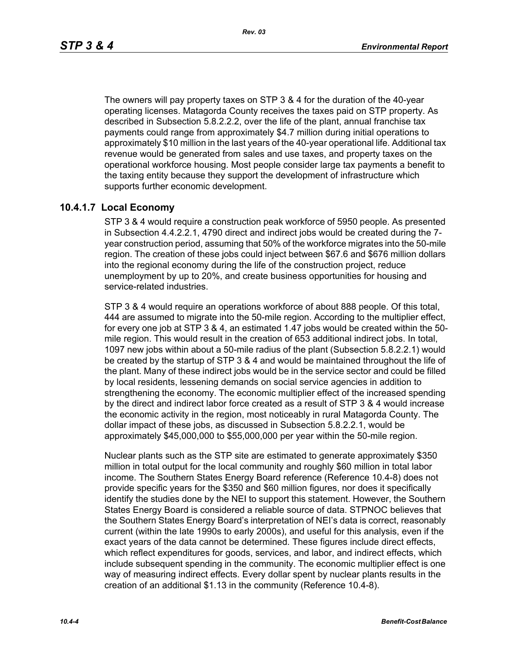The owners will pay property taxes on STP 3 & 4 for the duration of the 40-year operating licenses. Matagorda County receives the taxes paid on STP property. As described in Subsection 5.8.2.2.2, over the life of the plant, annual franchise tax payments could range from approximately \$4.7 million during initial operations to approximately \$10 million in the last years of the 40-year operational life. Additional tax revenue would be generated from sales and use taxes, and property taxes on the operational workforce housing. Most people consider large tax payments a benefit to the taxing entity because they support the development of infrastructure which supports further economic development.

# **10.4.1.7 Local Economy**

STP 3 & 4 would require a construction peak workforce of 5950 people. As presented in Subsection 4.4.2.2.1, 4790 direct and indirect jobs would be created during the 7 year construction period, assuming that 50% of the workforce migrates into the 50-mile region. The creation of these jobs could inject between \$67.6 and \$676 million dollars into the regional economy during the life of the construction project, reduce unemployment by up to 20%, and create business opportunities for housing and service-related industries.

STP 3 & 4 would require an operations workforce of about 888 people. Of this total, 444 are assumed to migrate into the 50-mile region. According to the multiplier effect, for every one job at STP 3 & 4, an estimated 1.47 jobs would be created within the 50 mile region. This would result in the creation of 653 additional indirect jobs. In total, 1097 new jobs within about a 50-mile radius of the plant (Subsection 5.8.2.2.1) would be created by the startup of STP 3 & 4 and would be maintained throughout the life of the plant. Many of these indirect jobs would be in the service sector and could be filled by local residents, lessening demands on social service agencies in addition to strengthening the economy. The economic multiplier effect of the increased spending by the direct and indirect labor force created as a result of STP 3 & 4 would increase the economic activity in the region, most noticeably in rural Matagorda County. The dollar impact of these jobs, as discussed in Subsection 5.8.2.2.1, would be approximately \$45,000,000 to \$55,000,000 per year within the 50-mile region.

Nuclear plants such as the STP site are estimated to generate approximately \$350 million in total output for the local community and roughly \$60 million in total labor income. The Southern States Energy Board reference (Reference 10.4-8) does not provide specific years for the \$350 and \$60 million figures, nor does it specifically identify the studies done by the NEI to support this statement. However, the Southern States Energy Board is considered a reliable source of data. STPNOC believes that the Southern States Energy Board's interpretation of NEI's data is correct, reasonably current (within the late 1990s to early 2000s), and useful for this analysis, even if the exact years of the data cannot be determined. These figures include direct effects, which reflect expenditures for goods, services, and labor, and indirect effects, which include subsequent spending in the community. The economic multiplier effect is one way of measuring indirect effects. Every dollar spent by nuclear plants results in the creation of an additional \$1.13 in the community (Reference 10.4-8).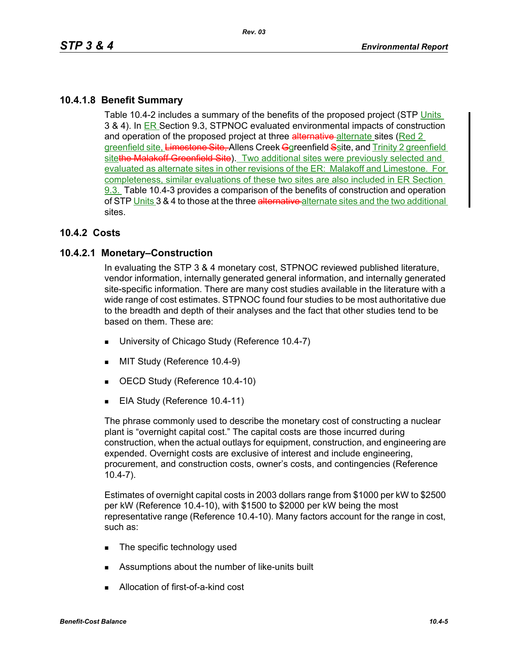# **10.4.1.8 Benefit Summary**

Table 10.4-2 includes a summary of the benefits of the proposed project (STP Units 3 & 4). In ER Section 9.3, STPNOC evaluated environmental impacts of construction and operation of the proposed project at three alternative-alternate sites (Red 2 greenfield site, Limestone Site, Allens Creek Ggreenfield Ssite, and Trinity 2 greenfield sitethe Malakoff Greenfield Site). Two additional sites were previously selected and evaluated as alternate sites in other revisions of the ER: Malakoff and Limestone. For completeness, similar evaluations of these two sites are also included in ER Section 9.3. Table 10.4-3 provides a comparison of the benefits of construction and operation of STP Units 3 & 4 to those at the three alternative alternate sites and the two additional sites.

# **10.4.2 Costs**

# **10.4.2.1 Monetary–Construction**

In evaluating the STP 3 & 4 monetary cost, STPNOC reviewed published literature, vendor information, internally generated general information, and internally generated site-specific information. There are many cost studies available in the literature with a wide range of cost estimates. STPNOC found four studies to be most authoritative due to the breadth and depth of their analyses and the fact that other studies tend to be based on them. These are:

- University of Chicago Study (Reference 10.4-7)
- **MIT Study (Reference 10.4-9)**
- OECD Study (Reference 10.4-10)
- EIA Study (Reference 10.4-11)

The phrase commonly used to describe the monetary cost of constructing a nuclear plant is "overnight capital cost." The capital costs are those incurred during construction, when the actual outlays for equipment, construction, and engineering are expended. Overnight costs are exclusive of interest and include engineering. procurement, and construction costs, owner's costs, and contingencies (Reference 10.4-7).

Estimates of overnight capital costs in 2003 dollars range from \$1000 per kW to \$2500 per kW (Reference 10.4-10), with \$1500 to \$2000 per kW being the most representative range (Reference 10.4-10). Many factors account for the range in cost, such as:

- **The specific technology used**
- **Assumptions about the number of like-units built**
- Allocation of first-of-a-kind cost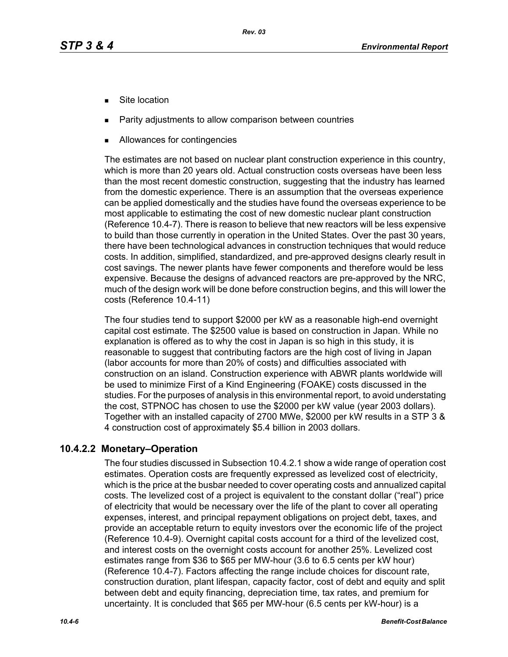- Site location
- Parity adjustments to allow comparison between countries
- Allowances for contingencies

The estimates are not based on nuclear plant construction experience in this country, which is more than 20 years old. Actual construction costs overseas have been less than the most recent domestic construction, suggesting that the industry has learned from the domestic experience. There is an assumption that the overseas experience can be applied domestically and the studies have found the overseas experience to be most applicable to estimating the cost of new domestic nuclear plant construction (Reference 10.4-7). There is reason to believe that new reactors will be less expensive to build than those currently in operation in the United States. Over the past 30 years, there have been technological advances in construction techniques that would reduce costs. In addition, simplified, standardized, and pre-approved designs clearly result in cost savings. The newer plants have fewer components and therefore would be less expensive. Because the designs of advanced reactors are pre-approved by the NRC, much of the design work will be done before construction begins, and this will lower the costs (Reference 10.4-11)

The four studies tend to support \$2000 per kW as a reasonable high-end overnight capital cost estimate. The \$2500 value is based on construction in Japan. While no explanation is offered as to why the cost in Japan is so high in this study, it is reasonable to suggest that contributing factors are the high cost of living in Japan (labor accounts for more than 20% of costs) and difficulties associated with construction on an island. Construction experience with ABWR plants worldwide will be used to minimize First of a Kind Engineering (FOAKE) costs discussed in the studies. For the purposes of analysis in this environmental report, to avoid understating the cost, STPNOC has chosen to use the \$2000 per kW value (year 2003 dollars). Together with an installed capacity of 2700 MWe, \$2000 per kW results in a STP 3 & 4 construction cost of approximately \$5.4 billion in 2003 dollars.

# **10.4.2.2 Monetary–Operation**

The four studies discussed in Subsection 10.4.2.1 show a wide range of operation cost estimates. Operation costs are frequently expressed as levelized cost of electricity, which is the price at the busbar needed to cover operating costs and annualized capital costs. The levelized cost of a project is equivalent to the constant dollar ("real") price of electricity that would be necessary over the life of the plant to cover all operating expenses, interest, and principal repayment obligations on project debt, taxes, and provide an acceptable return to equity investors over the economic life of the project (Reference 10.4-9). Overnight capital costs account for a third of the levelized cost, and interest costs on the overnight costs account for another 25%. Levelized cost estimates range from \$36 to \$65 per MW-hour (3.6 to 6.5 cents per kW hour) (Reference 10.4-7). Factors affecting the range include choices for discount rate, construction duration, plant lifespan, capacity factor, cost of debt and equity and split between debt and equity financing, depreciation time, tax rates, and premium for uncertainty. It is concluded that \$65 per MW-hour (6.5 cents per kW-hour) is a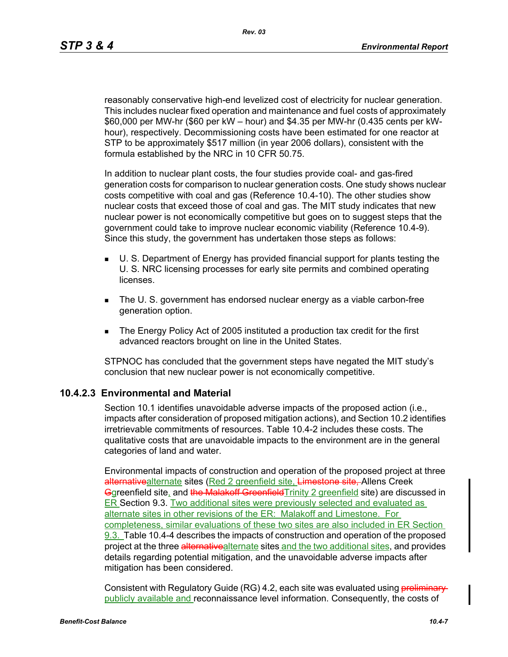reasonably conservative high-end levelized cost of electricity for nuclear generation. This includes nuclear fixed operation and maintenance and fuel costs of approximately \$60,000 per MW-hr (\$60 per kW – hour) and \$4.35 per MW-hr (0.435 cents per kWhour), respectively. Decommissioning costs have been estimated for one reactor at STP to be approximately \$517 million (in year 2006 dollars), consistent with the formula established by the NRC in 10 CFR 50.75.

In addition to nuclear plant costs, the four studies provide coal- and gas-fired generation costs for comparison to nuclear generation costs. One study shows nuclear costs competitive with coal and gas (Reference 10.4-10). The other studies show nuclear costs that exceed those of coal and gas. The MIT study indicates that new nuclear power is not economically competitive but goes on to suggest steps that the government could take to improve nuclear economic viability (Reference 10.4-9). Since this study, the government has undertaken those steps as follows:

- U. S. Department of Energy has provided financial support for plants testing the U. S. NRC licensing processes for early site permits and combined operating licenses.
- **The U. S. government has endorsed nuclear energy as a viable carbon-free** generation option.
- The Energy Policy Act of 2005 instituted a production tax credit for the first advanced reactors brought on line in the United States.

STPNOC has concluded that the government steps have negated the MIT study's conclusion that new nuclear power is not economically competitive.

# **10.4.2.3 Environmental and Material**

Section 10.1 identifies unavoidable adverse impacts of the proposed action (i.e., impacts after consideration of proposed mitigation actions), and Section 10.2 identifies irretrievable commitments of resources. Table 10.4-2 includes these costs. The qualitative costs that are unavoidable impacts to the environment are in the general categories of land and water.

Environmental impacts of construction and operation of the proposed project at three alternativealternate sites (Red 2 greenfield site, Limestone site, Allens Creek Ggreenfield site, and the Malakoff Greenfield Trinity 2 greenfield site) are discussed in ER Section 9.3. Two additional sites were previously selected and evaluated as alternate sites in other revisions of the ER: Malakoff and Limestone. For completeness, similar evaluations of these two sites are also included in ER Section 9.3. Table 10.4-4 describes the impacts of construction and operation of the proposed project at the three alternativealternate sites and the two additional sites, and provides details regarding potential mitigation, and the unavoidable adverse impacts after mitigation has been considered.

Consistent with Regulatory Guide (RG) 4.2, each site was evaluated using **preliminary** publicly available and reconnaissance level information. Consequently, the costs of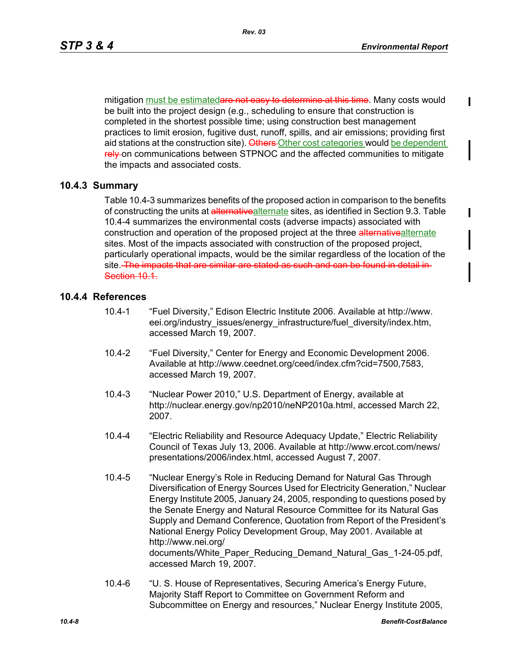mitigation must be estimatedare not easy to determine at this time. Many costs would be built into the project design (e.g., scheduling to ensure that construction is completed in the shortest possible time; using construction best management practices to limit erosion, fugitive dust, runoff, spills, and air emissions; providing first aid stations at the construction site). Others Other cost categories would be dependent rely on communications between STPNOC and the affected communities to mitigate the impacts and associated costs.

# **10.4.3 Summary**

Table 10.4-3 summarizes benefits of the proposed action in comparison to the benefits of constructing the units at alternativealternate sites, as identified in Section 9.3. Table 10.4-4 summarizes the environmental costs (adverse impacts) associated with construction and operation of the proposed project at the three alternativealternate sites. Most of the impacts associated with construction of the proposed project, particularly operational impacts, would be the similar regardless of the location of the site. The impacts that are similar are stated as such and can be found in detail in-Section 10-1

# **10.4.4 References**

- 10.4-1 "Fuel Diversity," Edison Electric Institute 2006. Available at http://www. eei.org/industry\_issues/energy\_infrastructure/fuel\_diversity/index.htm, accessed March 19, 2007.
- 10.4-2 "Fuel Diversity," Center for Energy and Economic Development 2006. Available at http://www.ceednet.org/ceed/index.cfm?cid=7500,7583, accessed March 19, 2007.
- 10.4-3 "Nuclear Power 2010," U.S. Department of Energy, available at http://nuclear.energy.gov/np2010/neNP2010a.html, accessed March 22, 2007.
- 10.4-4 "Electric Reliability and Resource Adequacy Update," Electric Reliability Council of Texas July 13, 2006. Available at http://www.ercot.com/news/ presentations/2006/index.html, accessed August 7, 2007.
- 10.4-5 "Nuclear Energy's Role in Reducing Demand for Natural Gas Through Diversification of Energy Sources Used for Electricity Generation," Nuclear Energy Institute 2005, January 24, 2005, responding to questions posed by the Senate Energy and Natural Resource Committee for its Natural Gas Supply and Demand Conference, Quotation from Report of the President's National Energy Policy Development Group, May 2001. Available at http://www.nei.org/ documents/White\_Paper\_Reducing\_Demand\_Natural\_Gas\_1-24-05.pdf, accessed March 19, 2007.
- 10.4-6 "U. S. House of Representatives, Securing America's Energy Future, Majority Staff Report to Committee on Government Reform and Subcommittee on Energy and resources," Nuclear Energy Institute 2005,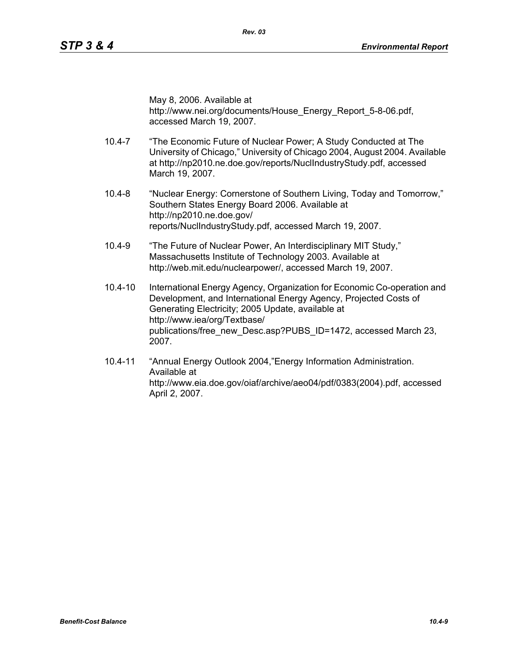May 8, 2006. Available at http://www.nei.org/documents/House\_Energy\_Report\_5-8-06.pdf, accessed March 19, 2007.

- 10.4-7 "The Economic Future of Nuclear Power; A Study Conducted at The University of Chicago," University of Chicago 2004, August 2004. Available at http://np2010.ne.doe.gov/reports/NuclIndustryStudy.pdf, accessed March 19, 2007.
- 10.4-8 "Nuclear Energy: Cornerstone of Southern Living, Today and Tomorrow," Southern States Energy Board 2006. Available at http://np2010.ne.doe.gov/ reports/NuclIndustryStudy.pdf, accessed March 19, 2007.
- 10.4-9 "The Future of Nuclear Power, An Interdisciplinary MIT Study," Massachusetts Institute of Technology 2003. Available at http://web.mit.edu/nuclearpower/, accessed March 19, 2007.
- 10.4-10 International Energy Agency, Organization for Economic Co-operation and Development, and International Energy Agency, Projected Costs of Generating Electricity; 2005 Update, available at http://www.iea/org/Textbase/ publications/free\_new\_Desc.asp?PUBS\_ID=1472, accessed March 23, 2007.
- 10.4-11 "Annual Energy Outlook 2004,"Energy Information Administration. Available at http://www.eia.doe.gov/oiaf/archive/aeo04/pdf/0383(2004).pdf, accessed April 2, 2007.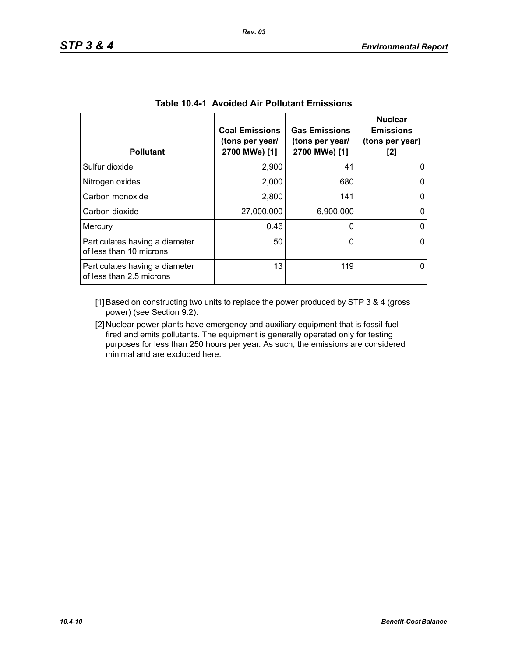| <b>Pollutant</b>                                           | <b>Coal Emissions</b><br>(tons per year/<br>2700 MWe) [1] | <b>Gas Emissions</b><br>(tons per year/<br>2700 MWe) [1] | <b>Nuclear</b><br><b>Emissions</b><br>(tons per year)<br>[2] |
|------------------------------------------------------------|-----------------------------------------------------------|----------------------------------------------------------|--------------------------------------------------------------|
| Sulfur dioxide                                             | 2,900                                                     | 41                                                       |                                                              |
| Nitrogen oxides                                            | 2,000                                                     | 680                                                      |                                                              |
| Carbon monoxide                                            | 2,800                                                     | 141                                                      | 0                                                            |
| Carbon dioxide                                             | 27,000,000                                                | 6,900,000                                                |                                                              |
| Mercury                                                    | 0.46                                                      | 0                                                        | 0                                                            |
| Particulates having a diameter<br>of less than 10 microns  | 50                                                        | 0                                                        | O                                                            |
| Particulates having a diameter<br>of less than 2.5 microns | 13                                                        | 119                                                      |                                                              |

| <b>Table 10.4-1 Avoided Air Pollutant Emissions</b> |
|-----------------------------------------------------|
|-----------------------------------------------------|

[1] Based on constructing two units to replace the power produced by STP 3 & 4 (gross power) (see Section 9.2).

[2] Nuclear power plants have emergency and auxiliary equipment that is fossil-fuelfired and emits pollutants. The equipment is generally operated only for testing purposes for less than 250 hours per year. As such, the emissions are considered minimal and are excluded here.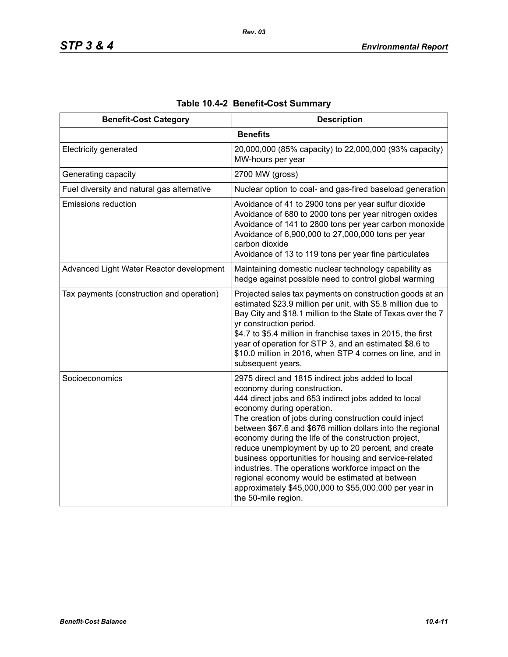| <b>Benefit-Cost Category</b>               | <b>Description</b>                                                                                                                                                                                                                                                                                                                                                                                                                                                                                                                                                                                                                                              |
|--------------------------------------------|-----------------------------------------------------------------------------------------------------------------------------------------------------------------------------------------------------------------------------------------------------------------------------------------------------------------------------------------------------------------------------------------------------------------------------------------------------------------------------------------------------------------------------------------------------------------------------------------------------------------------------------------------------------------|
|                                            | <b>Benefits</b>                                                                                                                                                                                                                                                                                                                                                                                                                                                                                                                                                                                                                                                 |
| <b>Electricity generated</b>               | 20,000,000 (85% capacity) to 22,000,000 (93% capacity)<br>MW-hours per year                                                                                                                                                                                                                                                                                                                                                                                                                                                                                                                                                                                     |
| Generating capacity                        | 2700 MW (gross)                                                                                                                                                                                                                                                                                                                                                                                                                                                                                                                                                                                                                                                 |
| Fuel diversity and natural gas alternative | Nuclear option to coal- and gas-fired baseload generation                                                                                                                                                                                                                                                                                                                                                                                                                                                                                                                                                                                                       |
| <b>Emissions reduction</b>                 | Avoidance of 41 to 2900 tons per year sulfur dioxide<br>Avoidance of 680 to 2000 tons per year nitrogen oxides<br>Avoidance of 141 to 2800 tons per year carbon monoxide<br>Avoidance of 6,900,000 to 27,000,000 tons per year<br>carbon dioxide<br>Avoidance of 13 to 119 tons per year fine particulates                                                                                                                                                                                                                                                                                                                                                      |
| Advanced Light Water Reactor development   | Maintaining domestic nuclear technology capability as<br>hedge against possible need to control global warming                                                                                                                                                                                                                                                                                                                                                                                                                                                                                                                                                  |
| Tax payments (construction and operation)  | Projected sales tax payments on construction goods at an<br>estimated \$23.9 million per unit, with \$5.8 million due to<br>Bay City and \$18.1 million to the State of Texas over the 7<br>yr construction period.<br>\$4.7 to \$5.4 million in franchise taxes in 2015, the first<br>year of operation for STP 3, and an estimated \$8.6 to<br>\$10.0 million in 2016, when STP 4 comes on line, and in<br>subsequent years.                                                                                                                                                                                                                                  |
| Socioeconomics                             | 2975 direct and 1815 indirect jobs added to local<br>economy during construction.<br>444 direct jobs and 653 indirect jobs added to local<br>economy during operation.<br>The creation of jobs during construction could inject<br>between \$67.6 and \$676 million dollars into the regional<br>economy during the life of the construction project,<br>reduce unemployment by up to 20 percent, and create<br>business opportunities for housing and service-related<br>industries. The operations workforce impact on the<br>regional economy would be estimated at between<br>approximately \$45,000,000 to \$55,000,000 per year in<br>the 50-mile region. |

# **Table 10.4-2 Benefit-Cost Summary**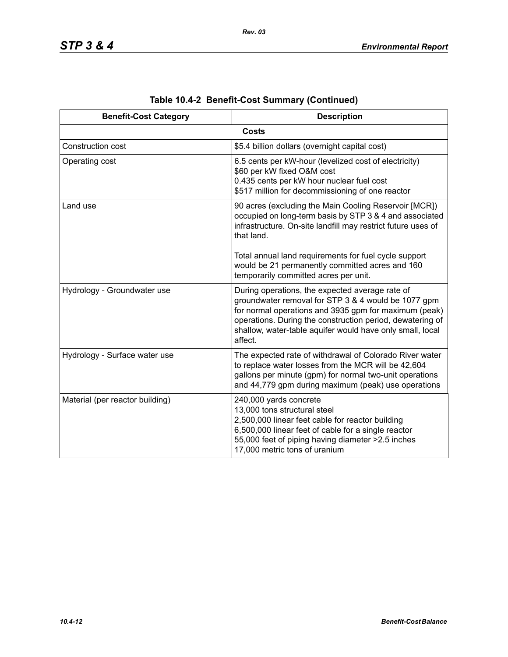| <b>Benefit-Cost Category</b>    | <b>Description</b>                                                                                                                                                                                                                                                                                   |
|---------------------------------|------------------------------------------------------------------------------------------------------------------------------------------------------------------------------------------------------------------------------------------------------------------------------------------------------|
|                                 | <b>Costs</b>                                                                                                                                                                                                                                                                                         |
| Construction cost               | \$5.4 billion dollars (overnight capital cost)                                                                                                                                                                                                                                                       |
| Operating cost                  | 6.5 cents per kW-hour (levelized cost of electricity)<br>\$60 per kW fixed O&M cost<br>0.435 cents per kW hour nuclear fuel cost<br>\$517 million for decommissioning of one reactor                                                                                                                 |
| Land use                        | 90 acres (excluding the Main Cooling Reservoir [MCR])<br>occupied on long-term basis by STP 3 & 4 and associated<br>infrastructure. On-site landfill may restrict future uses of<br>that land.                                                                                                       |
|                                 | Total annual land requirements for fuel cycle support<br>would be 21 permanently committed acres and 160<br>temporarily committed acres per unit.                                                                                                                                                    |
| Hydrology - Groundwater use     | During operations, the expected average rate of<br>groundwater removal for STP 3 & 4 would be 1077 gpm<br>for normal operations and 3935 gpm for maximum (peak)<br>operations. During the construction period, dewatering of<br>shallow, water-table aquifer would have only small, local<br>affect. |
| Hydrology - Surface water use   | The expected rate of withdrawal of Colorado River water<br>to replace water losses from the MCR will be 42,604<br>gallons per minute (gpm) for normal two-unit operations<br>and 44,779 gpm during maximum (peak) use operations                                                                     |
| Material (per reactor building) | 240,000 yards concrete<br>13,000 tons structural steel<br>2,500,000 linear feet cable for reactor building<br>6,500,000 linear feet of cable for a single reactor<br>55,000 feet of piping having diameter > 2.5 inches<br>17,000 metric tons of uranium                                             |

**Table 10.4-2 Benefit-Cost Summary (Continued)**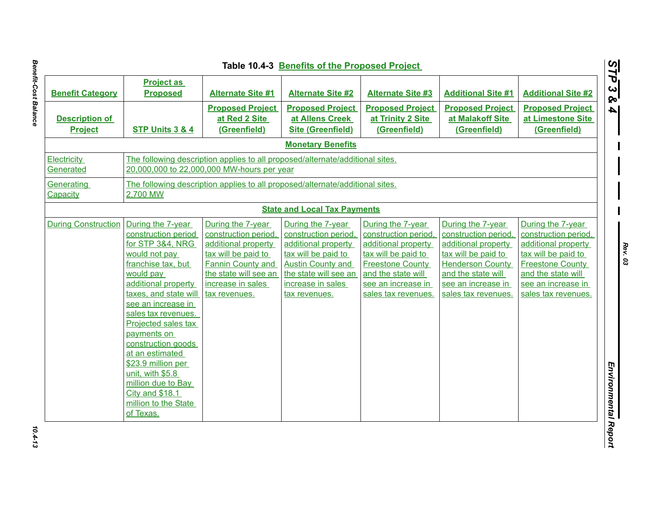| <b>Benefit Category</b>                 | <b>Project as</b><br><b>Proposed</b>                                                                                                                                                                                                                                                                                                                                                                                 | <b>Alternate Site #1</b>                                                                                                                                                           | <b>Alternate Site #2</b>                                                                                                                                                           | <b>Alternate Site #3</b>                                                                                                                                                              | <b>Additional Site #1</b>                                                                                                                                                             | <b>Additional Site #2</b>                                                                                                                                                             |
|-----------------------------------------|----------------------------------------------------------------------------------------------------------------------------------------------------------------------------------------------------------------------------------------------------------------------------------------------------------------------------------------------------------------------------------------------------------------------|------------------------------------------------------------------------------------------------------------------------------------------------------------------------------------|------------------------------------------------------------------------------------------------------------------------------------------------------------------------------------|---------------------------------------------------------------------------------------------------------------------------------------------------------------------------------------|---------------------------------------------------------------------------------------------------------------------------------------------------------------------------------------|---------------------------------------------------------------------------------------------------------------------------------------------------------------------------------------|
| <b>Description of</b><br><b>Project</b> | STP Units 3 & 4                                                                                                                                                                                                                                                                                                                                                                                                      | <b>Proposed Project</b><br>at Red 2 Site<br>(Greenfield)                                                                                                                           | <b>Proposed Project</b><br>at Allens Creek<br><b>Site (Greenfield)</b>                                                                                                             | <b>Proposed Project</b><br>at Trinity 2 Site<br>(Greenfield)                                                                                                                          | <b>Proposed Project</b><br>at Malakoff Site<br>(Greenfield)                                                                                                                           | <b>Proposed Project</b><br>at Limestone Site<br>(Greenfield)                                                                                                                          |
|                                         |                                                                                                                                                                                                                                                                                                                                                                                                                      |                                                                                                                                                                                    | <b>Monetary Benefits</b>                                                                                                                                                           |                                                                                                                                                                                       |                                                                                                                                                                                       |                                                                                                                                                                                       |
| <b>Electricity</b><br>Generated         |                                                                                                                                                                                                                                                                                                                                                                                                                      | 20,000,000 to 22,000,000 MW-hours per year                                                                                                                                         | The following description applies to all proposed/alternate/additional sites.                                                                                                      |                                                                                                                                                                                       |                                                                                                                                                                                       |                                                                                                                                                                                       |
| Generating<br>Capacity                  | 2,700 MW                                                                                                                                                                                                                                                                                                                                                                                                             |                                                                                                                                                                                    | The following description applies to all proposed/alternate/additional sites.                                                                                                      |                                                                                                                                                                                       |                                                                                                                                                                                       |                                                                                                                                                                                       |
|                                         |                                                                                                                                                                                                                                                                                                                                                                                                                      |                                                                                                                                                                                    | <b>State and Local Tax Payments</b>                                                                                                                                                |                                                                                                                                                                                       |                                                                                                                                                                                       |                                                                                                                                                                                       |
| <b>During Construction</b>              | During the 7-year<br>construction period<br>for STP 3&4, NRG<br>would not pay<br>franchise tax, but<br>would pay<br>additional property<br>taxes, and state will<br>see an increase in<br>sales tax revenues.<br>Projected sales tax<br>payments on<br>construction goods<br>at an estimated<br>\$23.9 million per<br>unit, with \$5.8<br>million due to Bay<br>City and \$18.1<br>million to the State<br>of Texas. | During the 7-year<br>construction period,<br>additional property<br>tax will be paid to<br><b>Fannin County and</b><br>the state will see an<br>increase in sales<br>tax revenues. | During the 7-year<br>construction period.<br>additional property<br>tax will be paid to<br><b>Austin County and</b><br>the state will see an<br>increase in sales<br>tax revenues. | During the 7-year<br>construction period,<br>additional property<br>tax will be paid to<br><b>Freestone County</b><br>and the state will<br>see an increase in<br>sales tax revenues. | During the 7-year<br>construction period,<br>additional property<br>tax will be paid to<br><b>Henderson County</b><br>and the state will<br>see an increase in<br>sales tax revenues. | During the 7-year<br>construction period,<br>additional property<br>tax will be paid to<br><b>Freestone County</b><br>and the state will<br>see an increase in<br>sales tax revenues. |

 $10.4 - 13$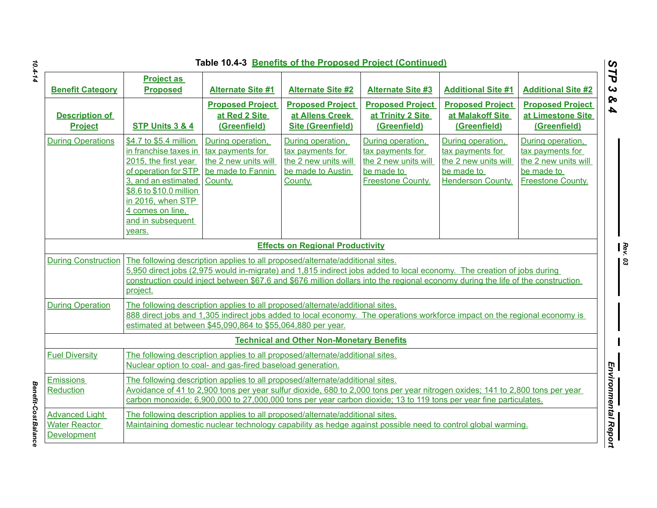|                                                                     |                                                                                                                                                                                                                                                                            |                                                                                                                                             |                                                                                               | Table 10.4-3 Benefits of the Proposed Project (Continued)                                                                                                                                                                                                  |                                                                                                         |                                                                                                  |
|---------------------------------------------------------------------|----------------------------------------------------------------------------------------------------------------------------------------------------------------------------------------------------------------------------------------------------------------------------|---------------------------------------------------------------------------------------------------------------------------------------------|-----------------------------------------------------------------------------------------------|------------------------------------------------------------------------------------------------------------------------------------------------------------------------------------------------------------------------------------------------------------|---------------------------------------------------------------------------------------------------------|--------------------------------------------------------------------------------------------------|
| <b>Benefit Category</b>                                             | <b>Project as</b><br><b>Proposed</b>                                                                                                                                                                                                                                       | <b>Alternate Site #1</b>                                                                                                                    | <b>Alternate Site #2</b>                                                                      | <b>Alternate Site #3</b>                                                                                                                                                                                                                                   | <b>Additional Site #1</b>                                                                               | <b>Additional Site #2</b>                                                                        |
| <b>Description of</b><br><b>Project</b>                             | STP Units 3 & 4                                                                                                                                                                                                                                                            | <b>Proposed Project</b><br>at Red 2 Site<br>(Greenfield)                                                                                    | <b>Proposed Project</b><br>at Allens Creek<br><b>Site (Greenfield)</b>                        | <b>Proposed Project</b><br>at Trinity 2 Site<br>(Greenfield)                                                                                                                                                                                               | <b>Proposed Project</b><br>at Malakoff Site<br>(Greenfield)                                             | <b>Proposed Project</b><br>at Limestone Site<br>(Greenfield)                                     |
| <b>During Operations</b>                                            | \$4.7 to \$5.4 million<br>in franchise taxes in<br>2015, the first year<br>of operation for STP<br>3, and an estimated<br>\$8.6 to \$10.0 million<br>in 2016, when STP<br>4 comes on line,<br>and in subsequent<br>years.                                                  | During operation,<br>tax payments for<br>the 2 new units will<br>be made to Fannin<br>County.                                               | During operation,<br>tax payments for<br>the 2 new units will<br>be made to Austin<br>County. | During operation,<br>tax payments for<br>the 2 new units will<br>be made to<br>Freestone County.                                                                                                                                                           | During operation,<br>tax payments for<br>the 2 new units will<br>be made to<br><b>Henderson County.</b> | During operation,<br>tax payments for<br>the 2 new units will<br>be made to<br>Freestone County. |
|                                                                     |                                                                                                                                                                                                                                                                            |                                                                                                                                             | <b>Effects on Regional Productivity</b>                                                       |                                                                                                                                                                                                                                                            |                                                                                                         |                                                                                                  |
| <b>During Construction</b>                                          | project.                                                                                                                                                                                                                                                                   | The following description applies to all proposed/alternate/additional sites.                                                               |                                                                                               | 5,950 direct jobs (2,975 would in-migrate) and 1,815 indirect jobs added to local economy. The creation of jobs during<br>construction could inject between \$67.6 and \$676 million dollars into the regional economy during the life of the construction |                                                                                                         |                                                                                                  |
| <b>During Operation</b>                                             | The following description applies to all proposed/alternate/additional sites.<br>888 direct jobs and 1,305 indirect jobs added to local economy. The operations workforce impact on the regional economy is<br>estimated at between \$45,090,864 to \$55,064,880 per year. |                                                                                                                                             |                                                                                               |                                                                                                                                                                                                                                                            |                                                                                                         |                                                                                                  |
|                                                                     |                                                                                                                                                                                                                                                                            |                                                                                                                                             | <b>Technical and Other Non-Monetary Benefits</b>                                              |                                                                                                                                                                                                                                                            |                                                                                                         |                                                                                                  |
| <b>Fuel Diversity</b>                                               |                                                                                                                                                                                                                                                                            | The following description applies to all proposed/alternate/additional sites.<br>Nuclear option to coal- and gas-fired baseload generation. |                                                                                               |                                                                                                                                                                                                                                                            |                                                                                                         |                                                                                                  |
| <b>Emissions</b><br>Reduction                                       |                                                                                                                                                                                                                                                                            | The following description applies to all proposed/alternate/additional sites.                                                               |                                                                                               | Avoidance of 41 to 2,900 tons per year sulfur dioxide, 680 to 2,000 tons per year nitrogen oxides; 141 to 2,800 tons per year<br>carbon monoxide; 6,900,000 to 27,000,000 tons per year carbon dioxide; 13 to 119 tons per year fine particulates.         |                                                                                                         |                                                                                                  |
| <b>Advanced Light</b><br><b>Water Reactor</b><br><b>Development</b> |                                                                                                                                                                                                                                                                            | The following description applies to all proposed/alternate/additional sites.                                                               |                                                                                               | Maintaining domestic nuclear technology capability as hedge against possible need to control global warming.                                                                                                                                               |                                                                                                         |                                                                                                  |

*Benefit-Cost Balance* 

**Benefit-Cost Balance**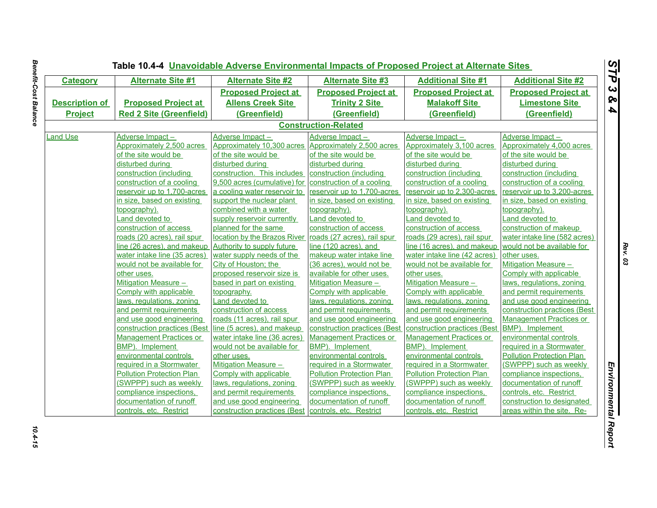| <b>Category</b>       | <b>Alternate Site #1</b>         | <b>Alternate Site #2</b>                               | <b>Alternate Site #3</b>         | <b>Additional Site #1</b>        | <b>Additional Site #2</b>        |
|-----------------------|----------------------------------|--------------------------------------------------------|----------------------------------|----------------------------------|----------------------------------|
|                       |                                  | <b>Proposed Project at</b>                             | <b>Proposed Project at</b>       | <b>Proposed Project at</b>       | <b>Proposed Project at</b>       |
| <b>Description of</b> | <b>Proposed Project at</b>       | <b>Allens Creek Site</b>                               | <b>Trinity 2 Site</b>            | <b>Malakoff Site</b>             | <b>Limestone Site</b>            |
| <b>Project</b>        | <b>Red 2 Site (Greenfield)</b>   | (Greenfield)                                           | (Greenfield)                     | (Greenfield)                     | (Greenfield)                     |
|                       |                                  |                                                        | <b>Construction-Related</b>      |                                  |                                  |
| <b>Land Use</b>       | Adverse Impact-                  | Adverse Impact-                                        | Adverse Impact-                  | Adverse Impact-                  | Adverse Impact-                  |
|                       | Approximately 2,500 acres        | Approximately 10,300 acres Approximately 2,500 acres   |                                  | Approximately 3,100 acres        | Approximately 4,000 acres        |
|                       | of the site would be             | of the site would be                                   | of the site would be             | of the site would be             | of the site would be             |
|                       | disturbed during                 | disturbed during                                       | disturbed during                 | disturbed during                 | disturbed during                 |
|                       | construction (including          | construction. This includes construction (including    |                                  | construction (including          | construction (including          |
|                       | construction of a cooling        | 9,500 acres (cumulative) for construction of a cooling |                                  | construction of a cooling        | construction of a cooling        |
|                       | reservoir up to 1,700-acres      | a cooling water reservoir to                           | reservoir up to 1,700-acres      | reservoir up to 2,300-acres      | reservoir up to 3,200-acres      |
|                       | in size, based on existing       | support the nuclear plant                              | in size, based on existing       | in size, based on existing       | in size, based on existing       |
|                       | topography).                     | combined with a water                                  | topography).                     | topography).                     | topography).                     |
|                       | Land devoted to                  | supply reservoir currently                             | Land devoted to                  | Land devoted to                  | Land devoted to                  |
|                       | construction of access           | planned for the same                                   | construction of access           | construction of access           | construction of makeup           |
|                       | roads (20 acres), rail spur      | location by the Brazos River                           | roads (27 acres), rail spur      | roads (29 acres), rail spur      | water intake line (582 acres)    |
|                       | line (26 acres), and makeup      | Authority to supply future                             | line (120 acres), and            | line (16 acres), and makeup      | would not be available for       |
|                       | water intake line (35 acres)     | water supply needs of the                              | makeup water intake line         | water intake line (42 acres)     | other uses.                      |
|                       | would not be available for       | City of Houston; the                                   | (36 acres), would not be         | would not be available for       | <b>Mitigation Measure -</b>      |
|                       | other uses.                      | proposed reservoir size is                             | available for other uses.        | other uses.                      | Comply with applicable           |
|                       | <b>Mitigation Measure -</b>      | based in part on existing                              | <b>Mitigation Measure -</b>      | <b>Mitigation Measure -</b>      | laws, regulations, zoning        |
|                       | Comply with applicable           | topography.                                            | Comply with applicable           | Comply with applicable           | and permit requirements          |
|                       | laws, regulations, zoning        | Land devoted to                                        | laws, regulations, zoning        | laws, regulations, zoning        | and use good engineering         |
|                       | and permit requirements          | construction of access                                 | and permit requirements          | and permit requirements          | construction practices (Best     |
|                       | and use good engineering         | roads (11 acres), rail spur                            | and use good engineering         | and use good engineering         | <b>Management Practices or</b>   |
|                       | construction practices (Best     | line (5 acres), and makeup                             | construction practices (Best     | construction practices (Best     | BMP). Implement                  |
|                       | <b>Management Practices or</b>   | water intake line (36 acres)                           | <b>Management Practices or</b>   | <b>Management Practices or</b>   | environmental controls           |
|                       | BMP). Implement                  | would not be available for                             | BMP). Implement                  | BMP). Implement                  | required in a Stormwater         |
|                       | environmental controls           | other uses.                                            | environmental controls           | environmental controls           | <b>Pollution Protection Plan</b> |
|                       | required in a Stormwater         | Mitigation Measure -                                   | required in a Stormwater         | required in a Stormwater         | (SWPPP) such as weekly           |
|                       | <b>Pollution Protection Plan</b> | Comply with applicable                                 | <b>Pollution Protection Plan</b> | <b>Pollution Protection Plan</b> | compliance inspections.          |
|                       | (SWPPP) such as weekly           | laws, regulations, zoning                              | (SWPPP) such as weekly           | (SWPPP) such as weekly           | documentation of runoff          |
|                       | compliance inspections,          | and permit requirements                                | compliance inspections,          | compliance inspections,          | controls, etc. Restrict          |
|                       | documentation of runoff          | and use good engineering                               | documentation of runoff          | documentation of runoff          | construction to designated       |
|                       | controls, etc. Restrict          | construction practices (Best controls, etc. Restrict   |                                  | controls, etc. Restrict          | areas within the site. Re-       |

**Benefit-Cost Balance** *Benefit-Cost Balance 10.4-15*

10.4-15

L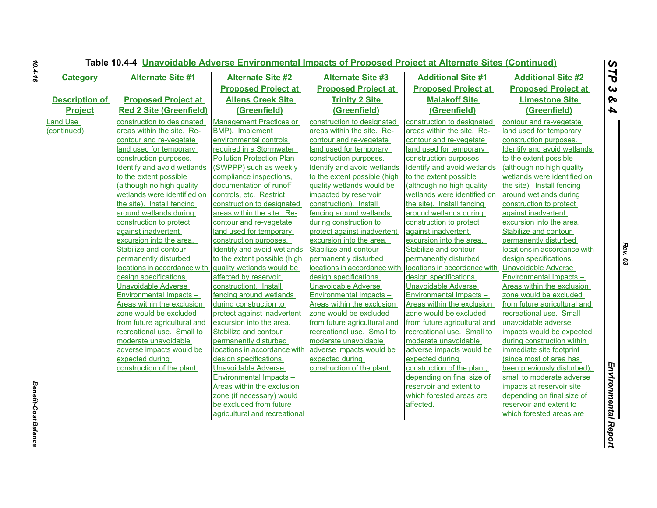| <b>Category</b>       | <b>Alternate Site #1</b>           | <b>Alternate Site #2</b>           | <b>Alternate Site #3</b>           | <b>Additional Site #1</b>          | <b>Additional Site #2</b>          |
|-----------------------|------------------------------------|------------------------------------|------------------------------------|------------------------------------|------------------------------------|
|                       |                                    | <b>Proposed Project at</b>         | <b>Proposed Project at</b>         | <b>Proposed Project at</b>         | <b>Proposed Project at</b>         |
| <b>Description of</b> | <b>Proposed Project at</b>         | <b>Allens Creek Site</b>           | <b>Trinity 2 Site</b>              | <b>Malakoff Site</b>               | <b>Limestone Site</b>              |
| <b>Project</b>        | <b>Red 2 Site (Greenfield)</b>     | (Greenfield)                       | (Greenfield)                       | (Greenfield)                       | (Greenfield)                       |
| and Use               | construction to designated         | <b>Management Practices or</b>     | construction to designated         | construction to designated         | contour and re-vegetate            |
| (continued)           | areas within the site. Re-         | BMP). Implement                    | areas within the site. Re-         | areas within the site. Re-         | land used for temporary            |
|                       | contour and re-vegetate            | environmental controls             | contour and re-vegetate            | contour and re-vegetate            | construction purposes.             |
|                       | land used for temporary            | required in a Stormwater           | land used for temporary            | land used for temporary            | <b>Identify and avoid wetlands</b> |
|                       | construction purposes.             | <b>Pollution Protection Plan</b>   | construction purposes.             | construction purposes.             | to the extent possible             |
|                       | <b>Identify and avoid wetlands</b> | (SWPPP) such as weekly             | <b>Identify and avoid wetlands</b> | <b>Identify and avoid wetlands</b> | (although no high quality          |
|                       | to the extent possible             | compliance inspections,            | to the extent possible (high       | to the extent possible             | wetlands were identified on        |
|                       | (although no high quality          | documentation of runoff            | quality wetlands would be          | (although no high quality          | the site). Install fencing         |
|                       | wetlands were identified on        | controls, etc. Restrict            | impacted by reservoir              | wetlands were identified on        | around wetlands during             |
|                       | the site). Install fencing         | construction to designated         | construction). Install             | the site). Install fencing         | construction to protect            |
|                       | around wetlands during             | areas within the site. Re-         | fencing around wetlands            | around wetlands during             | against inadvertent                |
|                       | construction to protect            | contour and re-vegetate            | during construction to             | construction to protect            | excursion into the area.           |
|                       | against inadvertent                | land used for temporary            | protect against inadvertent        | against inadvertent                | Stabilize and contour              |
|                       | excursion into the area.           | construction purposes.             | excursion into the area.           | excursion into the area.           | permanently disturbed              |
|                       | Stabilize and contour              | <b>Identify and avoid wetlands</b> | Stabilize and contour              | Stabilize and contour              | locations in accordance with       |
|                       | permanently disturbed              | to the extent possible (high       | permanently disturbed              | permanently disturbed              | design specifications.             |
|                       | locations in accordance with       | quality wetlands would be          | locations in accordance with       | locations in accordance with       | <b>Unavoidable Adverse</b>         |
|                       | design specifications.             | affected by reservoir              | design specifications.             | design specifications.             | <b>Environmental Impacts -</b>     |
|                       | <b>Unavoidable Adverse</b>         | construction). Install             | <b>Unavoidable Adverse</b>         | <b>Unavoidable Adverse</b>         | Areas within the exclusion         |
|                       | <b>Environmental Impacts -</b>     | fencing around wetlands            | <b>Environmental Impacts -</b>     | <b>Environmental Impacts -</b>     | zone would be excluded             |
|                       | Areas within the exclusion         | during construction to             | Areas within the exclusion         | Areas within the exclusion         | from future agricultural and       |
|                       | zone would be excluded             | protect against inadvertent        | zone would be excluded             | zone would be excluded             | recreational use. Small            |
|                       | from future agricultural and       | excursion into the area.           | from future agricultural and       | from future agricultural and       | unavoidable adverse                |
|                       | recreational use. Small to         | Stabilize and contour              | recreational use. Small to         | recreational use. Small to         | impacts would be expected          |
|                       | moderate unavoidable               | permanently disturbed              | moderate unavoidable               | moderate unavoidable               | during construction within         |
|                       | adverse impacts would be           | locations in accordance with       | adverse impacts would be           | adverse impacts would be           | immediate site footprint           |
|                       | expected during                    | design specifications.             | expected during                    | expected during                    | (since most of area has            |
|                       | construction of the plant.         | Unavoidable Adverse                | construction of the plant.         | construction of the plant,         | been previously disturbed);        |
|                       |                                    | <b>Environmental Impacts -</b>     |                                    | depending on final size of         | small to moderate adverse          |
|                       |                                    | <b>Areas within the exclusion</b>  |                                    | reservoir and extent to            | impacts at reservoir site          |
|                       |                                    | zone (if necessary) would          |                                    | which forested areas are           | depending on final size of         |
|                       |                                    | be excluded from future            |                                    | affected.                          | reservoir and extent to            |
|                       |                                    | agricultural and recreational      |                                    |                                    | which forested areas are           |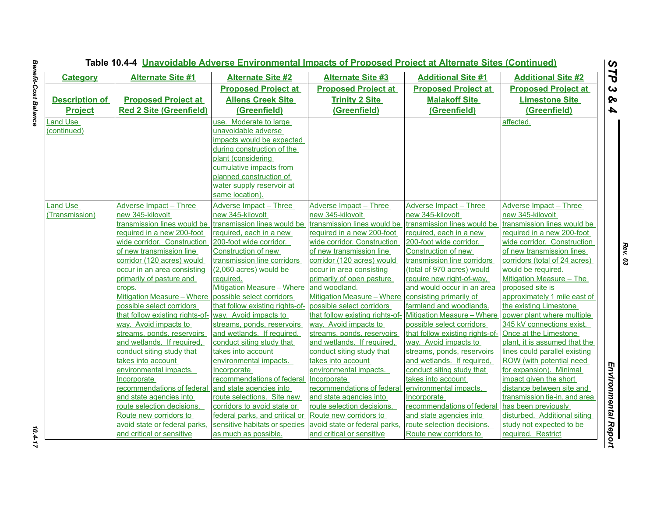|                       | Table 10.4-4 <b>Unavoidable Adverse Environmental Impacts of Proposed Project at Alternate Sites (Continued)</b> |                                                       |                                                       |                                           |                                                            |
|-----------------------|------------------------------------------------------------------------------------------------------------------|-------------------------------------------------------|-------------------------------------------------------|-------------------------------------------|------------------------------------------------------------|
| <b>Category</b>       | <b>Alternate Site #1</b>                                                                                         | <b>Alternate Site #2</b>                              | <b>Alternate Site #3</b>                              | <b>Additional Site #1</b>                 | <b>Additional Site #2</b>                                  |
|                       |                                                                                                                  | <b>Proposed Project at</b>                            | <b>Proposed Project at</b>                            | <b>Proposed Project at</b>                | <b>Proposed Project at</b>                                 |
| <b>Description of</b> | <b>Proposed Project at</b>                                                                                       | <b>Allens Creek Site</b>                              | <b>Trinity 2 Site</b>                                 | <b>Malakoff Site</b>                      | <b>Limestone Site</b>                                      |
| <b>Project</b>        | <b>Red 2 Site (Greenfield)</b>                                                                                   | (Greenfield)                                          | (Greenfield)                                          | (Greenfield)                              | (Greenfield)                                               |
| Land Use              |                                                                                                                  | use. Moderate to large                                |                                                       |                                           | affected.                                                  |
| (continued)           |                                                                                                                  | unavoidable adverse                                   |                                                       |                                           |                                                            |
|                       |                                                                                                                  | impacts would be expected                             |                                                       |                                           |                                                            |
|                       |                                                                                                                  | during construction of the                            |                                                       |                                           |                                                            |
|                       |                                                                                                                  | plant (considering                                    |                                                       |                                           |                                                            |
|                       |                                                                                                                  | cumulative impacts from                               |                                                       |                                           |                                                            |
|                       |                                                                                                                  | planned construction of                               |                                                       |                                           |                                                            |
|                       |                                                                                                                  | water supply reservoir at                             |                                                       |                                           |                                                            |
|                       |                                                                                                                  | same location).                                       |                                                       |                                           |                                                            |
| Land Use              | Adverse Impact - Three                                                                                           | Adverse Impact - Three                                | Adverse Impact - Three                                | Adverse Impact – Three                    | <b>Adverse Impact - Three</b>                              |
| (Transmission)        | new 345-kilovolt                                                                                                 | new 345-kilovolt                                      | new 345-kilovolt                                      | new 345-kilovolt                          | new 345-kilovolt                                           |
|                       | transmission lines would be                                                                                      | transmission lines would be                           | transmission lines would be                           | transmission lines would be               | transmission lines would be                                |
|                       | required in a new 200-foot                                                                                       | required, each in a new                               | required in a new 200-foot                            | required, each in a new                   | required in a new 200-foot                                 |
|                       | wide corridor. Construction                                                                                      | 200-foot wide corridor.                               | wide corridor. Construction                           | 200-foot wide corridor.                   | wide corridor. Construction                                |
|                       | of new transmission line                                                                                         | Construction of new                                   | of new transmission line                              | Construction of new                       | of new transmission lines                                  |
|                       | corridor (120 acres) would                                                                                       | transmission line corridors                           | corridor (120 acres) would                            | transmission line corridors               | corridors (total of 24 acres)                              |
|                       | occur in an area consisting                                                                                      | (2,060 acres) would be                                | occur in area consisting                              | (total of 970 acres) would                | would be required.                                         |
|                       | primarily of pasture and                                                                                         | required.                                             | primarily of open pasture                             | require new right-of-way,                 | Mitigation Measure – The                                   |
|                       | crops.                                                                                                           | Mitigation Measure - Where                            | and woodland.                                         | and would occur in an area                | proposed site is                                           |
|                       | <b>Mitigation Measure - Where</b>                                                                                | possible select corridors                             | <b>Mitigation Measure - Where</b>                     | consisting primarily of                   | approximately 1 mile east of                               |
|                       | possible select corridors                                                                                        | that follow existing rights-of-                       | possible select corridors                             | farmland and woodlands.                   | the existing Limestone                                     |
|                       | that follow existing rights-of-                                                                                  | way. Avoid impacts to                                 | that follow existing rights-of-                       | <b>Mitigation Measure - Where</b>         | power plant where multiple                                 |
|                       | way. Avoid impacts to                                                                                            | streams, ponds, reservoirs                            | way. Avoid impacts to                                 | possible select corridors                 | 345 kV connections exist.                                  |
|                       | streams, ponds, reservoirs                                                                                       | and wetlands. If required,                            | streams, ponds, reservoirs                            | that follow existing rights-of-           | Once at the Limestone                                      |
|                       | and wetlands. If required,                                                                                       | conduct siting study that                             | and wetlands. If required,                            | way. Avoid impacts to                     | plant, it is assumed that the                              |
|                       | conduct siting study that                                                                                        | takes into account                                    | conduct siting study that                             | streams, ponds, reservoirs                | lines could parallel existing                              |
|                       | takes into account                                                                                               | environmental impacts.                                | takes into account                                    | and wetlands. If required,                | ROW (with potential need                                   |
|                       | environmental impacts.                                                                                           | Incorporate                                           | environmental impacts.                                | conduct siting study that                 | for expansion). Minimal                                    |
|                       | Incorporate<br>recommendations of federal                                                                        | recommendations of federal                            | Incorporate                                           | takes into account                        | impact given the short                                     |
|                       | and state agencies into                                                                                          | and state agencies into<br>route selections. Site new | recommendations of federal<br>and state agencies into | environmental impacts.                    | distance between site and<br>transmission tie-in, and area |
|                       | route selection decisions.                                                                                       | corridors to avoid state or                           | route selection decisions.                            | Incorporate<br>recommendations of federal | has been previously                                        |
|                       | Route new corridors to                                                                                           | federal parks, and critical or                        | Route new corridors to                                | and state agencies into                   | disturbed. Additional siting                               |
|                       | avoid state or federal parks,                                                                                    | sensitive habitats or species                         | avoid state or federal parks,                         | route selection decisions.                | study not expected to be                                   |
|                       | and critical or sensitive                                                                                        | as much as possible.                                  | and critical or sensitive                             | Route new corridors to                    | required. Restrict                                         |
|                       |                                                                                                                  |                                                       |                                                       |                                           |                                                            |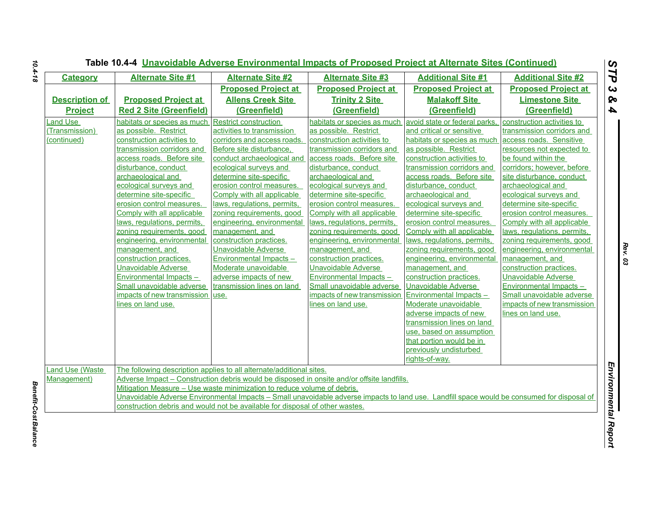| <b>Category</b>        | <b>Alternate Site #1</b>         | <b>Alternate Site #2</b>                                                     | <b>Alternate Site #3</b>                                                                                                                    | <b>Additional Site #1</b>      | <b>Additional Site #2</b>   |
|------------------------|----------------------------------|------------------------------------------------------------------------------|---------------------------------------------------------------------------------------------------------------------------------------------|--------------------------------|-----------------------------|
|                        |                                  | <b>Proposed Project at</b>                                                   | <b>Proposed Project at</b>                                                                                                                  | <b>Proposed Project at</b>     | <b>Proposed Project at</b>  |
| <b>Description of</b>  | <b>Proposed Project at</b>       | <b>Allens Creek Site</b>                                                     | <b>Trinity 2 Site</b>                                                                                                                       | <b>Malakoff Site</b>           | <b>Limestone Site</b>       |
| <b>Project</b>         | <b>Red 2 Site (Greenfield)</b>   | (Greenfield)                                                                 | (Greenfield)                                                                                                                                | (Greenfield)                   | (Greenfield)                |
| Land Use               | habitats or species as much      | <b>Restrict construction</b>                                                 | habitats or species as much                                                                                                                 | avoid state or federal parks.  | construction activities to  |
| (Transmission)         | as possible. Restrict            | activities to transmission                                                   | as possible. Restrict                                                                                                                       | and critical or sensitive      | transmission corridors and  |
| (continued)            | construction activities to       | corridors and access roads.                                                  | construction activities to                                                                                                                  | habitats or species as much    | access roads. Sensitive     |
|                        | transmission corridors and       | Before site disturbance,                                                     | transmission corridors and                                                                                                                  | as possible. Restrict          | resources not expected to   |
|                        | access roads. Before site        | conduct archaeological and                                                   | access roads. Before site                                                                                                                   | construction activities to     | be found within the         |
|                        | disturbance, conduct             | ecological survevs and                                                       | disturbance, conduct                                                                                                                        | transmission corridors and     | corridors: however, before  |
|                        | archaeological and               | determine site-specific                                                      | archaeological and                                                                                                                          | access roads. Before site      | site disturbance, conduct   |
|                        | ecological surveys and           | erosion control measures.                                                    | ecological surveys and                                                                                                                      | disturbance, conduct           | archaeological and          |
|                        | determine site-specific          | Comply with all applicable                                                   | determine site-specific                                                                                                                     | archaeological and             | ecological surveys and      |
|                        | erosion control measures.        | laws, regulations, permits,                                                  | erosion control measures.                                                                                                                   | ecological surveys and         | determine site-specific     |
|                        | Comply with all applicable       | zoning requirements, good                                                    | Comply with all applicable                                                                                                                  | determine site-specific        | erosion control measures.   |
|                        | laws, regulations, permits,      | engineering, environmental                                                   | laws, regulations, permits,                                                                                                                 | erosion control measures.      | Comply with all applicable  |
|                        | zoning requirements, good        | management, and                                                              | zoning requirements, good                                                                                                                   | Comply with all applicable     | laws, regulations, permits, |
|                        | engineering, environmental       | construction practices.                                                      | engineering, environmental                                                                                                                  | laws, regulations, permits,    | zoning requirements, good   |
|                        | management, and                  | <b>Unavoidable Adverse</b>                                                   | management, and                                                                                                                             | zoning requirements, good      | engineering, environmental  |
|                        | construction practices.          | Environmental Impacts -                                                      | construction practices.                                                                                                                     | engineering, environmental     | management, and             |
|                        | Unavoidable Adverse              | Moderate unavoidable                                                         | Unavoidable Adverse                                                                                                                         | management, and                | construction practices.     |
|                        | <b>Environmental Impacts -</b>   | adverse impacts of new                                                       | Environmental Impacts-                                                                                                                      | construction practices.        | <b>Unavoidable Adverse</b>  |
|                        | Small unavoidable adverse        | transmission lines on land                                                   | Small unavoidable adverse                                                                                                                   | Unavoidable Adverse            | Environmental Impacts -     |
|                        | impacts of new transmission use. |                                                                              | impacts of new transmission                                                                                                                 | <b>Environmental Impacts -</b> | Small unavoidable adverse   |
|                        | lines on land use.               |                                                                              | lines on land use.                                                                                                                          | Moderate unavoidable           | impacts of new transmission |
|                        |                                  |                                                                              |                                                                                                                                             | adverse impacts of new         | lines on land use.          |
|                        |                                  |                                                                              |                                                                                                                                             | transmission lines on land     |                             |
|                        |                                  |                                                                              |                                                                                                                                             | use, based on assumption       |                             |
|                        |                                  |                                                                              |                                                                                                                                             | that portion would be in       |                             |
|                        |                                  |                                                                              |                                                                                                                                             | previously undisturbed         |                             |
|                        |                                  |                                                                              |                                                                                                                                             | rights-of-way.                 |                             |
| <b>Land Use (Waste</b> |                                  | The following description applies to all alternate/additional sites.         |                                                                                                                                             |                                |                             |
| Management)            |                                  |                                                                              | Adverse Impact – Construction debris would be disposed in onsite and/or offsite landfills.                                                  |                                |                             |
|                        |                                  | Mitigation Measure - Use waste minimization to reduce volume of debris.      |                                                                                                                                             |                                |                             |
|                        |                                  |                                                                              | Unavoidable Adverse Environmental Impacts - Small unavoidable adverse impacts to land use. Landfill space would be consumed for disposal of |                                |                             |
|                        |                                  | construction debris and would not be available for disposal of other wastes. |                                                                                                                                             |                                |                             |
|                        |                                  |                                                                              |                                                                                                                                             |                                |                             |

*Benefit-Cost Balance* 

**Benefit-Cost Balance**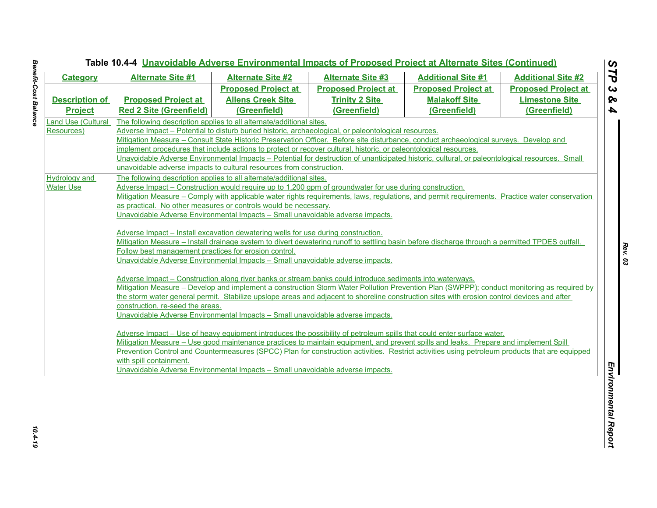| <b>Category</b>                          | <b>Alternate Site #1</b>                                                                                                                                                                                                                                                               | <b>Alternate Site #2</b>                                                                                                                                                                                                                                | <b>Alternate Site #3</b>                                                                                                                       | <b>Additional Site #1</b>  | <b>Additional Site #2</b>  |  |  |
|------------------------------------------|----------------------------------------------------------------------------------------------------------------------------------------------------------------------------------------------------------------------------------------------------------------------------------------|---------------------------------------------------------------------------------------------------------------------------------------------------------------------------------------------------------------------------------------------------------|------------------------------------------------------------------------------------------------------------------------------------------------|----------------------------|----------------------------|--|--|
|                                          |                                                                                                                                                                                                                                                                                        | <b>Proposed Project at</b>                                                                                                                                                                                                                              | <b>Proposed Project at</b>                                                                                                                     | <b>Proposed Project at</b> | <b>Proposed Project at</b> |  |  |
| <b>Description of</b>                    | <b>Proposed Project at</b>                                                                                                                                                                                                                                                             | <b>Allens Creek Site</b>                                                                                                                                                                                                                                | <b>Trinity 2 Site</b>                                                                                                                          | <b>Malakoff Site</b>       | <b>Limestone Site</b>      |  |  |
| <b>Project</b>                           | <b>Red 2 Site (Greenfield)</b>                                                                                                                                                                                                                                                         | (Greenfield)                                                                                                                                                                                                                                            | (Greenfield)                                                                                                                                   | (Greenfield)               | (Greenfield)               |  |  |
| Land Use (Cultural                       | The following description applies to all alternate/additional sites.                                                                                                                                                                                                                   |                                                                                                                                                                                                                                                         |                                                                                                                                                |                            |                            |  |  |
| Resources)                               |                                                                                                                                                                                                                                                                                        |                                                                                                                                                                                                                                                         | Adverse Impact – Potential to disturb buried historic, archaeological, or paleontological resources.                                           |                            |                            |  |  |
|                                          |                                                                                                                                                                                                                                                                                        |                                                                                                                                                                                                                                                         | Mitigation Measure – Consult State Historic Preservation Officer. Before site disturbance, conduct archaeological surveys. Develop and         |                            |                            |  |  |
|                                          |                                                                                                                                                                                                                                                                                        |                                                                                                                                                                                                                                                         | implement procedures that include actions to protect or recover cultural, historic, or paleontological resources.                              |                            |                            |  |  |
|                                          |                                                                                                                                                                                                                                                                                        |                                                                                                                                                                                                                                                         | Unavoidable Adverse Environmental Impacts - Potential for destruction of unanticipated historic, cultural, or paleontological resources. Small |                            |                            |  |  |
|                                          | unavoidable adverse impacts to cultural resources from construction.<br>The following description applies to all alternate/additional sites.                                                                                                                                           |                                                                                                                                                                                                                                                         |                                                                                                                                                |                            |                            |  |  |
| <b>Hydrology and</b><br><b>Water Use</b> |                                                                                                                                                                                                                                                                                        |                                                                                                                                                                                                                                                         | Adverse Impact – Construction would require up to 1,200 gpm of groundwater for use during construction.                                        |                            |                            |  |  |
|                                          |                                                                                                                                                                                                                                                                                        |                                                                                                                                                                                                                                                         |                                                                                                                                                |                            |                            |  |  |
|                                          | Mitigation Measure – Comply with applicable water rights requirements, laws, regulations, and permit requirements. Practice water conservation<br>as practical. No other measures or controls would be necessary.                                                                      |                                                                                                                                                                                                                                                         |                                                                                                                                                |                            |                            |  |  |
|                                          | Unavoidable Adverse Environmental Impacts - Small unavoidable adverse impacts.                                                                                                                                                                                                         |                                                                                                                                                                                                                                                         |                                                                                                                                                |                            |                            |  |  |
|                                          |                                                                                                                                                                                                                                                                                        |                                                                                                                                                                                                                                                         |                                                                                                                                                |                            |                            |  |  |
|                                          | Adverse Impact – Install excavation dewatering wells for use during construction.                                                                                                                                                                                                      |                                                                                                                                                                                                                                                         |                                                                                                                                                |                            |                            |  |  |
|                                          |                                                                                                                                                                                                                                                                                        |                                                                                                                                                                                                                                                         | Mitigation Measure – Install drainage system to divert dewatering runoff to settling basin before discharge through a permitted TPDES outfall. |                            |                            |  |  |
|                                          | Follow best management practices for erosion control.                                                                                                                                                                                                                                  |                                                                                                                                                                                                                                                         |                                                                                                                                                |                            |                            |  |  |
|                                          | Unavoidable Adverse Environmental Impacts - Small unavoidable adverse impacts.                                                                                                                                                                                                         |                                                                                                                                                                                                                                                         |                                                                                                                                                |                            |                            |  |  |
|                                          |                                                                                                                                                                                                                                                                                        |                                                                                                                                                                                                                                                         |                                                                                                                                                |                            |                            |  |  |
|                                          |                                                                                                                                                                                                                                                                                        | Adverse Impact – Construction along river banks or stream banks could introduce sediments into waterways.<br>Mitigation Measure – Develop and implement a construction Storm Water Pollution Prevention Plan (SWPPP); conduct monitoring as required by |                                                                                                                                                |                            |                            |  |  |
|                                          |                                                                                                                                                                                                                                                                                        |                                                                                                                                                                                                                                                         | the storm water general permit. Stabilize upslope areas and adjacent to shoreline construction sites with erosion control devices and after    |                            |                            |  |  |
|                                          | construction, re-seed the areas.                                                                                                                                                                                                                                                       |                                                                                                                                                                                                                                                         |                                                                                                                                                |                            |                            |  |  |
|                                          | Unavoidable Adverse Environmental Impacts - Small unavoidable adverse impacts.                                                                                                                                                                                                         |                                                                                                                                                                                                                                                         |                                                                                                                                                |                            |                            |  |  |
|                                          |                                                                                                                                                                                                                                                                                        |                                                                                                                                                                                                                                                         |                                                                                                                                                |                            |                            |  |  |
|                                          | Adverse Impact – Use of heavy equipment introduces the possibility of petroleum spills that could enter surface water.                                                                                                                                                                 |                                                                                                                                                                                                                                                         |                                                                                                                                                |                            |                            |  |  |
|                                          | Mitigation Measure – Use good maintenance practices to maintain equipment, and prevent spills and leaks. Prepare and implement Spill<br>Prevention Control and Countermeasures (SPCC) Plan for construction activities. Restrict activities using petroleum products that are equipped |                                                                                                                                                                                                                                                         |                                                                                                                                                |                            |                            |  |  |
|                                          |                                                                                                                                                                                                                                                                                        |                                                                                                                                                                                                                                                         |                                                                                                                                                |                            |                            |  |  |
|                                          | with spill containment.                                                                                                                                                                                                                                                                |                                                                                                                                                                                                                                                         | Unavoidable Adverse Environmental Impacts - Small unavoidable adverse impacts.                                                                 |                            |                            |  |  |
|                                          |                                                                                                                                                                                                                                                                                        |                                                                                                                                                                                                                                                         |                                                                                                                                                |                            |                            |  |  |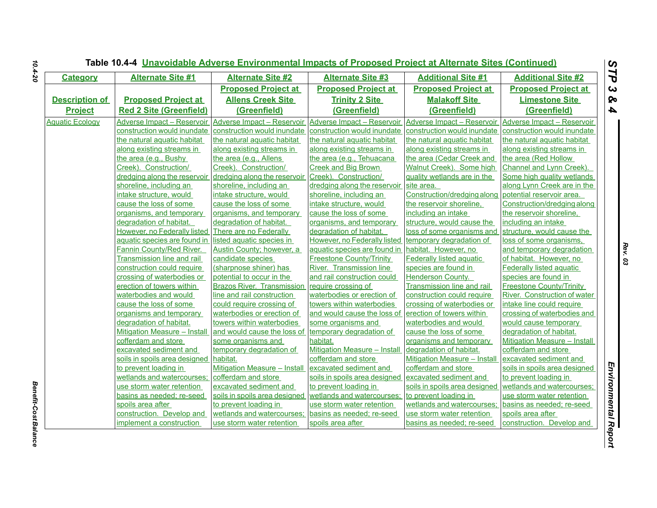| <b>Category</b>        | <b>Alternate Site #1</b>               | <b>Alternate Site #2</b>          | <b>Alternate Site #3</b>        | <b>Additional Site #1</b>           | <b>Additional Site #2</b>           |
|------------------------|----------------------------------------|-----------------------------------|---------------------------------|-------------------------------------|-------------------------------------|
|                        |                                        | <b>Proposed Project at</b>        | <b>Proposed Project at</b>      | <b>Proposed Project at</b>          | <b>Proposed Project at</b>          |
| <b>Description of</b>  | <b>Proposed Project at</b>             | <b>Allens Creek Site</b>          | <b>Trinity 2 Site</b>           | <b>Malakoff Site</b>                | <b>Limestone Site</b>               |
| <b>Project</b>         | <b>Red 2 Site (Greenfield)</b>         | (Greenfield)                      | (Greenfield)                    | (Greenfield)                        | (Greenfield)                        |
| <b>Aquatic Ecology</b> | Adverse Impact - Reservoir             | Adverse Impact - Reservoir        | Adverse Impact - Reservoir      | Adverse Impact - Reservoir          | Adverse Impact - Reservoir          |
|                        | construction would inundate            | construction would inundate       | construction would inundate     | construction would inundate         | construction would inundate         |
|                        | the natural aquatic habitat            | the natural aquatic habitat       | the natural aquatic habitat     | the natural aquatic habitat         | the natural aquatic habitat         |
|                        | along existing streams in              | along existing streams in         | along existing streams in       | along existing streams in           | along existing streams in           |
|                        | the area (e.g., Bushy                  | the area (e.g., Allens            | the area (e.g., Tehuacana       | the area (Cedar Creek and           | the area (Red Hollow                |
|                        | Creek). Construction/                  | Creek). Construction/             | <b>Creek and Big Brown</b>      | Walnut Creek). Some high            | Channel and Lynn Creek).            |
|                        | dredging along the reservoir           | dredging along the reservoir      | Creek). Construction/           | quality wetlands are in the         | Some high quality wetlands          |
|                        | shoreline, including an                | shoreline, including an           | dredging along the reservoir    | site area.                          | along Lynn Creek are in the         |
|                        | intake structure, would                | intake structure, would           | shoreline, including an         | Construction/dredging along         | potential reservoir area.           |
|                        | cause the loss of some                 | cause the loss of some            | intake structure, would         | the reservoir shoreline,            | Construction/dredging along         |
|                        | organisms, and temporary               | organisms, and temporary          | cause the loss of some          | including an intake                 | the reservoir shoreline,            |
|                        | degradation of habitat.                | degradation of habitat.           | organisms, and temporary        | structure, would cause the          | including an intake                 |
|                        | However, no Federally listed           | There are no Federally            | degradation of habitat.         | loss of some organisms and          | structure, would cause the          |
|                        | aquatic species are found in           | listed aquatic species in         | However, no Federally listed    | temporary degradation of            | loss of some organisms,             |
|                        | Fannin County/Red River.               | Austin County; however, a         | aquatic species are found in    | habitat. However, no                | and temporary degradation           |
|                        | Transmission line and rail             | candidate species                 | <b>Freestone County/Trinity</b> | <b>Federally listed aquatic</b>     | of habitat. However, no             |
|                        | construction could require             | (sharpnose shiner) has            | River. Transmission line        | species are found in                | <b>Federally listed aquatic</b>     |
|                        | crossing of waterbodies or             | potential to occur in the         | and rail construction could     | <b>Henderson County.</b>            | species are found in                |
|                        | erection of towers within              | <b>Brazos River. Transmission</b> | require crossing of             | Transmission line and rail          | <b>Freestone County/Trinity</b>     |
|                        | waterbodies and would                  | line and rail construction        | waterbodies or erection of      | construction could require          | River. Construction of water        |
|                        | cause the loss of some                 | could require crossing of         | towers within waterbodies       | crossing of waterbodies or          | intake line could require           |
|                        | organisms and temporary                | waterbodies or erection of        | and would cause the loss of     | erection of towers within           | crossing of waterbodies and         |
|                        | degradation of habitat.                | towers within waterbodies         | some organisms and              | waterbodies and would               | would cause temporary               |
|                        | <b>Mitigation Measure - Install</b>    | and would cause the loss of       | temporary degradation of        | cause the loss of some              | degradation of habitat.             |
|                        | cofferdam and store                    | some organisms and                | habitat.                        | organisms and temporary             | <b>Mitigation Measure - Install</b> |
|                        | excavated sediment and                 | temporary degradation of          | Mitigation Measure - Install    | degradation of habitat.             | cofferdam and store                 |
|                        | soils in spoils area designed habitat. |                                   | cofferdam and store             | <b>Mitigation Measure - Install</b> | excavated sediment and              |
|                        | to prevent loading in                  | Mitigation Measure - Install      | excavated sediment and          | cofferdam and store                 | soils in spoils area designed       |
|                        | wetlands and watercourses;             | cofferdam and store               | soils in spoils area designed   | excavated sediment and              | to prevent loading in               |
|                        | use storm water retention              | excavated sediment and            | to prevent loading in           | soils in spoils area designed       | wetlands and watercourses;          |
|                        | basins as needed; re-seed              | soils in spoils area designed     | wetlands and watercourses;      | to prevent loading in               | use storm water retention           |
|                        | spoils area after                      | to prevent loading in             | use storm water retention       | wetlands and watercourses;          | basins as needed; re-seed           |
|                        | construction. Develop and              | wetlands and watercourses:        | basins as needed; re-seed       | use storm water retention           | spoils area after                   |
|                        | implement a construction               | use storm water retention         | spoils area after               | basins as needed; re-seed           | construction. Develop and           |

**Benefit-Cost Balance** *Benefit-Cost Balance*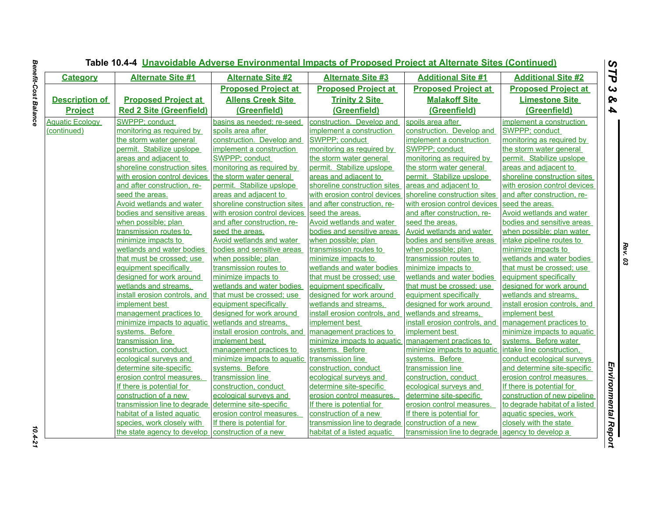| <b>Category</b>        | <b>Alternate Site #1</b>        | <b>Alternate Site #2</b>      | <b>Alternate Site #3</b>      | <b>Additional Site #1</b>     | <b>Additional Site #2</b>       |
|------------------------|---------------------------------|-------------------------------|-------------------------------|-------------------------------|---------------------------------|
|                        |                                 | <b>Proposed Project at</b>    | <b>Proposed Project at</b>    | <b>Proposed Project at</b>    | <b>Proposed Project at</b>      |
| <b>Description of</b>  | <b>Proposed Project at</b>      | <b>Allens Creek Site</b>      | <b>Trinity 2 Site</b>         | <b>Malakoff Site</b>          | <b>Limestone Site</b>           |
| <b>Project</b>         | <b>Red 2 Site (Greenfield)</b>  | (Greenfield)                  | (Greenfield)                  | (Greenfield)                  | (Greenfield)                    |
| <b>Aquatic Ecology</b> | SWPPP; conduct                  | basins as needed; re-seed     | construction. Develop and     | spoils area after             | implement a construction        |
| (continued)            | monitoring as required by       | spoils area after             | implement a construction      | construction. Develop and     | SWPPP; conduct                  |
|                        | the storm water general         | construction. Develop and     | SWPPP: conduct                | implement a construction      | monitoring as required by       |
|                        | permit. Stabilize upslope       | implement a construction      | monitoring as required by     | SWPPP; conduct                | the storm water general         |
|                        | areas and adjacent to           | SWPPP; conduct                | the storm water general       | monitoring as required by     | permit. Stabilize upslope       |
|                        | shoreline construction sites    | monitoring as required by     | permit. Stabilize upslope     | the storm water general       | areas and adjacent to           |
|                        | with erosion control devices    | the storm water general       | areas and adjacent to         | permit. Stabilize upslope     | shoreline construction sites    |
|                        | and after construction, re-     | permit. Stabilize upslope     | shoreline construction sites  | areas and adjacent to         | with erosion control devices    |
|                        | seed the areas.                 | areas and adjacent to         | with erosion control devices  | shoreline construction sites  | and after construction, re-     |
|                        | <b>Avoid wetlands and water</b> | shoreline construction sites  | and after construction, re-   | with erosion control devices  | seed the areas.                 |
|                        | bodies and sensitive areas      | with erosion control devices  | seed the areas.               | and after construction, re-   | <b>Avoid wetlands and water</b> |
|                        | when possible; plan             | and after construction, re-   | Avoid wetlands and water      | seed the areas.               | bodies and sensitive areas      |
|                        | transmission routes to          | seed the areas.               | bodies and sensitive areas    | Avoid wetlands and water      | when possible; plan water       |
|                        | minimize impacts to             | Avoid wetlands and water      | when possible; plan           | bodies and sensitive areas    | intake pipeline routes to       |
|                        | wetlands and water bodies       | bodies and sensitive areas    | transmission routes to        | when possible; plan           | minimize impacts to             |
|                        | that must be crossed; use       | when possible; plan           | minimize impacts to           | transmission routes to        | wetlands and water bodies       |
|                        | equipment specifically          | transmission routes to        | wetlands and water bodies     | minimize impacts to           | that must be crossed; use       |
|                        | designed for work around        | minimize impacts to           | that must be crossed; use     | wetlands and water bodies     | equipment specifically          |
|                        | wetlands and streams,           | wetlands and water bodies     | equipment specifically        | that must be crossed; use     | designed for work around        |
|                        | install erosion controls, and   | that must be crossed; use     | designed for work around      | equipment specifically        | wetlands and streams,           |
|                        | implement best                  | equipment specifically        | wetlands and streams,         | designed for work around      | install erosion controls, and   |
|                        | management practices to         | designed for work around      | install erosion controls, and | wetlands and streams,         | implement best                  |
|                        | minimize impacts to aquatic     | wetlands and streams.         | implement best                | install erosion controls, and | management practices to         |
|                        | systems. Before                 | install erosion controls, and | management practices to       | implement best                | minimize impacts to aquatic     |
|                        | transmission line               | implement best                | minimize impacts to aquatic   | management practices to       | systems. Before water           |
|                        | construction, conduct           | management practices to       | systems. Before               | minimize impacts to aquatic   | intake line construction,       |
|                        | ecological surveys and          | minimize impacts to aquatic   | transmission line             | systems. Before               | conduct ecological surveys      |
|                        | determine site-specific         | systems. Before               | construction, conduct         | transmission line             | and determine site-specific     |
|                        | erosion control measures.       | transmission line             | ecological surveys and        | construction, conduct         | erosion control measures.       |
|                        | If there is potential for       | construction, conduct         | determine site-specific       | ecological surveys and        | If there is potential for       |
|                        | construction of a new           | ecological surveys and        | erosion control measures.     | determine site-specific       | construction of new pipeline    |
|                        | transmission line to degrade    | determine site-specific       | If there is potential for     | erosion control measures.     | to degrade habitat of a listed  |
|                        | habitat of a listed aquatic     | erosion control measures.     | construction of a new         | If there is potential for     | aquatic species, work           |
|                        | species, work closely with      | If there is potential for     | transmission line to degrade  | construction of a new         | closely with the state          |
|                        | the state agency to develop     | construction of a new         | habitat of a listed aquatic   | transmission line to degrade  | agency to develop a             |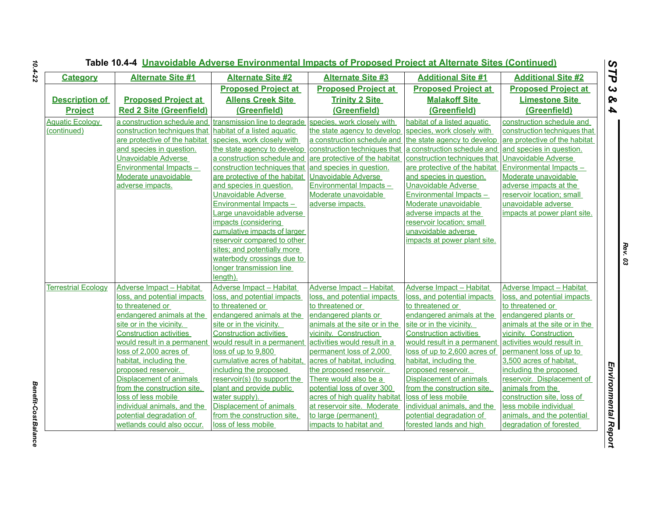| <b>Category</b>            | <b>Alternate Site #1</b>        | <b>Alternate Site #2</b>       | <b>Alternate Site #3</b>                                 | <b>Additional Site #1</b>      | <b>Additional Site #2</b>       |
|----------------------------|---------------------------------|--------------------------------|----------------------------------------------------------|--------------------------------|---------------------------------|
|                            |                                 | <b>Proposed Project at</b>     | <b>Proposed Project at</b>                               | <b>Proposed Project at</b>     | <b>Proposed Project at</b>      |
| <b>Description of</b>      | <b>Proposed Project at</b>      | <b>Allens Creek Site</b>       | <b>Trinity 2 Site</b>                                    | <b>Malakoff Site</b>           | <b>Limestone Site</b>           |
| <b>Project</b>             | <b>Red 2 Site (Greenfield)</b>  | (Greenfield)                   | (Greenfield)                                             | (Greenfield)                   | (Greenfield)                    |
| <b>Aquatic Ecology</b>     | a construction schedule and     | transmission line to degrade   | species, work closely with                               | habitat of a listed aquatic    | construction schedule and       |
| (continued)                | construction techniques that    | habitat of a listed aquatic    | the state agency to develop                              | species, work closely with     | construction techniques that    |
|                            | are protective of the habitat   | species, work closely with     | a construction schedule and                              | the state agency to develop    | are protective of the habitat   |
|                            | and species in question.        | the state agency to develop    | construction techniques that a construction schedule and |                                | and species in question.        |
|                            | <b>Unavoidable Adverse</b>      | a construction schedule and    | are protective of the habitat                            | construction techniques that   | <b>Unavoidable Adverse</b>      |
|                            | Environmental Impacts-          | construction techniques that   | and species in question.                                 | are protective of the habitat  | Environmental Impacts -         |
|                            | Moderate unavoidable            | are protective of the habitat  | <b>Unavoidable Adverse</b>                               | and species in question.       | Moderate unavoidable            |
|                            | adverse impacts.                | and species in question.       | Environmental Impacts -                                  | Unavoidable Adverse            | adverse impacts at the          |
|                            |                                 | <b>Unavoidable Adverse</b>     | Moderate unavoidable                                     | <b>Environmental Impacts -</b> | reservoir location; small       |
|                            |                                 | Environmental Impacts -        | adverse impacts.                                         | Moderate unavoidable           | unavoidable adverse             |
|                            |                                 | Large unavoidable adverse      |                                                          | adverse impacts at the         | impacts at power plant site.    |
|                            |                                 | impacts (considering           |                                                          | reservoir location; small      |                                 |
|                            |                                 | cumulative impacts of larger   |                                                          | unavoidable adverse            |                                 |
|                            |                                 | reservoir compared to other    |                                                          | impacts at power plant site.   |                                 |
|                            |                                 | sites; and potentially more    |                                                          |                                |                                 |
|                            |                                 | waterbody crossings due to     |                                                          |                                |                                 |
|                            |                                 | longer transmission line       |                                                          |                                |                                 |
|                            |                                 | length).                       |                                                          |                                |                                 |
| <b>Terrestrial Ecology</b> | <b>Adverse Impact - Habitat</b> | Adverse Impact - Habitat       | Adverse Impact - Habitat                                 | Adverse Impact - Habitat       | <b>Adverse Impact - Habitat</b> |
|                            | loss, and potential impacts     | loss, and potential impacts    | loss, and potential impacts                              | loss, and potential impacts    | loss, and potential impacts     |
|                            | to threatened or                | to threatened or               | to threatened or                                         | to threatened or               | to threatened or                |
|                            | endangered animals at the       | endangered animals at the      | endangered plants or                                     | endangered animals at the      | endangered plants or            |
|                            | site or in the vicinity.        | site or in the vicinity.       | animals at the site or in the                            | site or in the vicinity.       | animals at the site or in the   |
|                            | <b>Construction activities</b>  | <b>Construction activities</b> | vicinity. Construction                                   | <b>Construction activities</b> | vicinity. Construction          |
|                            | would result in a permanent     | would result in a permanent    | activities would result in a                             | would result in a permanent    | activities would result in      |
|                            | loss of 2,000 acres of          | loss of up to 9,800            | permanent loss of 2,000                                  | loss of up to 2,600 acres of   | permanent loss of up to         |
|                            | habitat, including the          | cumulative acres of habitat,   | acres of habitat, including                              | habitat, including the         | 3,500 acres of habitat,         |
|                            | proposed reservoir.             | including the proposed         | the proposed reservoir.                                  | proposed reservoir.            | including the proposed          |
|                            | Displacement of animals         | reservoir(s) (to support the   | There would also be a                                    | Displacement of animals        | reservoir. Displacement of      |
|                            | from the construction site,     | plant and provide public       | potential loss of over 300                               | from the construction site,    | animals from the                |
|                            | loss of less mobile             | water supply).                 | acres of high quality habitat                            | loss of less mobile            | construction site, loss of      |
|                            | individual animals, and the     | Displacement of animals        | at reservoir site. Moderate                              | individual animals, and the    | less mobile individual          |
|                            | potential degradation of        | from the construction site,    | to large (permanent)                                     | potential degradation of       | animals, and the potential      |
|                            | wetlands could also occur.      | loss of less mobile            | impacts to habitat and                                   | forested lands and high        | degradation of forested         |

**Benefit-Cost Balance** *Benefit-Cost Balance*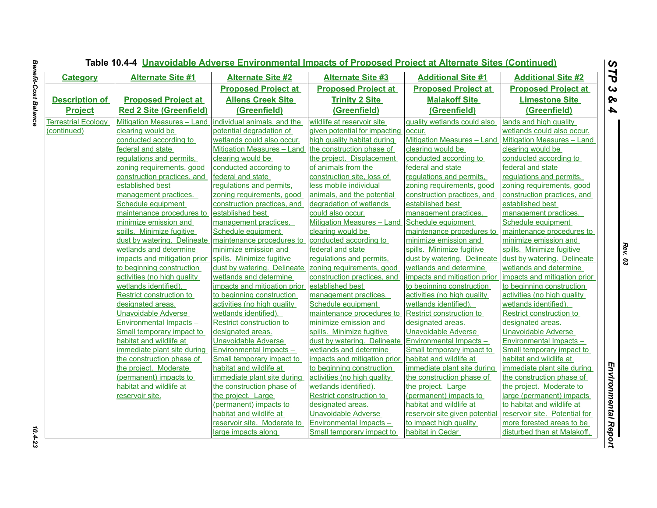| <b>Category</b>            | <b>Alternate Site #1</b>                                 | <b>Alternate Site #2</b>     | <b>Alternate Site #3</b>          | <b>Additional Site #1</b>      | <b>Additional Site #2</b>         |
|----------------------------|----------------------------------------------------------|------------------------------|-----------------------------------|--------------------------------|-----------------------------------|
|                            |                                                          | <b>Proposed Project at</b>   | <b>Proposed Project at</b>        | <b>Proposed Project at</b>     | <b>Proposed Project at</b>        |
| <b>Description of</b>      | <b>Proposed Project at</b>                               | <b>Allens Creek Site</b>     | <b>Trinity 2 Site</b>             | <b>Malakoff Site</b>           | <b>Limestone Site</b>             |
| <b>Project</b>             | <b>Red 2 Site (Greenfield)</b>                           | (Greenfield)                 | (Greenfield)                      | (Greenfield)                   | (Greenfield)                      |
| <b>Terrestrial Ecology</b> | Mitigation Measures - Land   individual animals, and the |                              | wildlife at reservoir site        | quality wetlands could also    | lands and high quality            |
| (continued)                | clearing would be                                        | potential degradation of     | given potential for impacting     | occur.                         | wetlands could also occur.        |
|                            | conducted according to                                   | wetlands could also occur.   | high quality habitat during       | Mitigation Measures - Land     | <b>Mitigation Measures - Land</b> |
|                            | federal and state                                        | Mitigation Measures - Land   | the construction phase of         | clearing would be              | clearing would be                 |
|                            | regulations and permits,                                 | clearing would be            | the project. Displacement         | conducted according to         | conducted according to            |
|                            | zoning requirements, good                                | conducted according to       | of animals from the               | federal and state              | federal and state                 |
|                            | construction practices, and                              | federal and state            | construction site, loss of        | regulations and permits,       | regulations and permits,          |
|                            | established best                                         | regulations and permits,     | less mobile individual            | zoning requirements, good      | zoning requirements, good         |
|                            | management practices.                                    | zoning requirements, good    | animals, and the potential        | construction practices, and    | construction practices, and       |
|                            | Schedule equipment                                       | construction practices, and  | degradation of wetlands           | established best               | established best                  |
|                            | maintenance procedures to                                | established best             | could also occur.                 | management practices.          | management practices.             |
|                            | minimize emission and                                    | management practices.        | <b>Mitigation Measures - Land</b> | Schedule equipment             | Schedule equipment                |
|                            | spills. Minimize fugitive                                | Schedule equipment           | clearing would be                 | maintenance procedures to      | maintenance procedures to         |
|                            | dust by watering. Delineate                              | maintenance procedures to    | conducted according to            | minimize emission and          | minimize emission and             |
|                            | wetlands and determine                                   | minimize emission and        | federal and state                 | spills. Minimize fugitive      | spills. Minimize fugitive         |
|                            | impacts and mitigation prior                             | spills. Minimize fugitive    | regulations and permits,          | dust by watering. Delineate    | dust by watering. Delineate       |
|                            | to beginning construction                                | dust by watering. Delineate  | zoning requirements, good         | wetlands and determine         | wetlands and determine            |
|                            | activities (no high quality                              | wetlands and determine       | construction practices, and       | impacts and mitigation prior   | impacts and mitigation prior      |
|                            | wetlands identified).                                    | impacts and mitigation prior | established best                  | to beginning construction      | to beginning construction         |
|                            | Restrict construction to                                 | to beginning construction    | management practices.             | activities (no high quality    | activities (no high quality       |
|                            | designated areas.                                        | activities (no high quality  | Schedule equipment                | wetlands identified).          | wetlands identified).             |
|                            | Unavoidable Adverse                                      | wetlands identified).        | maintenance procedures to         | Restrict construction to       | Restrict construction to          |
|                            | <b>Environmental Impacts -</b>                           | Restrict construction to     | minimize emission and             | designated areas.              | designated areas.                 |
|                            | Small temporary impact to                                | designated areas.            | spills. Minimize fugitive         | Unavoidable Adverse            | Unavoidable Adverse               |
|                            | habitat and wildlife at                                  | Unavoidable Adverse          | dust by watering. Delineate       | Environmental Impacts -        | Environmental Impacts -           |
|                            | immediate plant site during                              | Environmental Impacts-       | wetlands and determine            | Small temporary impact to      | Small temporary impact to         |
|                            | the construction phase of                                | Small temporary impact to    | impacts and mitigation prior      | habitat and wildlife at        | habitat and wildlife at           |
|                            | the project. Moderate                                    | habitat and wildlife at      | to beginning construction         | immediate plant site during    | immediate plant site during       |
|                            | (permanent) impacts to                                   | immediate plant site during  | activities (no high quality       | the construction phase of      | the construction phase of         |
|                            | habitat and wildlife at                                  | the construction phase of    | wetlands identified).             | the project. Large             | the project. Moderate to          |
|                            | reservoir site.                                          | the project. Large           | Restrict construction to          | (permanent) impacts to         | large (permanent) impacts         |
|                            |                                                          | (permanent) impacts to       | designated areas.                 | habitat and wildlife at        | to habitat and wildlife at        |
|                            |                                                          | habitat and wildlife at      | <b>Unavoidable Adverse</b>        | reservoir site given potential | reservoir site. Potential for     |
|                            |                                                          | reservoir site. Moderate to  | <b>Environmental Impacts -</b>    | to impact high quality         | more forested areas to be         |
|                            |                                                          | large impacts along          | Small temporary impact to         | habitat in Cedar               | disturbed than at Malakoff,       |

 $10.4 - 23$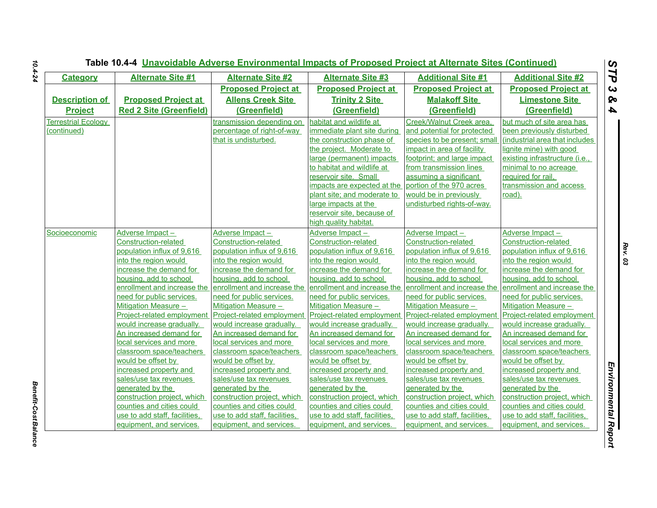| <b>Category</b>            | <b>Alternate Site #1</b>                                  | <b>Alternate Site #2</b>                                 | <b>Alternate Site #3</b>                                  | <b>Additional Site #1</b>                                 | <b>Additional Site #2</b>                                 |
|----------------------------|-----------------------------------------------------------|----------------------------------------------------------|-----------------------------------------------------------|-----------------------------------------------------------|-----------------------------------------------------------|
|                            |                                                           | <b>Proposed Project at</b>                               | <b>Proposed Project at</b>                                | <b>Proposed Project at</b>                                | <b>Proposed Project at</b>                                |
| <b>Description of</b>      | <b>Proposed Project at</b>                                | <b>Allens Creek Site</b>                                 | <b>Trinity 2 Site</b>                                     | <b>Malakoff Site</b>                                      | <b>Limestone Site</b>                                     |
| <b>Project</b>             | <b>Red 2 Site (Greenfield)</b>                            | (Greenfield)                                             | (Greenfield)                                              | (Greenfield)                                              | (Greenfield)                                              |
| <b>Terrestrial Ecology</b> |                                                           | transmission depending on                                | habitat and wildlife at                                   | Creek/Walnut Creek area,                                  | but much of site area has                                 |
| (continued)                |                                                           | percentage of right-of-way                               | immediate plant site during                               | and potential for protected                               | been previously disturbed                                 |
|                            |                                                           | that is undisturbed.                                     | the construction phase of                                 | species to be present; small                              | (industrial area that includes                            |
|                            |                                                           |                                                          | the project. Moderate to                                  | impact in area of facility                                | lignite mine) with good                                   |
|                            |                                                           |                                                          | large (permanent) impacts                                 | footprint; and large impact                               | existing infrastructure (i.e.,                            |
|                            |                                                           |                                                          | to habitat and wildlife at                                | from transmission lines                                   | minimal to no acreage                                     |
|                            |                                                           |                                                          | reservoir site. Small                                     | assuming a significant                                    | required for rail,                                        |
|                            |                                                           |                                                          | impacts are expected at the                               | portion of the 970 acres                                  | transmission and access                                   |
|                            |                                                           |                                                          | plant site; and moderate to                               | would be in previously                                    | road).                                                    |
|                            |                                                           |                                                          | large impacts at the                                      | undisturbed rights-of-way.                                |                                                           |
|                            |                                                           |                                                          | reservoir site, because of                                |                                                           |                                                           |
|                            |                                                           |                                                          | high quality habitat.                                     |                                                           |                                                           |
| Socioeconomic              | Adverse Impact-                                           | Adverse Impact-                                          | Adverse Impact-                                           | Adverse Impact-                                           | Adverse Impact-                                           |
|                            | Construction-related                                      | Construction-related                                     | Construction-related                                      | Construction-related                                      | Construction-related                                      |
|                            | population influx of 9,616                                | population influx of 9,616                               | population influx of 9,616                                | population influx of 9,616                                | population influx of 9,616                                |
|                            | into the region would                                     | into the region would                                    | into the region would                                     | into the region would                                     | into the region would                                     |
|                            | increase the demand for                                   | increase the demand for                                  | increase the demand for                                   | increase the demand for                                   | increase the demand for                                   |
|                            | housing, add to school                                    | housing, add to school                                   | housing, add to school                                    | housing, add to school                                    | housing, add to school                                    |
|                            | enrollment and increase the                               | enrollment and increase the                              | enrollment and increase the                               | enrollment and increase the                               | enrollment and increase the                               |
|                            | need for public services.                                 | need for public services.                                | need for public services.                                 | need for public services.                                 | need for public services.                                 |
|                            | Mitigation Measure -                                      | Mitigation Measure -                                     | Mitigation Measure -                                      | Mitigation Measure -                                      | Mitigation Measure -                                      |
|                            | Project-related employment                                | Project-related employment                               | Project-related employment                                | Project-related employment                                | Project-related employment                                |
|                            | would increase gradually.                                 | would increase gradually.                                | would increase gradually.                                 | would increase gradually.                                 | would increase gradually.                                 |
|                            | An increased demand for                                   | An increased demand for                                  | An increased demand for                                   | An increased demand for                                   | An increased demand for                                   |
|                            | local services and more                                   | local services and more                                  | local services and more                                   | local services and more                                   | local services and more                                   |
|                            | classroom space/teachers                                  | classroom space/teachers                                 | classroom space/teachers                                  | classroom space/teachers                                  | classroom space/teachers                                  |
|                            | would be offset by                                        | would be offset by                                       | would be offset by                                        | would be offset by                                        | would be offset by                                        |
|                            | increased property and                                    | increased property and                                   | increased property and                                    | increased property and                                    | increased property and                                    |
|                            | sales/use tax revenues                                    | sales/use tax revenues                                   | sales/use tax revenues                                    | sales/use tax revenues                                    | sales/use tax revenues                                    |
|                            | generated by the                                          | generated by the                                         | generated by the                                          | generated by the                                          | generated by the                                          |
|                            | construction project, which<br>counties and cities could  | construction project, which<br>counties and cities could | construction project, which<br>counties and cities could  | construction project, which<br>counties and cities could  | construction project, which<br>counties and cities could  |
|                            |                                                           | use to add staff, facilities,                            |                                                           |                                                           |                                                           |
|                            | use to add staff, facilities,<br>equipment, and services. | equipment, and services.                                 | use to add staff, facilities,<br>equipment, and services. | use to add staff, facilities,<br>equipment, and services. | use to add staff, facilities,<br>equipment, and services. |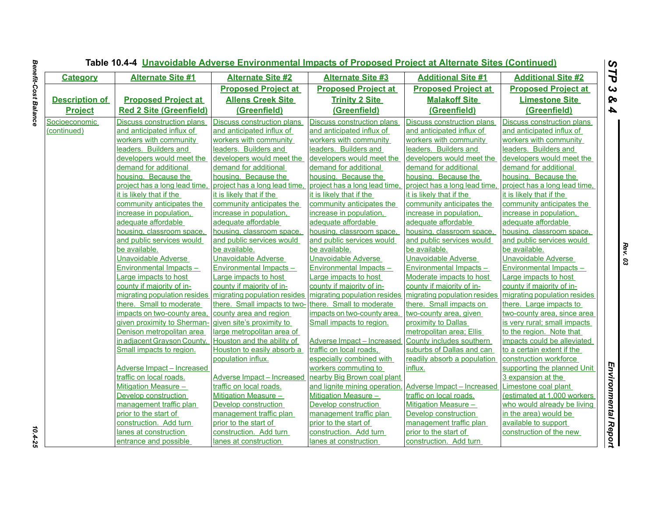| <b>Category</b>       | <b>Alternate Site #1</b>          | <b>Alternate Site #2</b>      | <b>Alternate Site #3</b>       | <b>Additional Site #1</b>      | <b>Additional Site #2</b>     |
|-----------------------|-----------------------------------|-------------------------------|--------------------------------|--------------------------------|-------------------------------|
|                       |                                   | <b>Proposed Project at</b>    | <b>Proposed Project at</b>     | <b>Proposed Project at</b>     | <b>Proposed Project at</b>    |
| <b>Description of</b> | <b>Proposed Project at</b>        | <b>Allens Creek Site</b>      | <b>Trinity 2 Site</b>          | <b>Malakoff Site</b>           | <b>Limestone Site</b>         |
| <b>Project</b>        | <b>Red 2 Site (Greenfield)</b>    | (Greenfield)                  | (Greenfield)                   | (Greenfield)                   | (Greenfield)                  |
| Socioeconomic         | Discuss construction plans        | Discuss construction plans    | Discuss construction plans     | Discuss construction plans     | Discuss construction plans    |
| (continued)           | and anticipated influx of         | and anticipated influx of     | and anticipated influx of      | and anticipated influx of      | and anticipated influx of     |
|                       | workers with community            | workers with community        | workers with community         | workers with community         | workers with community        |
|                       | leaders. Builders and             | leaders. Builders and         | leaders. Builders and          | leaders. Builders and          | leaders. Builders and         |
|                       | developers would meet the         | developers would meet the     | developers would meet the      | developers would meet the      | developers would meet the     |
|                       | demand for additional             | demand for additional         | demand for additional          | demand for additional          | demand for additional         |
|                       | housing. Because the              | housing. Because the          | housing. Because the           | housing. Because the           | housing. Because the          |
|                       | project has a long lead time.     | project has a long lead time, | project has a long lead time   | project has a long lead time.  | project has a long lead time, |
|                       | it is likely that if the          | it is likely that if the      | it is likely that if the       | it is likely that if the       | it is likely that if the      |
|                       | community anticipates the         | community anticipates the     | community anticipates the      | community anticipates the      | community anticipates the     |
|                       | increase in population,           | increase in population,       | increase in population,        | increase in population,        | increase in population,       |
|                       | adequate affordable               | adequate affordable           | adequate affordable            | adequate affordable            | adequate affordable           |
|                       | housing, classroom space,         | housing, classroom space,     | housing, classroom space,      | housing, classroom space,      | housing, classroom space,     |
|                       | and public services would         | and public services would     | and public services would      | and public services would      | and public services would     |
|                       | be available.                     | be available.                 | be available.                  | be available.                  | be available.                 |
|                       | Unavoidable Adverse               | Unavoidable Adverse           | Unavoidable Adverse            | <b>Unavoidable Adverse</b>     | Unavoidable Adverse           |
|                       | <b>Environmental Impacts -</b>    | Environmental Impacts-        | <b>Environmental Impacts -</b> | <b>Environmental Impacts -</b> | Environmental Impacts-        |
|                       | Large impacts to host             | arge impacts to host          | Large impacts to host          | Moderate impacts to host       | Large impacts to host         |
|                       | county if majority of in-         | county if majority of in-     | county if majority of in-      | county if majority of in-      | county if majority of in-     |
|                       | migrating population resides      | migrating population resides  | migrating population resides   | migrating population resides   | migrating population resides  |
|                       | there. Small to moderate          | there. Small impacts to two-  | there. Small to moderate       | there. Small impacts on        | there. Large impacts to       |
|                       | impacts on two-county area,       | county area and region        | impacts on two-county area     | two-county area, given         | two-county area, since area   |
|                       | given proximity to Sherman-       | given site's proximity to     | Small impacts to region.       | proximity to Dallas            | is very rural; small impacts  |
|                       | Denison metropolitan area         | large metropolitan area of    |                                | metropolitan area; Ellis       | to the region. Note that      |
|                       | in adjacent Grayson County.       | Houston and the ability of    | Adverse Impact - Increased     | County includes southern       | impacts could be alleviated   |
|                       | Small impacts to region.          | Houston to easily absorb a    | traffic on local roads,        | suburbs of Dallas and can      | to a certain extent if the    |
|                       |                                   | population influx.            | especially combined with       | readily absorb a population    | construction workforce        |
|                       | <b>Adverse Impact - Increased</b> |                               | workers commuting to           | influx.                        | supporting the planned Unit   |
|                       | traffic on local roads.           | Adverse Impact - Increased    | nearby Big Brown coal plant    |                                | 3 expansion at the            |
|                       | Mitigation Measure -              | traffic on local roads.       | and lignite mining operation   | Adverse Impact - Increased     | Limestone coal plant          |
|                       | Develop construction              | Mitigation Measure -          | Mitigation Measure -           | traffic on local roads.        | (estimated at 1,000 workers   |
|                       | management traffic plan           | Develop construction          | Develop construction           | Mitigation Measure -           | who would already be living   |
|                       | prior to the start of             | management traffic plan       | management traffic plan        | Develop construction           | in the area) would be         |
|                       | construction. Add turn            | prior to the start of         | prior to the start of          | management traffic plan        | available to support          |
|                       | lanes at construction             | construction. Add turn        | construction. Add turn         | prior to the start of          | construction of the new       |
|                       | entrance and possible             | lanes at construction         | lanes at construction          | construction. Add turn         |                               |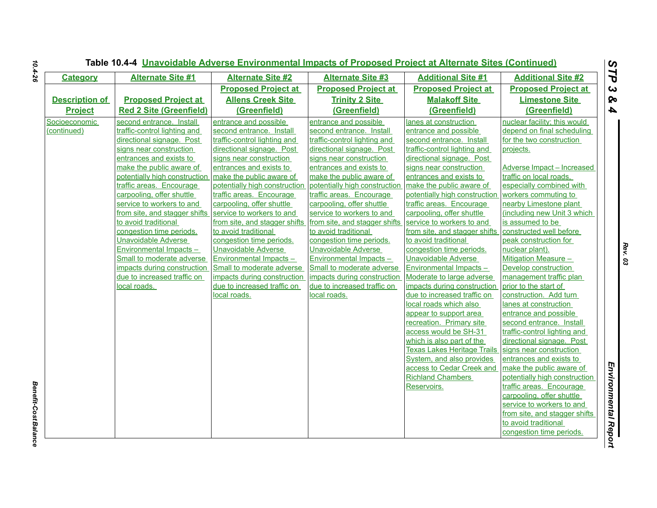|                       |                                                           |                                                           |                                                           | Table 10.4-4 Unavoidable Adverse Environmental Impacts of Proposed Project at Alternate Sites (Continued) |                                                          |  |  |  |  |  |  |
|-----------------------|-----------------------------------------------------------|-----------------------------------------------------------|-----------------------------------------------------------|-----------------------------------------------------------------------------------------------------------|----------------------------------------------------------|--|--|--|--|--|--|
| <b>Category</b>       | <b>Alternate Site #1</b>                                  | <b>Alternate Site #2</b>                                  | <b>Alternate Site #3</b>                                  | <b>Additional Site #1</b>                                                                                 | <b>Additional Site #2</b>                                |  |  |  |  |  |  |
|                       |                                                           | <b>Proposed Project at</b>                                | <b>Proposed Project at</b>                                | <b>Proposed Project at</b>                                                                                | <b>Proposed Project at</b>                               |  |  |  |  |  |  |
| <b>Description of</b> | <b>Proposed Project at</b>                                | <b>Allens Creek Site</b>                                  | <b>Trinity 2 Site</b>                                     | <b>Malakoff Site</b>                                                                                      | <b>Limestone Site</b>                                    |  |  |  |  |  |  |
| <b>Project</b>        | <b>Red 2 Site (Greenfield)</b>                            | (Greenfield)                                              | (Greenfield)                                              | (Greenfield)                                                                                              | (Greenfield)                                             |  |  |  |  |  |  |
| Socioeconomic         | second entrance. Install                                  | entrance and possible                                     | entrance and possible                                     | lanes at construction                                                                                     | nuclear facility; this would                             |  |  |  |  |  |  |
| (continued)           | traffic-control lighting and                              | second entrance. Install                                  | second entrance. Install                                  | entrance and possible                                                                                     | depend on final scheduling                               |  |  |  |  |  |  |
|                       | directional signage. Post                                 | traffic-control lighting and                              | traffic-control lighting and                              | second entrance. Install                                                                                  | for the two construction                                 |  |  |  |  |  |  |
|                       | signs near construction                                   | directional signage. Post                                 | directional signage. Post                                 | traffic-control lighting and                                                                              | projects.                                                |  |  |  |  |  |  |
|                       | entrances and exists to                                   | signs near construction                                   | signs near construction                                   | directional signage. Post                                                                                 |                                                          |  |  |  |  |  |  |
|                       | make the public aware of                                  | entrances and exists to                                   | entrances and exists to                                   | signs near construction                                                                                   | <b>Adverse Impact - Increased</b>                        |  |  |  |  |  |  |
|                       | potentially high construction<br>traffic areas. Encourage | make the public aware of<br>potentially high construction | make the public aware of<br>potentially high construction | entrances and exists to<br>make the public aware of                                                       | traffic on local roads,<br>especially combined with      |  |  |  |  |  |  |
|                       | carpooling, offer shuttle                                 | traffic areas. Encourage                                  | traffic areas. Encourage                                  | potentially high construction                                                                             | workers commuting to                                     |  |  |  |  |  |  |
|                       | service to workers to and                                 | carpooling, offer shuttle                                 | carpooling, offer shuttle                                 | traffic areas. Encourage                                                                                  | nearby Limestone plant                                   |  |  |  |  |  |  |
|                       | from site, and stagger shifts                             | service to workers to and                                 | service to workers to and                                 | carpooling, offer shuttle                                                                                 | (including new Unit 3 which                              |  |  |  |  |  |  |
|                       | to avoid traditional                                      | from site, and stagger shifts                             | from site, and stagger shifts                             | service to workers to and                                                                                 | is assumed to be                                         |  |  |  |  |  |  |
|                       | congestion time periods.                                  | to avoid traditional                                      | to avoid traditional                                      | from site, and stagger shifts                                                                             | constructed well before                                  |  |  |  |  |  |  |
|                       | <b>Unavoidable Adverse</b>                                | congestion time periods.                                  | congestion time periods.                                  | to avoid traditional                                                                                      | peak construction for                                    |  |  |  |  |  |  |
|                       | <b>Environmental Impacts-</b>                             | <b>Unavoidable Adverse</b>                                | <b>Unavoidable Adverse</b>                                | congestion time periods.                                                                                  | nuclear plant).                                          |  |  |  |  |  |  |
|                       | Small to moderate adverse                                 | Environmental Impacts -                                   | Environmental Impacts-                                    | <b>Unavoidable Adverse</b>                                                                                | Mitigation Measure -                                     |  |  |  |  |  |  |
|                       | impacts during construction                               | Small to moderate adverse                                 | Small to moderate adverse                                 | Environmental Impacts -                                                                                   | Develop construction                                     |  |  |  |  |  |  |
|                       | due to increased traffic on                               | impacts during construction                               | impacts during construction                               | Moderate to large adverse                                                                                 | management traffic plan                                  |  |  |  |  |  |  |
|                       | local roads.                                              | due to increased traffic on                               | due to increased traffic on                               | impacts during construction                                                                               | prior to the start of                                    |  |  |  |  |  |  |
|                       |                                                           | local roads.                                              | local roads.                                              | due to increased traffic on                                                                               | construction. Add turn                                   |  |  |  |  |  |  |
|                       |                                                           |                                                           |                                                           | local roads which also                                                                                    | lanes at construction                                    |  |  |  |  |  |  |
|                       |                                                           |                                                           |                                                           | appear to support area                                                                                    | entrance and possible                                    |  |  |  |  |  |  |
|                       |                                                           |                                                           |                                                           | recreation. Primary site<br>access would be SH-31                                                         | second entrance. Install<br>traffic-control lighting and |  |  |  |  |  |  |
|                       |                                                           |                                                           |                                                           | which is also part of the                                                                                 | directional signage. Post                                |  |  |  |  |  |  |
|                       |                                                           |                                                           |                                                           | <b>Texas Lakes Heritage Trails</b>                                                                        | signs near construction                                  |  |  |  |  |  |  |
|                       |                                                           |                                                           |                                                           | System, and also provides                                                                                 | entrances and exists to                                  |  |  |  |  |  |  |
|                       |                                                           |                                                           |                                                           | access to Cedar Creek and                                                                                 | make the public aware of                                 |  |  |  |  |  |  |
|                       |                                                           |                                                           |                                                           | <b>Richland Chambers</b>                                                                                  | potentially high construction                            |  |  |  |  |  |  |
|                       |                                                           |                                                           |                                                           | Reservoirs.                                                                                               | traffic areas. Encourage                                 |  |  |  |  |  |  |
|                       |                                                           |                                                           |                                                           |                                                                                                           | carpooling, offer shuttle                                |  |  |  |  |  |  |
|                       |                                                           |                                                           |                                                           |                                                                                                           | service to workers to and                                |  |  |  |  |  |  |
|                       |                                                           |                                                           |                                                           |                                                                                                           | from site, and stagger shifts                            |  |  |  |  |  |  |
|                       |                                                           |                                                           |                                                           |                                                                                                           | to avoid traditional                                     |  |  |  |  |  |  |
|                       |                                                           |                                                           |                                                           |                                                                                                           | congestion time periods.                                 |  |  |  |  |  |  |

*Benefit-Cost Balance* 

**Benefit-Cost Balance**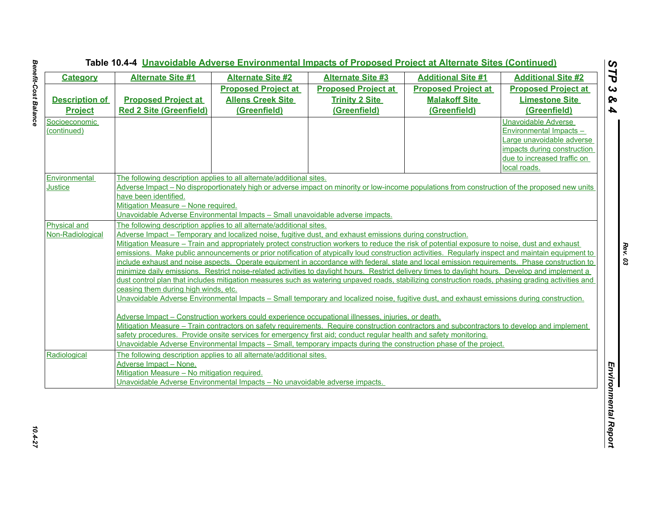| <b>Category</b>       | <b>Alternate Site #1</b>                                                                                                                           | <b>Alternate Site #2</b>                                                                                  | <b>Alternate Site #3</b>                                                                                                                           | <b>Additional Site #1</b>  | <b>Additional Site #2</b>      |  |  |
|-----------------------|----------------------------------------------------------------------------------------------------------------------------------------------------|-----------------------------------------------------------------------------------------------------------|----------------------------------------------------------------------------------------------------------------------------------------------------|----------------------------|--------------------------------|--|--|
|                       |                                                                                                                                                    | <b>Proposed Project at</b>                                                                                | <b>Proposed Project at</b>                                                                                                                         | <b>Proposed Project at</b> | <b>Proposed Project at</b>     |  |  |
| <b>Description of</b> | <b>Proposed Project at</b>                                                                                                                         | <b>Allens Creek Site</b>                                                                                  | <b>Trinity 2 Site</b>                                                                                                                              | <b>Malakoff Site</b>       | <b>Limestone Site</b>          |  |  |
| <b>Project</b>        | <b>Red 2 Site (Greenfield)</b>                                                                                                                     | (Greenfield)                                                                                              | (Greenfield)                                                                                                                                       | (Greenfield)               | (Greenfield)                   |  |  |
| Socioeconomic         |                                                                                                                                                    |                                                                                                           |                                                                                                                                                    |                            | Unavoidable Adverse            |  |  |
| (continued)           |                                                                                                                                                    |                                                                                                           |                                                                                                                                                    |                            | <b>Environmental Impacts -</b> |  |  |
|                       |                                                                                                                                                    |                                                                                                           |                                                                                                                                                    |                            | Large unavoidable adverse      |  |  |
|                       |                                                                                                                                                    |                                                                                                           |                                                                                                                                                    |                            | impacts during construction    |  |  |
|                       |                                                                                                                                                    |                                                                                                           |                                                                                                                                                    |                            | due to increased traffic on    |  |  |
|                       |                                                                                                                                                    |                                                                                                           |                                                                                                                                                    |                            | local roads.                   |  |  |
| Environmental         |                                                                                                                                                    | The following description applies to all alternate/additional sites.                                      |                                                                                                                                                    |                            |                                |  |  |
| <b>Justice</b>        |                                                                                                                                                    |                                                                                                           | Adverse Impact – No disproportionately high or adverse impact on minority or low-income populations from construction of the proposed new units    |                            |                                |  |  |
|                       | have been identified.                                                                                                                              |                                                                                                           |                                                                                                                                                    |                            |                                |  |  |
|                       | Mitigation Measure - None required.                                                                                                                |                                                                                                           |                                                                                                                                                    |                            |                                |  |  |
|                       |                                                                                                                                                    | Unavoidable Adverse Environmental Impacts - Small unavoidable adverse impacts.                            |                                                                                                                                                    |                            |                                |  |  |
| <b>Physical and</b>   | The following description applies to all alternate/additional sites.                                                                               |                                                                                                           |                                                                                                                                                    |                            |                                |  |  |
| Non-Radiological      |                                                                                                                                                    | Adverse Impact – Temporary and localized noise, fugitive dust, and exhaust emissions during construction. |                                                                                                                                                    |                            |                                |  |  |
|                       | Mitigation Measure – Train and appropriately protect construction workers to reduce the risk of potential exposure to noise, dust and exhaust      |                                                                                                           |                                                                                                                                                    |                            |                                |  |  |
|                       | emissions. Make public announcements or prior notification of atypically loud construction activities. Regularly inspect and maintain equipment to |                                                                                                           |                                                                                                                                                    |                            |                                |  |  |
|                       | include exhaust and noise aspects. Operate equipment in accordance with federal, state and local emission requirements. Phase construction to      |                                                                                                           |                                                                                                                                                    |                            |                                |  |  |
|                       |                                                                                                                                                    |                                                                                                           | minimize daily emissions. Restrict noise-related activities to daylight hours. Restrict delivery times to daylight hours. Develop and implement a  |                            |                                |  |  |
|                       |                                                                                                                                                    |                                                                                                           | dust control plan that includes mitigation measures such as watering unpaved roads, stabilizing construction roads, phasing grading activities and |                            |                                |  |  |
|                       | ceasing them during high winds, etc.                                                                                                               |                                                                                                           |                                                                                                                                                    |                            |                                |  |  |
|                       |                                                                                                                                                    |                                                                                                           | Unavoidable Adverse Environmental Impacts - Small temporary and localized noise, fugitive dust, and exhaust emissions during construction.         |                            |                                |  |  |
|                       |                                                                                                                                                    |                                                                                                           |                                                                                                                                                    |                            |                                |  |  |
|                       |                                                                                                                                                    |                                                                                                           | Adverse Impact - Construction workers could experience occupational illnesses, injuries, or death.                                                 |                            |                                |  |  |
|                       |                                                                                                                                                    |                                                                                                           | Mitigation Measure – Train contractors on safety requirements. Require construction contractors and subcontractors to develop and implement        |                            |                                |  |  |
|                       |                                                                                                                                                    |                                                                                                           | safety procedures. Provide onsite services for emergency first aid; conduct regular health and safety monitoring.                                  |                            |                                |  |  |
|                       |                                                                                                                                                    |                                                                                                           | Unavoidable Adverse Environmental Impacts – Small, temporary impacts during the construction phase of the project.                                 |                            |                                |  |  |
| Radiological          | The following description applies to all alternate/additional sites.                                                                               |                                                                                                           |                                                                                                                                                    |                            |                                |  |  |
|                       | Adverse Impact - None.                                                                                                                             |                                                                                                           |                                                                                                                                                    |                            |                                |  |  |
|                       | Mitigation Measure - No mitigation required.                                                                                                       |                                                                                                           |                                                                                                                                                    |                            |                                |  |  |
|                       |                                                                                                                                                    | Unavoidable Adverse Environmental Impacts - No unavoidable adverse impacts.                               |                                                                                                                                                    |                            |                                |  |  |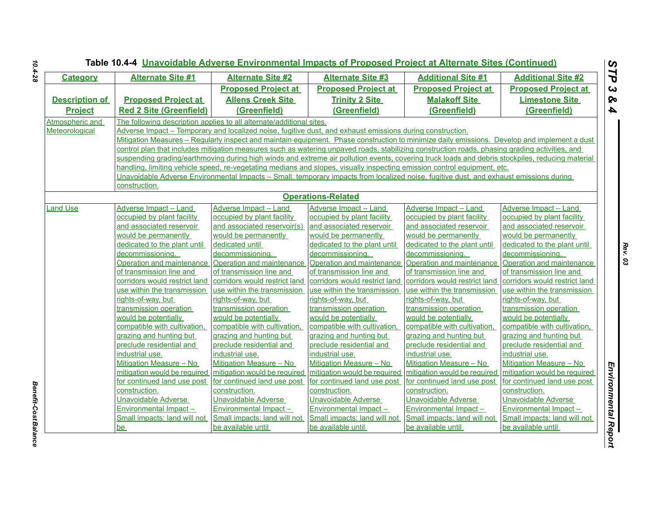| <b>Category</b>       | <b>Alternate Site #1</b>                            | <b>Alternate Site #2</b>                                                                                                                         | <b>Alternate Site #3</b>                            | <b>Additional Site #1</b>                           | <b>Additional Site #2</b>                           |
|-----------------------|-----------------------------------------------------|--------------------------------------------------------------------------------------------------------------------------------------------------|-----------------------------------------------------|-----------------------------------------------------|-----------------------------------------------------|
|                       |                                                     | <b>Proposed Project at</b>                                                                                                                       | <b>Proposed Project at</b>                          | <b>Proposed Project at</b>                          | <b>Proposed Project at</b>                          |
| <b>Description of</b> | <b>Proposed Project at</b>                          | <b>Allens Creek Site</b>                                                                                                                         | <b>Trinity 2 Site</b>                               | <b>Malakoff Site</b>                                | <b>Limestone Site</b>                               |
| <b>Project</b>        | <b>Red 2 Site (Greenfield)</b>                      | (Greenfield)                                                                                                                                     | (Greenfield)                                        | (Greenfield)                                        | (Greenfield)                                        |
| Atmospheric and       |                                                     | The following description applies to all alternate/additional sites.                                                                             |                                                     |                                                     |                                                     |
| Meteorological        |                                                     | Adverse Impact – Temporary and localized noise, fugitive dust, and exhaust emissions during construction.                                        |                                                     |                                                     |                                                     |
|                       |                                                     | Mitigation Measures - Regularly inspect and maintain equipment. Phase construction to minimize daily emissions. Develop and implement a dust     |                                                     |                                                     |                                                     |
|                       |                                                     | control plan that includes mitigation measures such as watering unpaved roads, stabilizing construction roads, phasing grading activities, and   |                                                     |                                                     |                                                     |
|                       |                                                     | suspending grading/earthmoving during high winds and extreme air pollution events, covering truck loads and debris stockpiles, reducing material |                                                     |                                                     |                                                     |
|                       |                                                     | handling, limiting vehicle speed, re-vegetating medians and slopes, visually inspecting emission control equipment, etc.                         |                                                     |                                                     |                                                     |
|                       |                                                     | Unavoidable Adverse Environmental Impacts - Small, temporary impacts from localized noise, fugitive dust, and exhaust emissions during           |                                                     |                                                     |                                                     |
|                       | construction.                                       |                                                                                                                                                  |                                                     |                                                     |                                                     |
|                       |                                                     |                                                                                                                                                  | <b>Operations-Related</b>                           |                                                     |                                                     |
| <b>Land Use</b>       | Adverse Impact - Land                               | Adverse Impact - Land                                                                                                                            | Adverse Impact - Land                               | Adverse Impact - Land                               | Adverse Impact - Land                               |
|                       | occupied by plant facility                          | occupied by plant facility                                                                                                                       | occupied by plant facility                          | occupied by plant facility                          | occupied by plant facility                          |
|                       | and associated reservoir                            | and associated reservoir(s)                                                                                                                      | and associated reservoir                            | and associated reservoir                            | and associated reservoir                            |
|                       | would be permanently                                | would be permanently                                                                                                                             | would be permanently                                | would be permanently                                | would be permanently                                |
|                       | dedicated to the plant until                        | dedicated until                                                                                                                                  | dedicated to the plant until                        | dedicated to the plant until                        | dedicated to the plant until                        |
|                       | decommissioning.                                    | decommissioning.                                                                                                                                 | decommissioning.                                    | decommissioning.                                    | decommissioning.                                    |
|                       | Operation and maintenance                           | Operation and maintenance                                                                                                                        | Operation and maintenance                           | Operation and maintenance Operation and maintenance |                                                     |
|                       | of transmission line and                            | of transmission line and                                                                                                                         | of transmission line and                            | of transmission line and                            | of transmission line and                            |
|                       | corridors would restrict land                       | corridors would restrict land                                                                                                                    | corridors would restrict land                       | corridors would restrict land                       | corridors would restrict land                       |
|                       | use within the transmission                         | use within the transmission                                                                                                                      | use within the transmission                         | use within the transmission                         | use within the transmission                         |
|                       | rights-of-way, but                                  | rights-of-way, but                                                                                                                               | rights-of-way, but                                  | rights-of-way, but                                  | rights-of-way, but                                  |
|                       | transmission operation                              | transmission operation                                                                                                                           | transmission operation                              | transmission operation                              | transmission operation                              |
|                       | would be potentially                                | would be potentially                                                                                                                             | would be potentially                                | would be potentially                                | would be potentially                                |
|                       | compatible with cultivation,                        | compatible with cultivation,                                                                                                                     | compatible with cultivation,                        | compatible with cultivation.                        | compatible with cultivation,                        |
|                       | grazing and hunting but<br>preclude residential and | grazing and hunting but<br>preclude residential and                                                                                              | grazing and hunting but<br>preclude residential and | grazing and hunting but<br>preclude residential and | grazing and hunting but<br>preclude residential and |
|                       | industrial use.                                     | industrial use.                                                                                                                                  | industrial use.                                     | industrial use.                                     | industrial use.                                     |
|                       | Mitigation Measure - No                             | Mitigation Measure - No                                                                                                                          | Mitigation Measure - No                             | Mitigation Measure - No                             | Mitigation Measure - No                             |
|                       | mitigation would be required                        | mitigation would be required                                                                                                                     | mitigation would be required                        | mitigation would be required                        | mitigation would be required                        |
|                       | for continued land use post                         | for continued land use post                                                                                                                      | for continued land use post                         | for continued land use post                         | for continued land use post                         |
|                       | construction.                                       | construction.                                                                                                                                    | construction.                                       | construction.                                       | construction.                                       |
|                       | Unavoidable Adverse                                 | <b>Unavoidable Adverse</b>                                                                                                                       | <b>Unavoidable Adverse</b>                          | <b>Unavoidable Adverse</b>                          | Unavoidable Adverse                                 |
|                       | Environmental Impact-                               | Environmental Impact -                                                                                                                           | <b>Environmental Impact-</b>                        | Environmental Impact-                               | Environmental Impact-                               |
|                       | Small impacts: land will not                        | Small impacts: land will not                                                                                                                     | Small impacts: land will not                        | Small impacts: land will not                        | Small impacts: land will not                        |
|                       | be                                                  | be available until                                                                                                                               | be available until                                  | be available until                                  | be available until                                  |

*Benefit-Cost Balance* 

**Benefit-Cost Balance**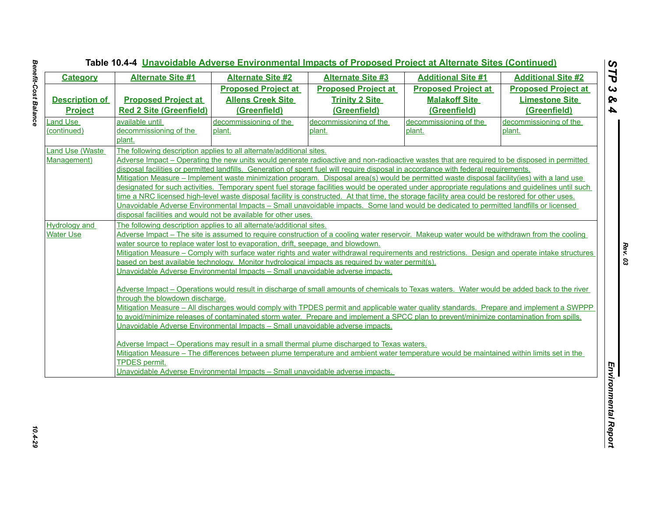| <b>Category</b>                          | <b>Alternate Site #1</b>                                                                         | <b>Alternate Site #2</b>                                                       | <b>Alternate Site #3</b>   | <b>Additional Site #1</b>                                                                                                                         | <b>Additional Site #2</b>  |
|------------------------------------------|--------------------------------------------------------------------------------------------------|--------------------------------------------------------------------------------|----------------------------|---------------------------------------------------------------------------------------------------------------------------------------------------|----------------------------|
|                                          |                                                                                                  | <b>Proposed Project at</b>                                                     | <b>Proposed Project at</b> | <b>Proposed Project at</b>                                                                                                                        | <b>Proposed Project at</b> |
| <b>Description of</b>                    | <b>Proposed Project at</b>                                                                       | <b>Allens Creek Site</b>                                                       | <b>Trinity 2 Site</b>      | <b>Malakoff Site</b>                                                                                                                              | <b>Limestone Site</b>      |
| <b>Project</b>                           | <b>Red 2 Site (Greenfield)</b>                                                                   | (Greenfield)                                                                   | (Greenfield)               | (Greenfield)                                                                                                                                      | (Greenfield)               |
| <b>Land Use</b>                          | available until                                                                                  | decommissioning of the                                                         | decommissioning of the     | decommissioning of the                                                                                                                            | decommissioning of the     |
| (continued)                              | decommissioning of the                                                                           | plant.                                                                         | plant.                     | plant.                                                                                                                                            | plant.                     |
|                                          | plant.                                                                                           |                                                                                |                            |                                                                                                                                                   |                            |
| Land Use (Waste                          | The following description applies to all alternate/additional sites.                             |                                                                                |                            |                                                                                                                                                   |                            |
| Management)                              |                                                                                                  |                                                                                |                            | Adverse Impact – Operating the new units would generate radioactive and non-radioactive wastes that are required to be disposed in permitted      |                            |
|                                          |                                                                                                  |                                                                                |                            | disposal facilities or permitted landfills. Generation of spent fuel will require disposal in accordance with federal requirements.               |                            |
|                                          |                                                                                                  |                                                                                |                            | Mitigation Measure – Implement waste minimization program. Disposal area(s) would be permitted waste disposal facility(ies) with a land use       |                            |
|                                          |                                                                                                  |                                                                                |                            | designated for such activities. Temporary spent fuel storage facilities would be operated under appropriate regulations and quidelines until such |                            |
|                                          |                                                                                                  |                                                                                |                            | time a NRC licensed high-level waste disposal facility is constructed. At that time, the storage facility area could be restored for other uses.  |                            |
|                                          |                                                                                                  | disposal facilities and would not be available for other uses.                 |                            | Unavoidable Adverse Environmental Impacts – Small unavoidable impacts. Some land would be dedicated to permitted landfills or licensed            |                            |
|                                          |                                                                                                  |                                                                                |                            |                                                                                                                                                   |                            |
| <b>Hydrology and</b><br><b>Water Use</b> |                                                                                                  | The following description applies to all alternate/additional sites.           |                            | Adverse Impact – The site is assumed to require construction of a cooling water reservoir. Makeup water would be withdrawn from the cooling       |                            |
|                                          | water source to replace water lost to evaporation, drift, seepage, and blowdown.                 |                                                                                |                            |                                                                                                                                                   |                            |
|                                          |                                                                                                  |                                                                                |                            | Mitigation Measure – Comply with surface water rights and water withdrawal requirements and restrictions. Design and operate intake structures    |                            |
|                                          | based on best available technology. Monitor hydrological impacts as required by water permit(s). |                                                                                |                            |                                                                                                                                                   |                            |
|                                          | Unavoidable Adverse Environmental Impacts - Small unavoidable adverse impacts.                   |                                                                                |                            |                                                                                                                                                   |                            |
|                                          |                                                                                                  |                                                                                |                            |                                                                                                                                                   |                            |
|                                          |                                                                                                  |                                                                                |                            | Adverse Impact – Operations would result in discharge of small amounts of chemicals to Texas waters. Water would be added back to the river       |                            |
|                                          | through the blowdown discharge.                                                                  |                                                                                |                            |                                                                                                                                                   |                            |
|                                          |                                                                                                  |                                                                                |                            | Mitigation Measure - All discharges would comply with TPDES permit and applicable water quality standards. Prepare and implement a SWPPP          |                            |
|                                          |                                                                                                  |                                                                                |                            | to avoid/minimize releases of contaminated storm water. Prepare and implement a SPCC plan to prevent/minimize contamination from spills.          |                            |
|                                          | Unavoidable Adverse Environmental Impacts - Small unavoidable adverse impacts.                   |                                                                                |                            |                                                                                                                                                   |                            |
|                                          |                                                                                                  |                                                                                |                            |                                                                                                                                                   |                            |
|                                          | Adverse Impact – Operations may result in a small thermal plume discharged to Texas waters.      |                                                                                |                            |                                                                                                                                                   |                            |
|                                          |                                                                                                  |                                                                                |                            | Mitigation Measure - The differences between plume temperature and ambient water temperature would be maintained within limits set in the         |                            |
|                                          | <b>TPDES</b> permit.                                                                             | Unavoidable Adverse Environmental Impacts - Small unavoidable adverse impacts. |                            |                                                                                                                                                   |                            |
|                                          |                                                                                                  |                                                                                |                            |                                                                                                                                                   |                            |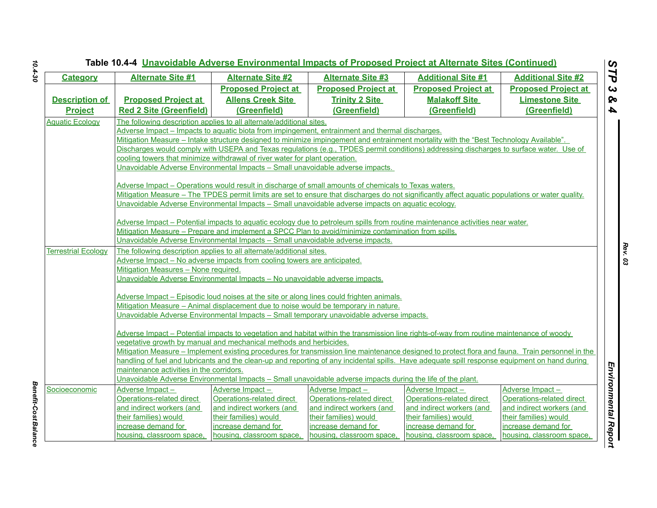|                            | Table 10.4-4 Unavoidable Adverse Environmental Impacts of Proposed Project at Alternate Sites (Continued)<br>STP                                       |                                                                                                                                                                                                                                                                                                                                                                                                                                                                                                                                                       |                                                                                                                                                         |                                                                                                                                                                                                                                                                                                                                                                                                                                                                                                                                                                        |                                                                                                                                                        |  |  |
|----------------------------|--------------------------------------------------------------------------------------------------------------------------------------------------------|-------------------------------------------------------------------------------------------------------------------------------------------------------------------------------------------------------------------------------------------------------------------------------------------------------------------------------------------------------------------------------------------------------------------------------------------------------------------------------------------------------------------------------------------------------|---------------------------------------------------------------------------------------------------------------------------------------------------------|------------------------------------------------------------------------------------------------------------------------------------------------------------------------------------------------------------------------------------------------------------------------------------------------------------------------------------------------------------------------------------------------------------------------------------------------------------------------------------------------------------------------------------------------------------------------|--------------------------------------------------------------------------------------------------------------------------------------------------------|--|--|
| <b>Category</b>            | <b>Alternate Site #1</b>                                                                                                                               | <b>Alternate Site #2</b>                                                                                                                                                                                                                                                                                                                                                                                                                                                                                                                              | <b>Alternate Site #3</b>                                                                                                                                | <b>Additional Site #1</b>                                                                                                                                                                                                                                                                                                                                                                                                                                                                                                                                              | <b>Additional Site #2</b>                                                                                                                              |  |  |
|                            |                                                                                                                                                        | <b>Proposed Project at</b>                                                                                                                                                                                                                                                                                                                                                                                                                                                                                                                            | <b>Proposed Project at</b>                                                                                                                              | <b>Proposed Project at</b>                                                                                                                                                                                                                                                                                                                                                                                                                                                                                                                                             | <b>Proposed Project at</b>                                                                                                                             |  |  |
| <b>Description of</b>      | <b>Proposed Project at</b>                                                                                                                             | <b>Allens Creek Site</b>                                                                                                                                                                                                                                                                                                                                                                                                                                                                                                                              | <b>Trinity 2 Site</b>                                                                                                                                   | <b>Malakoff Site</b>                                                                                                                                                                                                                                                                                                                                                                                                                                                                                                                                                   | <b>Limestone Site</b>                                                                                                                                  |  |  |
| <b>Project</b>             | <b>Red 2 Site (Greenfield)</b>                                                                                                                         | (Greenfield)                                                                                                                                                                                                                                                                                                                                                                                                                                                                                                                                          | (Greenfield)                                                                                                                                            | (Greenfield)                                                                                                                                                                                                                                                                                                                                                                                                                                                                                                                                                           | (Greenfield)                                                                                                                                           |  |  |
| <b>Aquatic Ecology</b>     |                                                                                                                                                        | The following description applies to all alternate/additional sites.<br>Adverse Impact - Impacts to aquatic biota from impingement, entrainment and thermal discharges.<br>cooling towers that minimize withdrawal of river water for plant operation.<br>Unavoidable Adverse Environmental Impacts - Small unavoidable adverse impacts.<br>Adverse Impact – Operations would result in discharge of small amounts of chemicals to Texas waters.<br>Unavoidable Adverse Environmental Impacts - Small unavoidable adverse impacts on aquatic ecology. |                                                                                                                                                         | Mitigation Measure – Intake structure designed to minimize impingement and entrainment mortality with the "Best Technology Available".<br>Discharges would comply with USEPA and Texas regulations (e.g., TPDES permit conditions) addressing discharges to surface water. Use of<br>Mitigation Measure – The TPDES permit limits are set to ensure that discharges do not significantly affect aguatic populations or water quality.<br>Adverse Impact – Potential impacts to aguatic ecology due to petroleum spills from routine maintenance activities near water. |                                                                                                                                                        |  |  |
|                            |                                                                                                                                                        | Mitigation Measure - Prepare and implement a SPCC Plan to avoid/minimize contamination from spills.                                                                                                                                                                                                                                                                                                                                                                                                                                                   |                                                                                                                                                         |                                                                                                                                                                                                                                                                                                                                                                                                                                                                                                                                                                        |                                                                                                                                                        |  |  |
| <b>Terrestrial Ecology</b> |                                                                                                                                                        | Unavoidable Adverse Environmental Impacts - Small unavoidable adverse impacts.<br>The following description applies to all alternate/additional sites.                                                                                                                                                                                                                                                                                                                                                                                                |                                                                                                                                                         |                                                                                                                                                                                                                                                                                                                                                                                                                                                                                                                                                                        |                                                                                                                                                        |  |  |
|                            | Mitigation Measures - None required.                                                                                                                   | Adverse Impact - No adverse impacts from cooling towers are anticipated.<br>Unavoidable Adverse Environmental Impacts - No unavoidable adverse impacts.                                                                                                                                                                                                                                                                                                                                                                                               |                                                                                                                                                         |                                                                                                                                                                                                                                                                                                                                                                                                                                                                                                                                                                        |                                                                                                                                                        |  |  |
|                            |                                                                                                                                                        | Adverse Impact – Episodic loud noises at the site or along lines could frighten animals.                                                                                                                                                                                                                                                                                                                                                                                                                                                              |                                                                                                                                                         |                                                                                                                                                                                                                                                                                                                                                                                                                                                                                                                                                                        |                                                                                                                                                        |  |  |
|                            |                                                                                                                                                        | Mitigation Measure - Animal displacement due to noise would be temporary in nature.<br>Unavoidable Adverse Environmental Impacts - Small temporary unavoidable adverse impacts.                                                                                                                                                                                                                                                                                                                                                                       |                                                                                                                                                         |                                                                                                                                                                                                                                                                                                                                                                                                                                                                                                                                                                        |                                                                                                                                                        |  |  |
|                            | maintenance activities in the corridors.                                                                                                               | vegetative growth by manual and mechanical methods and herbicides.                                                                                                                                                                                                                                                                                                                                                                                                                                                                                    |                                                                                                                                                         | Adverse Impact - Potential impacts to vegetation and habitat within the transmission line rights-of-way from routine maintenance of woody<br>Mitigation Measure – Implement existing procedures for transmission line maintenance designed to protect flora and fauna. Train personnel in the<br>handling of fuel and lubricants and the clean-up and reporting of any incidental spills. Have adequate spill response equipment on hand during                                                                                                                        |                                                                                                                                                        |  |  |
|                            |                                                                                                                                                        | Unavoidable Adverse Environmental Impacts - Small unavoidable adverse impacts during the life of the plant.                                                                                                                                                                                                                                                                                                                                                                                                                                           |                                                                                                                                                         |                                                                                                                                                                                                                                                                                                                                                                                                                                                                                                                                                                        |                                                                                                                                                        |  |  |
| Socioeconomic              | Adverse Impact-<br>Operations-related direct<br>and indirect workers (and<br>their families) would<br>increase demand for<br>housing, classroom space, | Adverse Impact-<br>Operations-related direct<br>and indirect workers (and<br>their families) would<br>increase demand for<br>housing, classroom space,                                                                                                                                                                                                                                                                                                                                                                                                | Adverse Impact -<br>Operations-related direct<br>and indirect workers (and<br>their families) would<br>increase demand for<br>housing, classroom space, | Adverse Impact-<br>Operations-related direct<br>and indirect workers (and<br>their families) would<br>increase demand for<br>housing, classroom space,                                                                                                                                                                                                                                                                                                                                                                                                                 | Adverse Impact-<br>Operations-related direct<br>and indirect workers (and<br>their families) would<br>increase demand for<br>housing, classroom space, |  |  |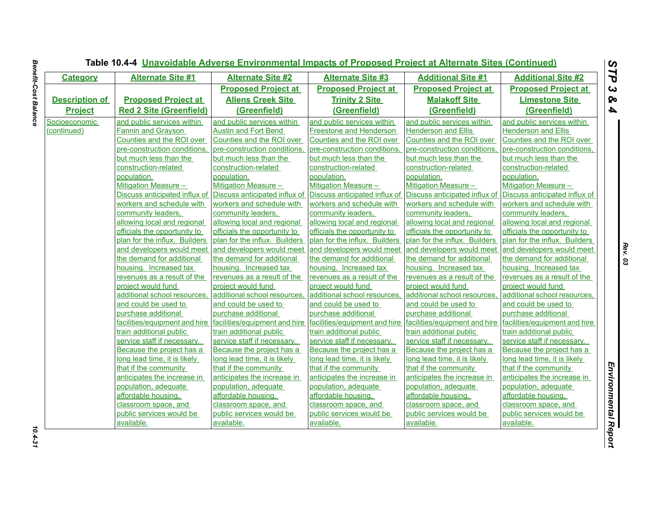| <b>Category</b>       | <b>Alternate Site #1</b>       | <b>Alternate Site #2</b>      | <b>Alternate Site #3</b>       | <b>Additional Site #1</b>     | <b>Additional Site #2</b>     |
|-----------------------|--------------------------------|-------------------------------|--------------------------------|-------------------------------|-------------------------------|
|                       |                                | <b>Proposed Project at</b>    | <b>Proposed Project at</b>     | <b>Proposed Project at</b>    | <b>Proposed Project at</b>    |
| <b>Description of</b> | <b>Proposed Project at</b>     | <b>Allens Creek Site</b>      | <b>Trinity 2 Site</b>          | <b>Malakoff Site</b>          | <b>Limestone Site</b>         |
| <b>Project</b>        | <b>Red 2 Site (Greenfield)</b> | (Greenfield)                  | (Greenfield)                   | (Greenfield)                  | (Greenfield)                  |
| Socioeconomic         | and public services within     | and public services within    | and public services within     | and public services within    | and public services within    |
| (continued)           | <b>Fannin and Grayson</b>      | <b>Austin and Fort Bend</b>   | <b>Freestone and Henderson</b> | <b>Henderson and Ellis</b>    | <b>Henderson and Ellis</b>    |
|                       | Counties and the ROI over      | Counties and the ROI over     | Counties and the ROI over      | Counties and the ROI over     | Counties and the ROI over     |
|                       | pre-construction conditions.   | pre-construction conditions.  | pre-construction conditions    | pre-construction conditions.  | pre-construction conditions,  |
|                       | but much less than the         | but much less than the        | but much less than the         | but much less than the        | but much less than the        |
|                       | construction-related           | construction-related          | construction-related           | construction-related          | construction-related          |
|                       | population.                    | population.                   | population.                    | population.                   | population.                   |
|                       | Mitigation Measure -           | Mitigation Measure -          | Mitigation Measure -           | Mitigation Measure -          | Mitigation Measure -          |
|                       | Discuss anticipated influx of  | Discuss anticipated influx of | Discuss anticipated influx of  | Discuss anticipated influx of | Discuss anticipated influx of |
|                       | workers and schedule with      | workers and schedule with     | workers and schedule with      | workers and schedule with     | workers and schedule with     |
|                       | community leaders,             | community leaders,            | community leaders,             | community leaders,            | community leaders,            |
|                       | allowing local and regional    | allowing local and regional   | allowing local and regional    | allowing local and regional   | allowing local and regional   |
|                       | officials the opportunity to   | officials the opportunity to  | officials the opportunity to   | officials the opportunity to  | officials the opportunity to  |
|                       | plan for the influx. Builders  | plan for the influx. Builders | plan for the influx. Builders  | plan for the influx. Builders | plan for the influx. Builders |
|                       | and developers would meet      | and developers would meet     | and developers would meet      | and developers would meet     | and developers would meet     |
|                       | the demand for additional      | the demand for additional     | the demand for additional      | the demand for additional     | the demand for additional     |
|                       | housing. Increased tax         | housing. Increased tax        | housing. Increased tax         | housing. Increased tax        | housing. Increased tax        |
|                       | revenues as a result of the    | revenues as a result of the   | revenues as a result of the    | revenues as a result of the   | revenues as a result of the   |
|                       | project would fund             | project would fund            | project would fund             | project would fund            | project would fund            |
|                       | additional school resources,   | additional school resources,  | additional school resources    | additional school resources,  | additional school resources,  |
|                       | and could be used to           | and could be used to          | and could be used to           | and could be used to          | and could be used to          |
|                       | purchase additional            | purchase additional           | purchase additional            | purchase additional           | purchase additional           |
|                       | facilities/equipment and hire  | facilities/equipment and hire | facilities/equipment and hire  | facilities/equipment and hire | facilities/equipment and hire |
|                       | train additional public        | train additional public       | train additional public        | train additional public       | train additional public       |
|                       | service staff if necessary.    | service staff if necessary.   | service staff if necessary.    | service staff if necessary.   | service staff if necessary.   |
|                       | Because the project has a      | Because the project has a     | Because the project has a      | Because the project has a     | Because the project has a     |
|                       | long lead time, it is likely   | long lead time, it is likely  | long lead time, it is likely   | long lead time, it is likely  | long lead time, it is likely  |
|                       | that if the community          | that if the community         | that if the community          | that if the community         | that if the community         |
|                       | anticipates the increase in    | anticipates the increase in   | anticipates the increase in    | anticipates the increase in   | anticipates the increase in   |
|                       | population, adequate           | population, adequate          | population, adequate           | population, adequate          | population, adequate          |
|                       | affordable housing.            | affordable housing,           | affordable housing.            | affordable housing,           | affordable housing,           |
|                       | classroom space, and           | classroom space, and          | classroom space, and           | classroom space, and          | classroom space, and          |
|                       | public services would be       | public services would be      | public services would be       | public services would be      | public services would be      |
|                       | available.                     | available.                    | available.                     | available.                    | available.                    |

# **Benefit-Cost Balance** *Benefit-Cost Balance 10.4-31*

 $10.4 - 31$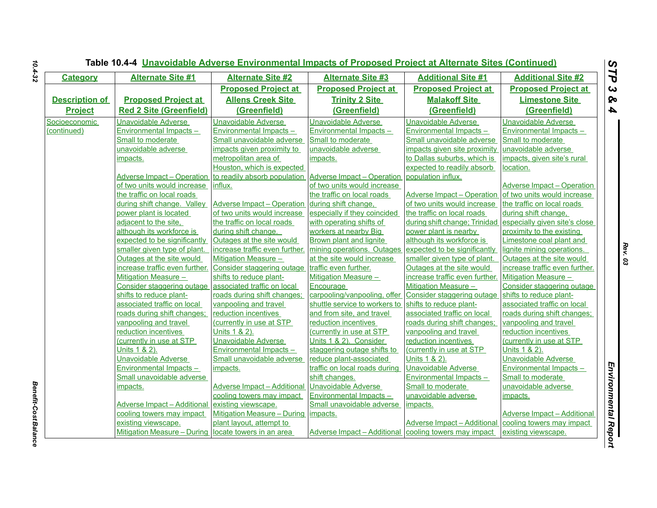|                       | <b>Alternate Site #1</b><br><b>Alternate Site #2</b><br><b>Alternate Site #3</b><br><b>Additional Site #1</b> |                                    |                                                       |                                    |                                    |
|-----------------------|---------------------------------------------------------------------------------------------------------------|------------------------------------|-------------------------------------------------------|------------------------------------|------------------------------------|
| <b>Category</b>       |                                                                                                               |                                    |                                                       |                                    | <b>Additional Site #2</b>          |
|                       |                                                                                                               | <b>Proposed Project at</b>         | <b>Proposed Project at</b>                            | <b>Proposed Project at</b>         | <b>Proposed Project at</b>         |
| <b>Description of</b> | <b>Proposed Project at</b>                                                                                    | <b>Allens Creek Site</b>           | <b>Trinity 2 Site</b>                                 | <b>Malakoff Site</b>               | <b>Limestone Site</b>              |
| <b>Project</b>        | <b>Red 2 Site (Greenfield)</b>                                                                                | (Greenfield)                       | (Greenfield)                                          | (Greenfield)                       | (Greenfield)                       |
| Socioeconomic         | Unavoidable Adverse                                                                                           | <b>Unavoidable Adverse</b>         | <b>Unavoidable Adverse</b>                            | Unavoidable Adverse                | Unavoidable Adverse                |
| (continued)           | Environmental Impacts -                                                                                       | Environmental Impacts -            | Environmental Impacts -                               | Environmental Impacts -            | Environmental Impacts -            |
|                       | Small to moderate                                                                                             | Small unavoidable adverse          | Small to moderate                                     | Small unavoidable adverse          | Small to moderate                  |
|                       | unavoidable adverse                                                                                           | impacts given proximity to         | unavoidable adverse                                   | impacts given site proximity       | unavoidable adverse                |
|                       | impacts.                                                                                                      | metropolitan area of               | impacts.                                              | to Dallas suburbs, which is        | impacts, given site's rural        |
|                       |                                                                                                               | Houston, which is expected         |                                                       | expected to readily absorb         | location.                          |
|                       | Adverse Impact – Operation to readily absorb population                                                       |                                    | Adverse Impact - Operation                            | population influx.                 |                                    |
|                       | of two units would increase influx.                                                                           |                                    | of two units would increase                           |                                    | Adverse Impact – Operation         |
|                       | the traffic on local roads                                                                                    |                                    | the traffic on local roads                            | Adverse Impact – Operation         | of two units would increase        |
|                       | during shift change. Valley                                                                                   | Adverse Impact - Operation         | during shift change,                                  | of two units would increase        | the traffic on local roads         |
|                       | power plant is located                                                                                        | of two units would increase        | especially if they coincided                          | the traffic on local roads         | during shift change.               |
|                       | adjacent to the site.                                                                                         | the traffic on local roads         | with operating shifts of                              | during shift change; Trinidad      | especially given site's close      |
|                       | although its workforce is                                                                                     | during shift change.               | workers at nearby Big                                 | power plant is nearby              | proximity to the existing          |
|                       | expected to be significantly                                                                                  | Outages at the site would          | Brown plant and lignite                               | although its workforce is          | Limestone coal plant and           |
|                       | smaller given type of plant.                                                                                  | increase traffic even further.     | mining operations. Outages                            | expected to be significantly       | lignite mining operations.         |
|                       | Outages at the site would                                                                                     | Mitigation Measure -               | at the site would increase                            | smaller given type of plant.       | Outages at the site would          |
|                       | increase traffic even further.                                                                                | Consider staggering outage         | traffic even further.                                 | Outages at the site would          | increase traffic even further.     |
|                       | Mitigation Measure -                                                                                          | shifts to reduce plant-            | <b>Mitigation Measure -</b>                           | increase traffic even further.     | <b>Mitigation Measure -</b>        |
|                       | Consider staggering outage                                                                                    | associated traffic on local        | Encourage                                             | Mitigation Measure -               | Consider staggering outage         |
|                       | shifts to reduce plant-                                                                                       | roads during shift changes;        | carpooling/vanpooling, offer                          | Consider staggering outage         | shifts to reduce plant-            |
|                       | associated traffic on local                                                                                   | vanpooling and travel              | shuttle service to workers to                         | shifts to reduce plant-            | associated traffic on local        |
|                       | roads during shift changes;                                                                                   | reduction incentives               | and from site, and travel                             | associated traffic on local        | roads during shift changes;        |
|                       | vanpooling and travel                                                                                         | (currently in use at STP           | reduction incentives                                  | roads during shift changes;        | vanpooling and travel              |
|                       | reduction incentives                                                                                          | Units 1 & 2).                      | (currently in use at STP                              | vanpooling and travel              | reduction incentives               |
|                       | (currently in use at STP                                                                                      | Unavoidable Adverse                | Units 1 & 2). Consider                                | reduction incentives               | (currently in use at STP           |
|                       | Units 1 & 2).                                                                                                 | <b>Environmental Impacts -</b>     | staggering outage shifts to                           | (currently in use at STP           | Units 1 & 2).                      |
|                       | <b>Unavoidable Adverse</b>                                                                                    | Small unavoidable adverse          | reduce plant-associated                               | Units 1 & 2).                      | <b>Unavoidable Adverse</b>         |
|                       | Environmental Impacts-                                                                                        | impacts.                           | traffic on local roads during                         | <b>Unavoidable Adverse</b>         | Environmental Impacts -            |
|                       | Small unavoidable adverse                                                                                     |                                    | shift changes.                                        | Environmental Impacts -            | Small to moderate                  |
|                       | impacts.                                                                                                      | <b>Adverse Impact - Additional</b> | <b>Unavoidable Adverse</b>                            | Small to moderate                  | unavoidable adverse                |
|                       |                                                                                                               | cooling towers may impact          | Environmental Impacts -                               | unavoidable adverse                | impacts.                           |
|                       | <b>Adverse Impact - Additional</b>                                                                            | existing viewscape.                | Small unavoidable adverse                             | impacts.                           |                                    |
|                       | cooling towers may impact                                                                                     | <b>Mitigation Measure - During</b> | impacts.                                              |                                    | <b>Adverse Impact - Additional</b> |
|                       | existing viewscape.                                                                                           | plant layout, attempt to           |                                                       | <b>Adverse Impact - Additional</b> | cooling towers may impact          |
|                       | Mitigation Measure - During locate towers in an area                                                          |                                    | Adverse Impact - Additional cooling towers may impact |                                    | existing viewscape.                |

*Benefit-Cost Balance* 

**Benefit-Cost Balance**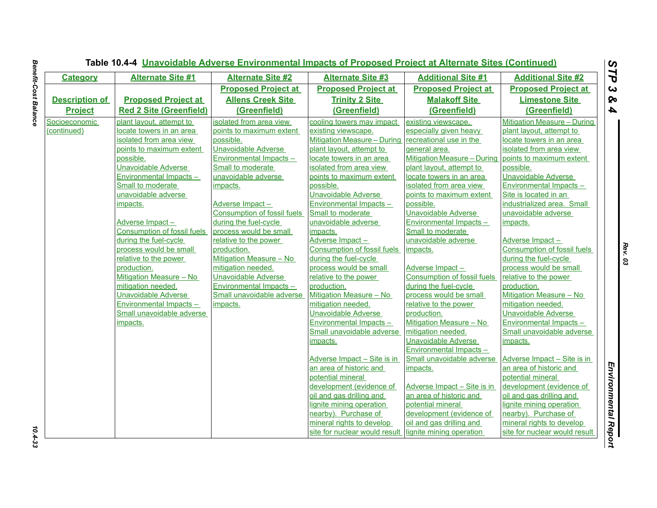| <b>Category</b>       | <b>Alternate Site #1</b>           | <b>Alternate Site #2</b>           | <b>Alternate Site #3</b>           | <b>Additional Site #1</b>          | <b>Additional Site #2</b>          |
|-----------------------|------------------------------------|------------------------------------|------------------------------------|------------------------------------|------------------------------------|
|                       |                                    | <b>Proposed Project at</b>         | <b>Proposed Project at</b>         | <b>Proposed Project at</b>         | <b>Proposed Project at</b>         |
| <b>Description of</b> | <b>Proposed Project at</b>         | <b>Allens Creek Site</b>           | <b>Trinity 2 Site</b>              | <b>Malakoff Site</b>               | <b>Limestone Site</b>              |
| <b>Project</b>        | <b>Red 2 Site (Greenfield)</b>     | (Greenfield)                       | (Greenfield)                       | (Greenfield)                       | (Greenfield)                       |
| Socioeconomic         | plant layout, attempt to           | isolated from area view            | cooling towers may impact          | existing viewscape,                | Mitigation Measure - During        |
| (continued)           | locate towers in an area           | points to maximum extent           | existing viewscape.                | especially given heavy             | plant layout, attempt to           |
|                       | isolated from area view            | possible.                          | <b>Mitigation Measure - During</b> | recreational use in the            | locate towers in an area           |
|                       | points to maximum extent           | <b>Unavoidable Adverse</b>         | plant layout, attempt to           | deneral area.                      | isolated from area view            |
|                       | possible.                          | Environmental Impacts-             | locate towers in an area           | <b>Mitigation Measure - During</b> | points to maximum extent           |
|                       | Unavoidable Adverse                | Small to moderate                  | isolated from area view            | plant layout, attempt to           | possible.                          |
|                       | Environmental Impacts-             | unavoidable adverse                | points to maximum extent           | locate towers in an area           | Unavoidable Adverse                |
|                       | Small to moderate                  | impacts.                           | possible.                          | isolated from area view            | Environmental Impacts -            |
|                       | unavoidable adverse                |                                    | Unavoidable Adverse                | points to maximum extent           | Site is located in an              |
|                       | impacts.                           | Adverse Impact-                    | Environmental Impacts-             | possible.                          | industrialized area. Small         |
|                       |                                    | <b>Consumption of fossil fuels</b> | Small to moderate                  | <b>Unavoidable Adverse</b>         | unavoidable adverse                |
|                       | Adverse Impact-                    | during the fuel-cycle              | unavoidable adverse                | <b>Environmental Impacts -</b>     | impacts.                           |
|                       | <b>Consumption of fossil fuels</b> | process would be small             | impacts.                           | Small to moderate                  |                                    |
|                       | during the fuel-cycle              | relative to the power              | Adverse Impact-                    | unavoidable adverse                | Adverse Impact-                    |
|                       | process would be small             | production.                        | <b>Consumption of fossil fuels</b> | impacts.                           | <b>Consumption of fossil fuels</b> |
|                       | relative to the power              | Mitigation Measure - No            | during the fuel-cycle              |                                    | during the fuel-cycle              |
|                       | production.                        | mitigation needed.                 | process would be small             | Adverse Impact-                    | process would be small             |
|                       | Mitigation Measure - No            | Unavoidable Adverse                | relative to the power              | <b>Consumption of fossil fuels</b> | relative to the power              |
|                       | mitigation needed.                 | Environmental Impacts -            | production.                        | during the fuel-cycle              | production.                        |
|                       | Unavoidable Adverse                | Small unavoidable adverse          | Mitigation Measure - No            | process would be small             | Mitigation Measure - No            |
|                       | Environmental Impacts-             | impacts.                           | mitigation needed.                 | relative to the power              | mitigation needed.                 |
|                       | Small unavoidable adverse          |                                    | Unavoidable Adverse                | production.                        | Unavoidable Adverse                |
|                       | impacts.                           |                                    | Environmental Impacts-             | Mitigation Measure - No            | Environmental Impacts-             |
|                       |                                    |                                    | Small unavoidable adverse          | mitigation needed.                 | Small unavoidable adverse          |
|                       |                                    |                                    | impacts.                           | <b>Unavoidable Adverse</b>         | impacts.                           |
|                       |                                    |                                    |                                    | <b>Environmental Impacts -</b>     |                                    |
|                       |                                    |                                    | Adverse Impact - Site is in        | Small unavoidable adverse          | Adverse Impact - Site is in        |
|                       |                                    |                                    | an area of historic and            | impacts.                           | an area of historic and            |
|                       |                                    |                                    | potential mineral                  |                                    | potential mineral                  |
|                       |                                    |                                    | development (evidence of           | Adverse Impact - Site is in        | development (evidence of           |
|                       |                                    |                                    | oil and gas drilling and           | an area of historic and            | oil and gas drilling and           |
|                       |                                    |                                    | lignite mining operation           | potential mineral                  | lignite mining operation           |
|                       |                                    |                                    | nearby). Purchase of               | development (evidence of           | nearby). Purchase of               |
|                       |                                    |                                    | mineral rights to develop          | oil and gas drilling and           | mineral rights to develop          |
|                       |                                    |                                    | site for nuclear would result      | lignite mining operation           | site for nuclear would result      |

 $10.4 - 33$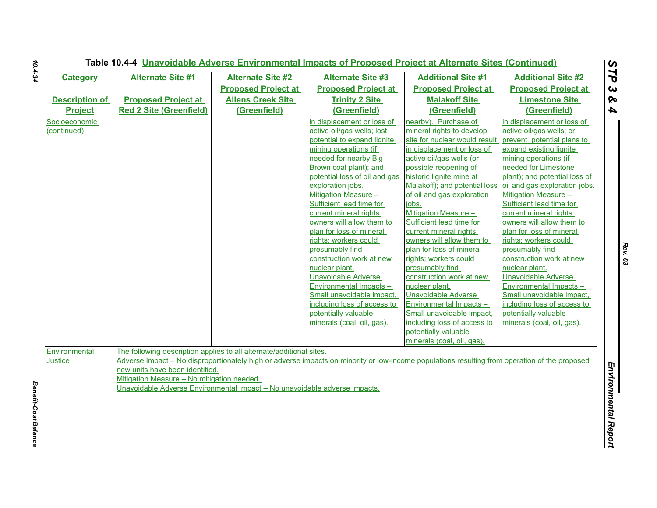| <b>Category</b>       | <b>Alternate Site #1</b>                                                   | <b>Alternate Site #2</b>   | <b>Alternate Site #3</b>                                                                                                                      | <b>Additional Site #1</b>     | <b>Additional Site #2</b>     |
|-----------------------|----------------------------------------------------------------------------|----------------------------|-----------------------------------------------------------------------------------------------------------------------------------------------|-------------------------------|-------------------------------|
|                       |                                                                            | <b>Proposed Project at</b> | <b>Proposed Project at</b>                                                                                                                    | <b>Proposed Project at</b>    | <b>Proposed Project at</b>    |
| <b>Description of</b> | <b>Proposed Project at</b>                                                 | <b>Allens Creek Site</b>   | <b>Trinity 2 Site</b>                                                                                                                         | <b>Malakoff Site</b>          | <b>Limestone Site</b>         |
| <b>Project</b>        | <b>Red 2 Site (Greenfield)</b>                                             | (Greenfield)               | (Greenfield)                                                                                                                                  | (Greenfield)                  | (Greenfield)                  |
| Socioeconomic         |                                                                            |                            | in displacement or loss of                                                                                                                    | nearby). Purchase of          | in displacement or loss of    |
| (continued)           |                                                                            |                            | active oil/gas wells; lost                                                                                                                    | mineral rights to develop     | active oil/gas wells; or      |
|                       |                                                                            |                            | potential to expand lignite                                                                                                                   | site for nuclear would result | prevent potential plans to    |
|                       |                                                                            |                            | mining operations (if                                                                                                                         | in displacement or loss of    | expand existing lignite       |
|                       |                                                                            |                            | needed for nearby Big                                                                                                                         | active oil/gas wells (or      | mining operations (if         |
|                       |                                                                            |                            | Brown coal plant); and                                                                                                                        | possible reopening of         | needed for Limestone          |
|                       |                                                                            |                            | potential loss of oil and gas                                                                                                                 | historic lignite mine at      | plant); and potential loss of |
|                       |                                                                            |                            | exploration jobs.                                                                                                                             | Malakoff); and potential loss | oil and gas exploration jobs. |
|                       |                                                                            |                            | <b>Mitigation Measure -</b>                                                                                                                   | of oil and gas exploration    | <b>Mitigation Measure -</b>   |
|                       |                                                                            |                            | Sufficient lead time for                                                                                                                      | jobs.                         | Sufficient lead time for      |
|                       |                                                                            |                            | current mineral rights                                                                                                                        | Mitigation Measure -          | current mineral rights        |
|                       |                                                                            |                            | owners will allow them to                                                                                                                     | Sufficient lead time for      | owners will allow them to     |
|                       |                                                                            |                            | plan for loss of mineral                                                                                                                      | current mineral rights        | plan for loss of mineral      |
|                       |                                                                            |                            | rights; workers could                                                                                                                         | owners will allow them to     | rights; workers could         |
|                       |                                                                            |                            | presumably find                                                                                                                               | plan for loss of mineral      | presumably find               |
|                       |                                                                            |                            | construction work at new                                                                                                                      | rights; workers could         | construction work at new      |
|                       |                                                                            |                            | nuclear plant.                                                                                                                                | presumably find               | nuclear plant.                |
|                       |                                                                            |                            | <b>Unavoidable Adverse</b>                                                                                                                    | construction work at new      | Unavoidable Adverse           |
|                       |                                                                            |                            | Environmental Impacts -                                                                                                                       | nuclear plant.                | Environmental Impacts -       |
|                       |                                                                            |                            | Small unavoidable impact,                                                                                                                     | <b>Unavoidable Adverse</b>    | Small unavoidable impact,     |
|                       |                                                                            |                            | including loss of access to                                                                                                                   | Environmental Impacts-        | including loss of access to   |
|                       |                                                                            |                            | potentially valuable                                                                                                                          | Small unavoidable impact,     | potentially valuable          |
|                       |                                                                            |                            | minerals (coal, oil, gas).                                                                                                                    | including loss of access to   | minerals (coal, oil, gas).    |
|                       |                                                                            |                            |                                                                                                                                               | potentially valuable          |                               |
|                       |                                                                            |                            |                                                                                                                                               | minerals (coal, oil, gas).    |                               |
| Environmental         | The following description applies to all alternate/additional sites.       |                            |                                                                                                                                               |                               |                               |
| <b>Justice</b>        |                                                                            |                            | Adverse Impact – No disproportionately high or adverse impacts on minority or low-income populations resulting from operation of the proposed |                               |                               |
|                       | new units have been identified.                                            |                            |                                                                                                                                               |                               |                               |
|                       | Mitigation Measure - No mitigation needed.                                 |                            |                                                                                                                                               |                               |                               |
|                       | Unavoidable Adverse Environmental Impact - No unavoidable adverse impacts. |                            |                                                                                                                                               |                               |                               |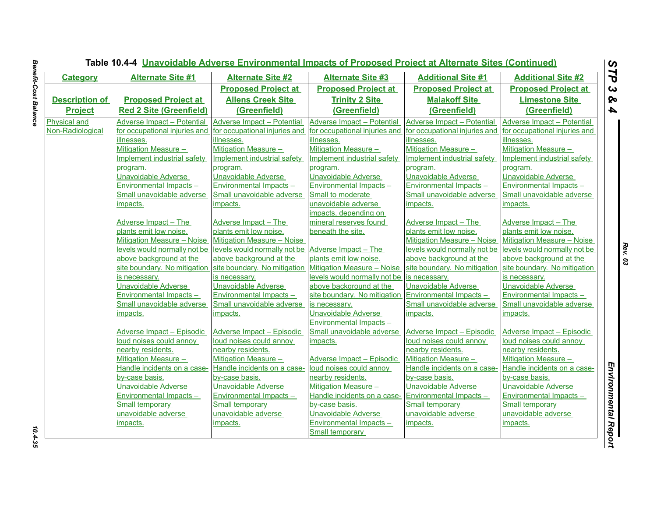| <b>Category</b>       | <b>Alternate Site #1</b>          | <b>Alternate Site #2</b>          | <b>Alternate Site #3</b>           | <b>Additional Site #1</b>     | <b>Additional Site #2</b>         |
|-----------------------|-----------------------------------|-----------------------------------|------------------------------------|-------------------------------|-----------------------------------|
|                       |                                   | <b>Proposed Project at</b>        | <b>Proposed Project at</b>         | <b>Proposed Project at</b>    | <b>Proposed Project at</b>        |
| <b>Description of</b> | <b>Proposed Project at</b>        | <b>Allens Creek Site</b>          | <b>Trinity 2 Site</b>              | <b>Malakoff Site</b>          | <b>Limestone Site</b>             |
| <b>Project</b>        | <b>Red 2 Site (Greenfield)</b>    | (Greenfield)                      | (Greenfield)                       | (Greenfield)                  | (Greenfield)                      |
| Physical and          | <b>Adverse Impact - Potential</b> | <b>Adverse Impact - Potential</b> | Adverse Impact - Potential         | Adverse Impact - Potential    | <b>Adverse Impact - Potential</b> |
| Non-Radiological      | for occupational injuries and     | for occupational injuries and     | for occupational injuries and      | for occupational injuries and | for occupational injuries and     |
|                       | illnesses.                        | illnesses.                        | illnesses.                         | illnesses.                    | illnesses.                        |
|                       | Mitigation Measure -              | Mitigation Measure -              | Mitigation Measure -               | <b>Mitigation Measure -</b>   | Mitigation Measure -              |
|                       | Implement industrial safety       | Implement industrial safety       | <b>Implement industrial safety</b> | Implement industrial safety   | Implement industrial safety       |
|                       | program.                          | program.                          | program.                           | program.                      | program.                          |
|                       | <b>Unavoidable Adverse</b>        | Unavoidable Adverse               | Unavoidable Adverse                | <b>Unavoidable Adverse</b>    | <b>Unavoidable Adverse</b>        |
|                       | Environmental Impacts-            | Environmental Impacts -           | Environmental Impacts-             | Environmental Impacts-        | Environmental Impacts-            |
|                       | Small unavoidable adverse         | Small unavoidable adverse         | Small to moderate                  | Small unavoidable adverse     | Small unavoidable adverse         |
|                       | impacts.                          | impacts.                          | unavoidable adverse                | impacts.                      | impacts.                          |
|                       |                                   |                                   | impacts, depending on              |                               |                                   |
|                       | <b>Adverse Impact - The</b>       | Adverse Impact - The              | mineral reserves found             | Adverse Impact - The          | Adverse Impact - The              |
|                       | plants emit low noise.            | plants emit low noise.            | beneath the site.                  | plants emit low noise.        | plants emit low noise.            |
|                       | Mitigation Measure - Noise        | Mitigation Measure - Noise        |                                    | Mitigation Measure - Noise    | Mitigation Measure - Noise        |
|                       | levels would normally not be      | levels would normally not be      | Adverse Impact - The               | levels would normally not be  | levels would normally not be      |
|                       | above background at the           | above background at the           | plants emit low noise.             | above background at the       | above background at the           |
|                       | site boundary. No mitigation      | site boundary. No mitigation      | Mitigation Measure - Noise         | site boundary. No mitigation  | site boundary. No mitigation      |
|                       | is necessary.                     | is necessary.                     | levels would normally not be       | is necessary.                 | is necessary.                     |
|                       | Unavoidable Adverse               | Unavoidable Adverse               | above background at the            | Unavoidable Adverse           | Unavoidable Adverse               |
|                       | Environmental Impacts -           | Environmental Impacts -           | site boundary. No mitigation       | Environmental Impacts -       | Environmental Impacts -           |
|                       | Small unavoidable adverse         | Small unavoidable adverse         | is necessary.                      | Small unavoidable adverse     | Small unavoidable adverse         |
|                       | impacts.                          | impacts.                          | <b>Unavoidable Adverse</b>         | impacts.                      | impacts.                          |
|                       |                                   |                                   | Environmental Impacts -            |                               |                                   |
|                       | <b>Adverse Impact - Episodic</b>  | <b>Adverse Impact - Episodic</b>  | Small unavoidable adverse          | Adverse Impact - Episodic     | <b>Adverse Impact - Episodic</b>  |
|                       | loud noises could annoy           | loud noises could annoy           | impacts.                           | loud noises could annoy       | loud noises could annoy           |
|                       | nearby residents.                 | nearby residents.                 |                                    | nearby residents.             | nearby residents.                 |
|                       | Mitigation Measure -              | <b>Mitigation Measure -</b>       | <b>Adverse Impact - Episodic</b>   | Mitigation Measure -          | <b>Mitigation Measure -</b>       |
|                       | Handle incidents on a case-       | Handle incidents on a case-       | loud noises could annoy            | Handle incidents on a case-   | Handle incidents on a case-       |
|                       | by-case basis.                    | by-case basis.                    | nearby residents.                  | by-case basis.                | by-case basis.                    |
|                       | Unavoidable Adverse               | Unavoidable Adverse               | <b>Mitigation Measure -</b>        | Unavoidable Adverse           | Unavoidable Adverse               |
|                       | <b>Environmental Impacts -</b>    | <b>Environmental Impacts -</b>    | Handle incidents on a case-        | Environmental Impacts -       | <b>Environmental Impacts-</b>     |
|                       | <b>Small temporary</b>            | <b>Small temporary</b>            | by-case basis.                     | <b>Small temporary</b>        | <b>Small temporary</b>            |
|                       | unavoidable adverse               | unavoidable adverse               | Unavoidable Adverse                | unavoidable adverse           | unavoidable adverse               |
|                       | <u>impacts.</u>                   | <u>impacts.</u>                   | <b>Environmental Impacts -</b>     | impacts.                      | <u>impacts.</u>                   |
|                       |                                   |                                   | <b>Small temporary</b>             |                               |                                   |

 $10.4 - 35$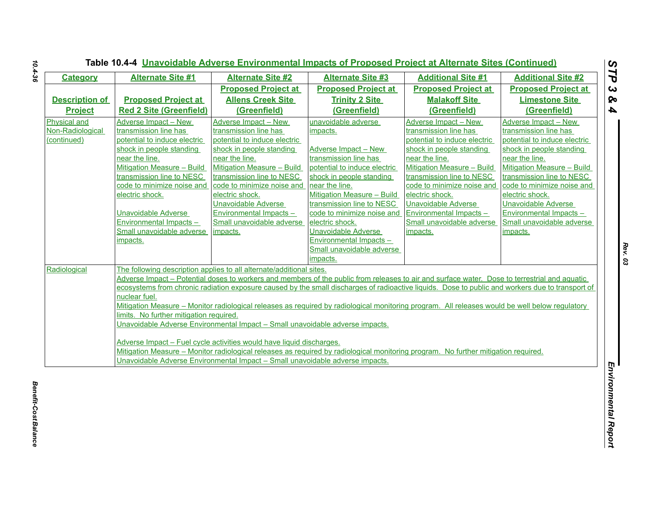| <b>Category</b>       | <b>Alternate Site #1</b>                | <b>Alternate Site #2</b>                                                      | <b>Alternate Site #3</b>                                                                                                                         | <b>Additional Site #1</b>         | <b>Additional Site #2</b>         |
|-----------------------|-----------------------------------------|-------------------------------------------------------------------------------|--------------------------------------------------------------------------------------------------------------------------------------------------|-----------------------------------|-----------------------------------|
|                       |                                         | <b>Proposed Project at</b>                                                    | <b>Proposed Project at</b>                                                                                                                       | <b>Proposed Project at</b>        | <b>Proposed Project at</b>        |
| <b>Description of</b> | <b>Proposed Project at</b>              | <b>Allens Creek Site</b>                                                      | <b>Trinity 2 Site</b>                                                                                                                            | <b>Malakoff Site</b>              | <b>Limestone Site</b>             |
| <b>Project</b>        | <b>Red 2 Site (Greenfield)</b>          | (Greenfield)                                                                  | (Greenfield)                                                                                                                                     | (Greenfield)                      | (Greenfield)                      |
| <b>Physical and</b>   | <b>Adverse Impact - New</b>             | Adverse Impact - New                                                          | unavoidable adverse                                                                                                                              | Adverse Impact - New              | Adverse Impact - New              |
| Non-Radiological      | transmission line has                   | transmission line has                                                         | impacts.                                                                                                                                         | transmission line has             | transmission line has             |
| (continued)           | potential to induce electric            | potential to induce electric                                                  |                                                                                                                                                  | potential to induce electric      | potential to induce electric      |
|                       | shock in people standing                | shock in people standing                                                      | Adverse Impact - New                                                                                                                             | shock in people standing          | shock in people standing          |
|                       | near the line.                          | near the line.                                                                | transmission line has                                                                                                                            | near the line.                    | near the line.                    |
|                       | Mitigation Measure - Build              | <b>Mitigation Measure - Build</b>                                             | potential to induce electric                                                                                                                     | <b>Mitigation Measure - Build</b> | <b>Mitigation Measure - Build</b> |
|                       | transmission line to NESC               | transmission line to NESC                                                     | shock in people standing                                                                                                                         | transmission line to NESC         | transmission line to NESC         |
|                       | code to minimize noise and              | code to minimize noise and                                                    | near the line.                                                                                                                                   | code to minimize noise and        | code to minimize noise and        |
|                       | electric shock.                         | electric shock.                                                               | <b>Mitigation Measure - Build</b>                                                                                                                | electric shock.                   | electric shock.                   |
|                       |                                         | <b>Unavoidable Adverse</b>                                                    | transmission line to NESC                                                                                                                        | <b>Unavoidable Adverse</b>        | <b>Unavoidable Adverse</b>        |
|                       | <b>Unavoidable Adverse</b>              | Environmental Impacts -                                                       | code to minimize noise and                                                                                                                       | Environmental Impacts -           | <b>Environmental Impacts -</b>    |
|                       | Environmental Impacts-                  | Small unavoidable adverse                                                     | electric shock.                                                                                                                                  | Small unavoidable adverse         | Small unavoidable adverse         |
|                       | Small unavoidable adverse               | impacts.                                                                      | Unavoidable Adverse                                                                                                                              | impacts.                          | impacts.                          |
|                       | impacts.                                |                                                                               | Environmental Impacts -                                                                                                                          |                                   |                                   |
|                       |                                         |                                                                               | Small unavoidable adverse                                                                                                                        |                                   |                                   |
|                       |                                         |                                                                               | impacts.                                                                                                                                         |                                   |                                   |
| Radiological          |                                         | The following description applies to all alternate/additional sites.          |                                                                                                                                                  |                                   |                                   |
|                       |                                         |                                                                               | Adverse Impact – Potential doses to workers and members of the public from releases to air and surface water. Dose to terrestrial and aquatic    |                                   |                                   |
|                       |                                         |                                                                               | ecosystems from chronic radiation exposure caused by the small discharges of radioactive liquids. Dose to public and workers due to transport of |                                   |                                   |
|                       | nuclear fuel.                           |                                                                               |                                                                                                                                                  |                                   |                                   |
|                       |                                         |                                                                               | Mitigation Measure – Monitor radiological releases as required by radiological monitoring program. All releases would be well below regulatory   |                                   |                                   |
|                       | limits. No further mitigation required. |                                                                               |                                                                                                                                                  |                                   |                                   |
|                       |                                         | Unavoidable Adverse Environmental Impact - Small unavoidable adverse impacts. |                                                                                                                                                  |                                   |                                   |
|                       |                                         | Adverse Impact - Fuel cycle activities would have liquid discharges.          |                                                                                                                                                  |                                   |                                   |
|                       |                                         |                                                                               | Mitigation Measure – Monitor radiological releases as required by radiological monitoring program. No further mitigation required.               |                                   |                                   |
|                       |                                         |                                                                               | Unavoidable Adverse Environmental Impact - Small unavoidable adverse impacts.                                                                    |                                   |                                   |
|                       |                                         |                                                                               |                                                                                                                                                  |                                   |                                   |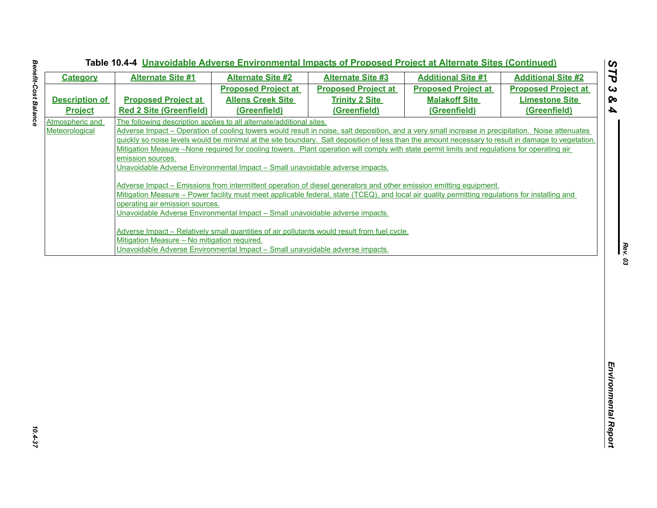| <b>Category</b>                   | <b>Alternate Site #1</b>                                                                             | <b>Alternate Site #2</b>                                                                                                                                                                                                                                                                                                                                                                                                                                                                                                                      | <b>Alternate Site #3</b>   | <b>Additional Site #1</b>                                                                                                                                                                                                                                                                                                                                                                                                                                                                                                                                                                                   | <b>Additional Site #2</b>  |
|-----------------------------------|------------------------------------------------------------------------------------------------------|-----------------------------------------------------------------------------------------------------------------------------------------------------------------------------------------------------------------------------------------------------------------------------------------------------------------------------------------------------------------------------------------------------------------------------------------------------------------------------------------------------------------------------------------------|----------------------------|-------------------------------------------------------------------------------------------------------------------------------------------------------------------------------------------------------------------------------------------------------------------------------------------------------------------------------------------------------------------------------------------------------------------------------------------------------------------------------------------------------------------------------------------------------------------------------------------------------------|----------------------------|
|                                   |                                                                                                      | <b>Proposed Project at</b>                                                                                                                                                                                                                                                                                                                                                                                                                                                                                                                    | <b>Proposed Project at</b> | <b>Proposed Project at</b>                                                                                                                                                                                                                                                                                                                                                                                                                                                                                                                                                                                  | <b>Proposed Project at</b> |
| <b>Description of</b>             | <b>Proposed Project at</b>                                                                           | <b>Allens Creek Site</b>                                                                                                                                                                                                                                                                                                                                                                                                                                                                                                                      | <b>Trinity 2 Site</b>      | <b>Malakoff Site</b>                                                                                                                                                                                                                                                                                                                                                                                                                                                                                                                                                                                        | <b>Limestone Site</b>      |
| <b>Project</b>                    | <b>Red 2 Site (Greenfield)</b>                                                                       | (Greenfield)                                                                                                                                                                                                                                                                                                                                                                                                                                                                                                                                  | (Greenfield)               | (Greenfield)                                                                                                                                                                                                                                                                                                                                                                                                                                                                                                                                                                                                | (Greenfield)               |
| Atmospheric and<br>Meteorological | emission sources.<br>operating air emission sources.<br>Mitigation Measure - No mitigation required. | The following description applies to all alternate/additional sites.<br>Unavoidable Adverse Environmental Impact - Small unavoidable adverse impacts.<br>Adverse Impact – Emissions from intermittent operation of diesel generators and other emission emitting equipment.<br>Unavoidable Adverse Environmental Impact - Small unavoidable adverse impacts.<br>Adverse Impact - Relatively small quantities of air pollutants would result from fuel cycle.<br>Unavoidable Adverse Environmental Impact - Small unavoidable adverse impacts. |                            | Adverse Impact – Operation of cooling towers would result in noise, salt deposition, and a very small increase in precipitation. Noise attenuates<br>quickly so noise levels would be minimal at the site boundary. Salt deposition of less than the amount necessary to result in damage to vegetation.<br>Mitigation Measure –None required for cooling towers. Plant operation will comply with state permit limits and regulations for operating air<br>Mitigation Measure – Power facility must meet applicable federal, state (TCEQ), and local air quality permitting regulations for installing and |                            |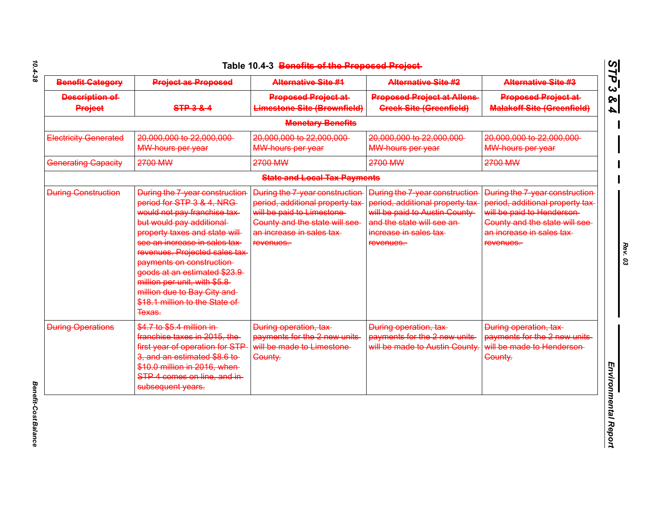| <b>Benefit Gategory</b>                 | <b>Project as Proposed</b>                                                                                                                                                                                                                                                                                                                                                                         | <b>Alternative Site #4</b>                                                                                                                                                 | <b>Alternative Site #2</b>                                                                                                                                              | <b>Alternative Site #3</b>                                                                                                                                                 |
|-----------------------------------------|----------------------------------------------------------------------------------------------------------------------------------------------------------------------------------------------------------------------------------------------------------------------------------------------------------------------------------------------------------------------------------------------------|----------------------------------------------------------------------------------------------------------------------------------------------------------------------------|-------------------------------------------------------------------------------------------------------------------------------------------------------------------------|----------------------------------------------------------------------------------------------------------------------------------------------------------------------------|
| <b>Description of</b><br><b>Project</b> | $STP-3-8-4$                                                                                                                                                                                                                                                                                                                                                                                        | <b>Proposed Project at-</b><br><b>Limestone Site (Brownfield)</b>                                                                                                          | <b>Proposed Project at Allens</b><br><b>Creek Site (Greenfield)</b>                                                                                                     | <b>Proposed Project at-</b><br><b>Malakoff Site (Greenfield)</b>                                                                                                           |
|                                         |                                                                                                                                                                                                                                                                                                                                                                                                    | <b>Monetary Benefits</b>                                                                                                                                                   |                                                                                                                                                                         |                                                                                                                                                                            |
| <b>Electricity Generated</b>            | 20,000,000 to 22,000,000<br>MW-hours per year                                                                                                                                                                                                                                                                                                                                                      | 20,000,000 to 22,000,000<br><b>MW-hours per year</b>                                                                                                                       | 20,000,000 to 22,000,000<br><b>MW-hours per year</b>                                                                                                                    | 20,000,000 to 22,000,000<br><b>MW-hours per year</b>                                                                                                                       |
| Generating Capacity                     | 2700 MW                                                                                                                                                                                                                                                                                                                                                                                            | 2700 MW                                                                                                                                                                    | 2700 MW                                                                                                                                                                 | 2700 MW                                                                                                                                                                    |
|                                         |                                                                                                                                                                                                                                                                                                                                                                                                    | <b>State and Local Tax Payments</b>                                                                                                                                        |                                                                                                                                                                         |                                                                                                                                                                            |
| <b>During Construction</b>              | During the 7-year construction<br>period for STP 3 & 4, NRG-<br>would not pay franchise tax-<br>but would pay additional<br>property taxes and state will<br>see an increase in sales tax<br>revenues. Projected sales tax<br>payments on construction<br>goods at an estimated \$23.9<br>million per unit, with \$5.8-<br>million due to Bay City and<br>\$18.1 million to the State of<br>Texas. | During the 7-year construction<br>period, additional property tax<br>will be paid to Limestone<br>County and the state will see-<br>an increase in sales tax-<br>revenues. | During the 7-year construction<br>period, additional property tax<br>will be paid to Austin County<br>and the state will see an-<br>increase in sales tax-<br>revenues. | During the 7-year construction<br>period, additional property tax<br>will be paid to Henderson-<br>County and the state will see<br>an increase in sales tax-<br>revenues. |
| <b>During Operations</b>                | \$4.7 to \$5.4 million in-<br>franchise taxes in 2015, the<br>first year of operation for STP<br>3, and an estimated \$8.6 to-<br>\$10.0 million in 2016, when-<br>STP 4 comes on line, and in-<br>subsequent years.                                                                                                                                                                               | During operation, tax-<br>payments for the 2 new units<br>will be made to Limestone<br>County.                                                                             | During operation, tax-<br>payments for the 2 new units<br>will be made to Austin County.                                                                                | During operation, tax-<br>payments for the 2 new units<br>will be made to Henderson<br>County.                                                                             |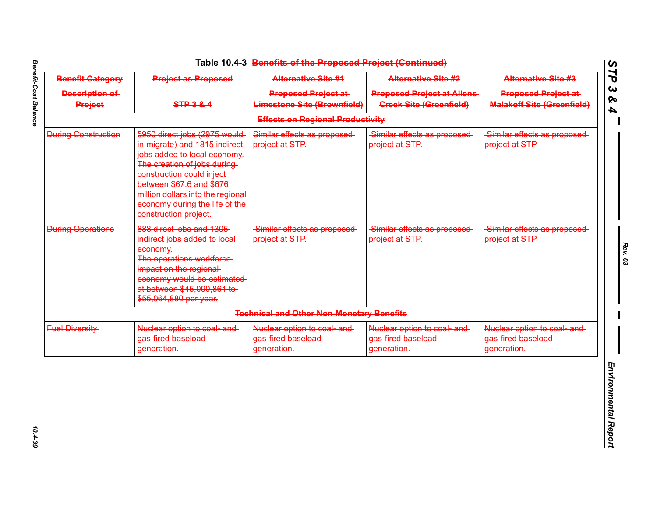| <b>Benefit Category</b>                 | <b>Project as Proposed</b>                                                                                                                                                                                                                                                                | <b>Alternative Site #1</b>                                        | <b>Alternative Site #2</b>                                           | <b>Alternative Site #3</b>                                       |
|-----------------------------------------|-------------------------------------------------------------------------------------------------------------------------------------------------------------------------------------------------------------------------------------------------------------------------------------------|-------------------------------------------------------------------|----------------------------------------------------------------------|------------------------------------------------------------------|
| <b>Description of</b><br><b>Project</b> | <b>STP 3 &amp; 4</b>                                                                                                                                                                                                                                                                      | <b>Proposed Project at-</b><br><b>Limestone Site (Brownfield)</b> | <b>Proposed Project at Allens-</b><br><b>Greek Site (Greenfield)</b> | <b>Proposed Project at-</b><br><b>Malakoff Site (Greenfield)</b> |
|                                         |                                                                                                                                                                                                                                                                                           | <b>Effects on Regional Productivity</b>                           |                                                                      |                                                                  |
| <b>During Construction</b>              | 5950 direct jobs (2975 would<br>in migrate) and 1815 indirect-<br>jobs added to local economy.<br>The creation of jobs during-<br>construction could inject-<br>between \$67.6 and \$676<br>million dollars into the regional<br>economy during the life of the-<br>construction project. | Similar effects as proposed-<br>project at STP.                   | Similar effects as proposed-<br>project at STP.                      | Similar effects as proposed<br>project at STP.                   |
| <b>During Operations</b>                | 888 direct jobs and 1305<br>indirect jobs added to local-<br>economy.<br>The operations workforce-<br>impact on the regional-<br>economy would be estimated<br>at between \$45,090,864 to<br>\$55,064,880 per year.                                                                       | Similar effects as proposed-<br>project at STP.                   | Similar effects as proposed-<br>project at STP.                      | Similar effects as proposed-<br>project at STP.                  |
|                                         |                                                                                                                                                                                                                                                                                           | <b>Technical and Other Non-Monetary Benefits</b>                  |                                                                      |                                                                  |
| <b>Fuel Diversity</b>                   | Nuclear option to coal and<br>gas fired baseload<br>generation.                                                                                                                                                                                                                           | Nuclear option to coal and<br>gas-fired baseload-<br>generation.  | Nuclear option to coal and<br>gas fired baseload<br>generation.      | Nuclear option to coal and<br>gas-fired baseload-<br>generation. |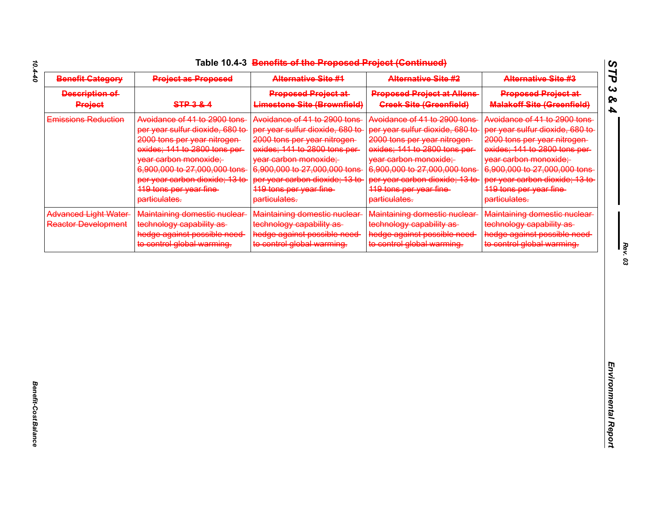| <b>Benefit Category</b>                                   | <b>Project as Proposed</b>                                                                                                                                                                                                                                               | <b>Alternative Site #4</b>                                                                                                                                                                                                                                              | <b>Alternative Site #2</b>                                                                                                                                                                                                                                             | <b>Alternative Site #3</b>                                                                                                                                                                                                                                              |
|-----------------------------------------------------------|--------------------------------------------------------------------------------------------------------------------------------------------------------------------------------------------------------------------------------------------------------------------------|-------------------------------------------------------------------------------------------------------------------------------------------------------------------------------------------------------------------------------------------------------------------------|------------------------------------------------------------------------------------------------------------------------------------------------------------------------------------------------------------------------------------------------------------------------|-------------------------------------------------------------------------------------------------------------------------------------------------------------------------------------------------------------------------------------------------------------------------|
| Description of<br><b>Project</b>                          | <b>STP 3 &amp; 4</b>                                                                                                                                                                                                                                                     | <b>Proposed Project at-</b><br><b>Limestone Site (Brownfield)</b>                                                                                                                                                                                                       | <b>Proposed Project at Allens-</b><br><b>Greek Site (Greenfield)</b>                                                                                                                                                                                                   | <b>Proposed Project at-</b><br><b>Malakoff Site (Greenfield)</b>                                                                                                                                                                                                        |
| <b>Emissions Reduction</b>                                | Avoidance of 41 to 2900 tons<br>per year sulfur dioxide, 680 to-<br>2000 tons per year nitrogen-<br>exides; 141 to 2800 tons per-<br>year carbon monoxide;<br>6,900,000 to 27,000,000 tons<br>per year carbon dioxide; 13 to-<br>119 tons per year fine<br>particulates. | Avoidance of 41 to 2900 tons<br>per year sulfur dioxide, 680 to-<br>2000 tons per year nitrogen-<br>oxides; 141 to 2800 tons per-<br>year carbon monoxide;<br>6,900,000 to 27,000,000 tons<br>per year carbon dioxide; 13 to<br>119 tons per year fine<br>particulates. | Avoidance of 41 to 2900 tons<br>per year sulfur dioxide, 680 to<br>2000 tons per year nitrogen-<br>exides; 141 to 2800 tons per-<br>year carbon monoxide;<br>6,900,000 to 27,000,000 tons<br>per year carbon dioxide; 13 to<br>119 tons per year fine<br>particulates. | Avoidance of 41 to 2900 tons<br>per year sulfur dioxide, 680 to<br>2000 tons per year nitrogen-<br>oxides; 141 to 2800 tons per-<br>year carbon monoxide;<br>6,900,000 to 27,000,000 tons<br>per year carbon dioxide; 13 to<br>119 tons per year fine-<br>particulates. |
| <b>Advanced Light Water</b><br><b>Reactor Development</b> | Maintaining domestic nuclear<br>technology capability as-<br>hedge against possible need-<br>to control global warming.                                                                                                                                                  | Maintaining domestic nuclear-<br>technology capability as-<br>hedge against possible need<br>to control global warming.                                                                                                                                                 | Maintaining domestic nuclear<br>technology capability as-<br>hedge against possible need<br>to control global warming.                                                                                                                                                 | Maintaining domestic nuclear-<br>technology capability as-<br>hedge against possible need-<br>to control global warming.                                                                                                                                                |
|                                                           |                                                                                                                                                                                                                                                                          |                                                                                                                                                                                                                                                                         |                                                                                                                                                                                                                                                                        |                                                                                                                                                                                                                                                                         |
|                                                           |                                                                                                                                                                                                                                                                          |                                                                                                                                                                                                                                                                         |                                                                                                                                                                                                                                                                        |                                                                                                                                                                                                                                                                         |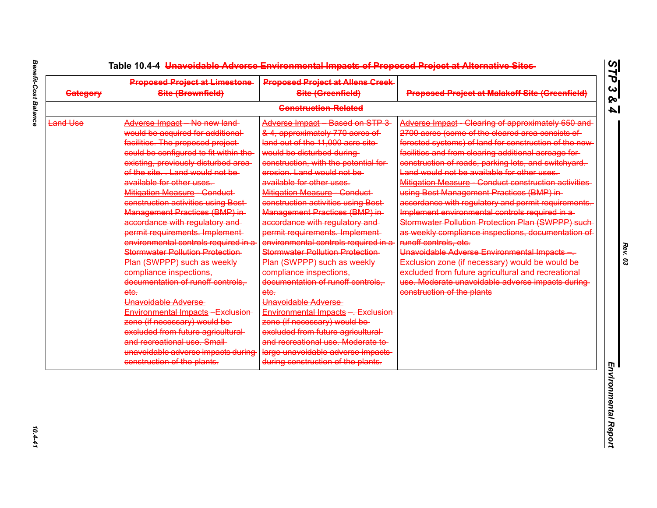| <b>Category</b> | <b>Proposed Project at Limestone-</b><br>Site (Brownfield)                                                                                                                                                                                                                                                                                                                                                                                                                                                                                                                                                                                                                                                                                                                                                                                                                  | <b>Proposed Project at Allens Greek-</b><br>Site (Greenfield)                                                                                                                                                                                                                                                                                                                                                                                                                                                                                                                                                                                                                                                                                                                                                                                                              | <b>Proposed Project at Malakoff Site (Greenfield)</b>                                                                                                                                                                                                                                                                                                                                                                                                                                                                                                                                                                                                                                                                                                                                                                                                                                                                         |
|-----------------|-----------------------------------------------------------------------------------------------------------------------------------------------------------------------------------------------------------------------------------------------------------------------------------------------------------------------------------------------------------------------------------------------------------------------------------------------------------------------------------------------------------------------------------------------------------------------------------------------------------------------------------------------------------------------------------------------------------------------------------------------------------------------------------------------------------------------------------------------------------------------------|----------------------------------------------------------------------------------------------------------------------------------------------------------------------------------------------------------------------------------------------------------------------------------------------------------------------------------------------------------------------------------------------------------------------------------------------------------------------------------------------------------------------------------------------------------------------------------------------------------------------------------------------------------------------------------------------------------------------------------------------------------------------------------------------------------------------------------------------------------------------------|-------------------------------------------------------------------------------------------------------------------------------------------------------------------------------------------------------------------------------------------------------------------------------------------------------------------------------------------------------------------------------------------------------------------------------------------------------------------------------------------------------------------------------------------------------------------------------------------------------------------------------------------------------------------------------------------------------------------------------------------------------------------------------------------------------------------------------------------------------------------------------------------------------------------------------|
|                 |                                                                                                                                                                                                                                                                                                                                                                                                                                                                                                                                                                                                                                                                                                                                                                                                                                                                             | <b>Construction Related</b>                                                                                                                                                                                                                                                                                                                                                                                                                                                                                                                                                                                                                                                                                                                                                                                                                                                |                                                                                                                                                                                                                                                                                                                                                                                                                                                                                                                                                                                                                                                                                                                                                                                                                                                                                                                               |
| <b>Land Use</b> | Adverse Impact - No new land-<br>would be acquired for additional<br>facilities. The proposed project-<br>could be configured to fit within the<br>existing, previously disturbed area-<br>of the site Land would not be<br>available for other uses.<br><b>Mitigation Measure - Conduct</b><br>construction activities using Best-<br>Management Practices (BMP) in-<br>accordance with regulatory and<br>permit requirements. Implement-<br>environmental controls required in a<br><b>Stormwater Pollution Protection-</b><br>Plan (SWPPP) such as weekly-<br>compliance inspections,<br>documentation of runoff controls.<br>etc.<br>Unavoidable Adverse<br>Environmental Impacts - Exclusion<br>zone (if necessary) would be<br>excluded from future agricultural<br>and recreational use. Small-<br>unavoidable adverse impacts during<br>construction of the plants. | Adverse Impact - Based on STP 3<br>& 4, approximately 770 acres of<br>land out of the 11,000 acre site<br>would be disturbed during<br>construction, with the potential for-<br>erosion. Land would not be-<br>available for other uses.<br><b>Mitigation Measure - Conduct</b><br>construction activities using Best-<br>Management Practices (BMP) in-<br>accordance with regulatory and<br>permit requirements. Implement-<br>environmental controls required in a<br><b>Stormwater Pollution Protection-</b><br>Plan (SWPPP) such as weekly-<br>compliance inspections,<br>documentation of runoff controls.<br>etc.<br>Unavoidable Adverse<br>Environmental Impacts - Exclusion<br>zone (if necessary) would be<br>excluded from future agricultural<br>and recreational use. Moderate to-<br>large unavoidable adverse impacts<br>during construction of the plants. | Adverse Impact - Clearing of approximately 650 and<br>2700 acres (some of the cleared area consists of<br>forested systems) of land for construction of the new-<br>facilities and from clearing additional acreage for-<br>construction of roads, parking lots, and switchyard.<br>Land would not be available for other uses.<br>Mitigation Measure - Conduct construction activities<br>using Best Management Practices (BMP) in-<br>accordance with regulatory and permit requirements.<br>Implement environmental controls required in a<br>Stormwater Pollution Protection Plan (SWPPP) such-<br>as weekly compliance inspections, documentation of<br>runoff controls, etc.<br>Unavoidable Adverse Environmental Impacts -<br>Exclusion zone (if necessary) would be would be<br>excluded from future agricultural and recreational<br>use. Moderate unavoidable adverse impacts during-<br>construction of the plants |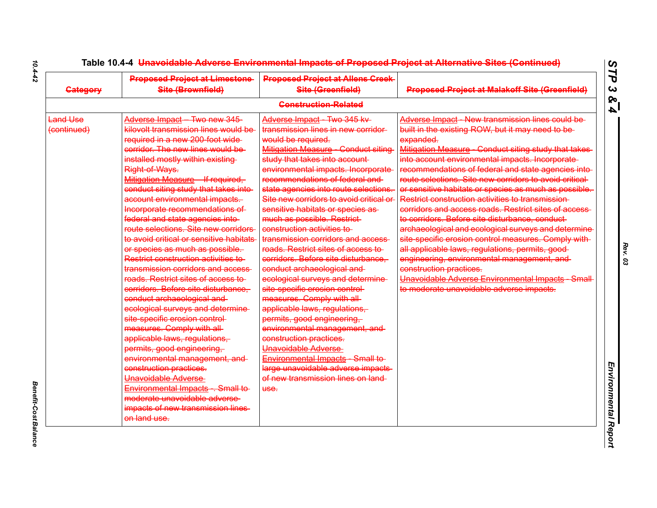| <b>Category</b>                | <b>Proposed Project at Limestone</b><br>Site (Brownfield)                                                                                                                                                                                                                                                                                                                                                                                                                                                                                                                                                                                                                                                                                                                                                                                                                                                                                                                                                                                                                                          | <b>Proposed Project at Allens Creek-</b><br>Site (Greenfield)                                                                                                                                                                                                                                                                                                                                                                                                                                                                                                                                                                                                                                                                                                                                                                                                                                                                                               | <b>Proposed Project at Malakoff Site (Greenfield)</b>                                                                                                                                                                                                                                                                                                                                                                                                                                                                                                                                                                                                                                                                                                                                                                                                                                                                |
|--------------------------------|----------------------------------------------------------------------------------------------------------------------------------------------------------------------------------------------------------------------------------------------------------------------------------------------------------------------------------------------------------------------------------------------------------------------------------------------------------------------------------------------------------------------------------------------------------------------------------------------------------------------------------------------------------------------------------------------------------------------------------------------------------------------------------------------------------------------------------------------------------------------------------------------------------------------------------------------------------------------------------------------------------------------------------------------------------------------------------------------------|-------------------------------------------------------------------------------------------------------------------------------------------------------------------------------------------------------------------------------------------------------------------------------------------------------------------------------------------------------------------------------------------------------------------------------------------------------------------------------------------------------------------------------------------------------------------------------------------------------------------------------------------------------------------------------------------------------------------------------------------------------------------------------------------------------------------------------------------------------------------------------------------------------------------------------------------------------------|----------------------------------------------------------------------------------------------------------------------------------------------------------------------------------------------------------------------------------------------------------------------------------------------------------------------------------------------------------------------------------------------------------------------------------------------------------------------------------------------------------------------------------------------------------------------------------------------------------------------------------------------------------------------------------------------------------------------------------------------------------------------------------------------------------------------------------------------------------------------------------------------------------------------|
|                                |                                                                                                                                                                                                                                                                                                                                                                                                                                                                                                                                                                                                                                                                                                                                                                                                                                                                                                                                                                                                                                                                                                    | <b>Construction-Related</b>                                                                                                                                                                                                                                                                                                                                                                                                                                                                                                                                                                                                                                                                                                                                                                                                                                                                                                                                 |                                                                                                                                                                                                                                                                                                                                                                                                                                                                                                                                                                                                                                                                                                                                                                                                                                                                                                                      |
| <b>Land Use</b><br>(continued) | Adverse Impact - Two new 345-<br>kilovolt transmission lines would be<br>required in a new 200 foot wide-<br>corridor. The new lines would be<br>installed mostly within existing<br><b>Right of Ways.</b><br>Mitigation Measure - If required,<br>conduct siting study that takes into-<br>account environmental impacts.<br>Incorporate recommendations of<br>federal and state agencies into-<br>route selections. Site new corridors<br>to avoid critical or sensitive habitats<br>or species as much as possible.<br>Restrict construction activities to<br>transmission corridors and access-<br>roads. Restrict sites of access to<br>corridors. Before site disturbance,<br>conduct archaeological and<br>ecological surveys and determine-<br>site specific erosion control-<br>measures. Comply with all-<br>applicable laws, regulations,<br>permits, good engineering,<br>environmental management, and-<br>construction practices.<br>Unavoidable Adverse<br>Environmental Impacts - Small to-<br>moderate unavoidable adverse-<br>impacts of new transmission lines-<br>on land use. | Adverse Impact Two 345 kv<br>transmission lines in new corridor-<br>would be required.<br>Mitigation Measure - Conduct siting-<br>study that takes into account-<br>environmental impacts. Incorporate-<br>recommendations of federal and<br>state agencies into route selections.<br>Site new corridors to avoid critical or<br>sensitive habitats or species as<br>much as possible. Restrict-<br>construction activities to<br>transmission corridors and access<br>roads. Restrict sites of access to<br>corridors. Before site disturbance.<br>conduct archaeological and<br>ecological surveys and determine-<br>site specific erosion control-<br>measures. Comply with all-<br>applicable laws, regulations,<br>permits, good engineering,<br>environmental management, and-<br>construction practices.<br>Unavoidable Adverse<br>Environmental Impacts Small to<br>large unavoidable adverse impacts-<br>of new transmission lines on land<br>use. | Adverse Impact New transmission lines could be<br>built in the existing ROW, but it may need to be-<br>expanded.<br>Mitigation Measure - Conduct siting study that takes-<br>into account environmental impacts. Incorporate-<br>recommendations of federal and state agencies into-<br>route selections. Site new corridors to avoid critical-<br>or sensitive habitats or species as much as possible.<br>Restrict construction activities to transmission-<br>corridors and access roads. Restrict sites of access-<br>to corridors. Before site disturbance, conduct-<br>archaeological and ecological surveys and determine<br>site specific erosion control measures. Comply with-<br>all applicable laws, regulations, permits, good-<br>engineering, environmental management, and<br>construction practices.<br>Unavoidable Adverse Environmental Impacts Small<br>to moderate unavoidable adverse impacts. |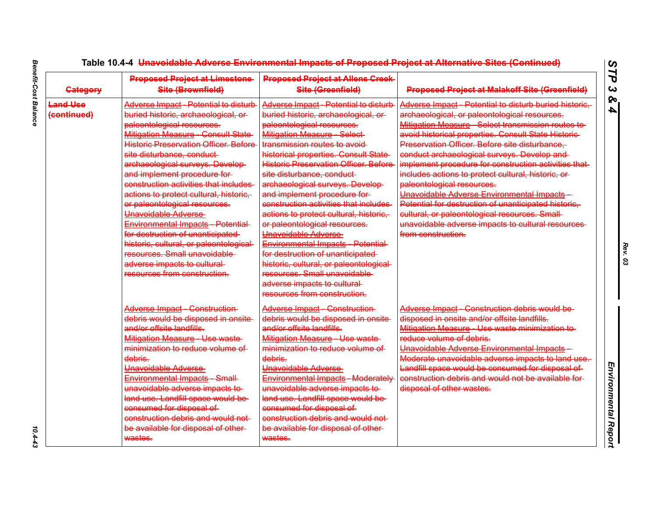| <b>Category</b>         | <b>Proposed Project at Limestone</b><br>Site (Brownfield)                                                                                                                                                                                                                                                                                                                                                                        | <b>Proposed Project at Allens Creek-</b><br>Site (Greenfield)                                                                                                                                                                                                                                                                                                                                                                          | <b>Proposed Project at Malakoff Site (Greenfield)</b>                                                                                                                                                                                                                                                                                                                                                                               |
|-------------------------|----------------------------------------------------------------------------------------------------------------------------------------------------------------------------------------------------------------------------------------------------------------------------------------------------------------------------------------------------------------------------------------------------------------------------------|----------------------------------------------------------------------------------------------------------------------------------------------------------------------------------------------------------------------------------------------------------------------------------------------------------------------------------------------------------------------------------------------------------------------------------------|-------------------------------------------------------------------------------------------------------------------------------------------------------------------------------------------------------------------------------------------------------------------------------------------------------------------------------------------------------------------------------------------------------------------------------------|
| Land Use<br>(continued) | Adverse Impact - Potential to disturb<br>buried historic, archaeological, or-<br>paleontological resources.<br>Mitigation Measure Consult State<br>Historic Preservation Officer. Before-<br>site disturbance, conduct-<br>archaeological surveys. Develop-<br>and implement procedure for-                                                                                                                                      | Adverse Impact Potential to disturb<br>buried historic, archaeological, or-<br>paleontological resources.<br><b>Mitigation Measure Select</b><br>transmission routes to avoid-<br>historical properties. Consult State-<br><b>Historic Preservation Officer, Before</b><br>site disturbance, conduct-                                                                                                                                  | Adverse Impact Potential to disturb buried historic.<br>archaeological, or paleontological resources.<br>Mitigation Measure Select transmission routes to<br>avoid historical properties. Consult State Historic-<br>Preservation Officer. Before site disturbance,<br>conduct archaeological surveys. Develop and-<br>implement procedure for construction activities that-<br>includes actions to protect cultural, historic, or- |
|                         | construction activities that includes<br>actions to protect cultural, historic,<br>or paleontological resources.<br>Unavoidable Adverse<br>Environmental Impacts Potential<br>for destruction of unanticipated-<br>historic, cultural, or paleontological-<br>resources. Small unavoidable<br>adverse impacts to cultural<br>resources from construction.                                                                        | archaeological surveys. Develop-<br>and implement procedure for-<br>construction activities that includes<br>actions to protect cultural, historic,<br>or paleontological resources.<br>Unavoidable Adverse<br>Environmental Impacts Potential<br>for destruction of unanticipated<br>historic, cultural, or paleontological-<br>resources. Small unavoidable<br>adverse impacts to cultural-<br>resources from construction.          | paleontological resources.<br>Unavoidable Adverse Environmental Impacts -<br>Potential for destruction of unanticipated historic,<br>cultural, or paleontological resources. Small-<br>unavoidable adverse impacts to cultural resources-<br>from construction.                                                                                                                                                                     |
|                         | Adverse Impact Construction<br>debris would be disposed in onsite-<br>and/or offsite landfills.<br>Mitigation Measure Use waste<br>minimization to reduce volume of<br>debris.<br>Unavoidable Adverse<br>Environmental Impacts Small<br>unavoidable adverse impacts to-<br>land use. Landfill space would be-<br>consumed for disposal of<br>construction debris and would not<br>be available for disposal of other-<br>wastes. | Adverse Impact Construction<br>debris would be disposed in onsite-<br>and/or offsite landfills.<br>Mitigation Measure Use waste<br>minimization to reduce volume of<br>debris.<br>Unavoidable Adverse-<br>Environmental Impacts Moderately<br>unavoidable adverse impacts to<br>land use. Landfill space would be-<br>consumed for disposal of<br>construction debris and would not-<br>be available for disposal of other-<br>wastes. | Adverse Impact Construction debris would be<br>disposed in onsite and/or offsite landfills.<br>Mitigation Measure Use waste minimization to<br>reduce volume of debris.<br>Unavoidable Adverse Environmental Impacts<br>Moderate unavoidable adverse impacts to land use.<br>Landfill space would be consumed for disposal of<br>construction debris and would not be available for-<br>disposal of other wastes.                   |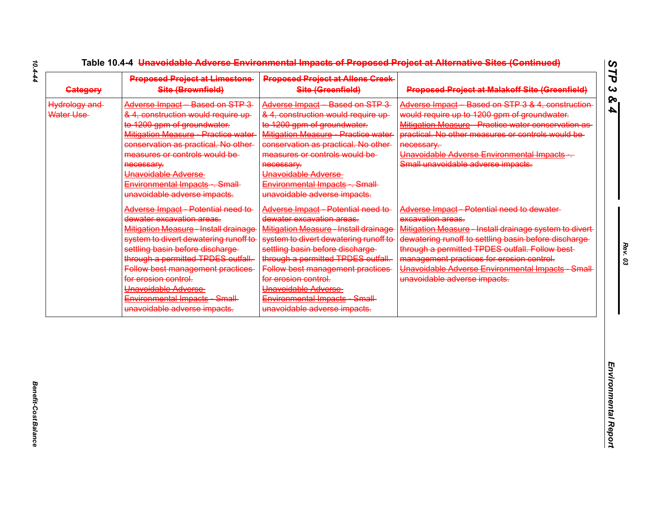| <b>Gategory</b>            | <b>Proposed Project at Limestone-</b><br>Site (Brownfield)                                                                                                                                                                                                                                                                                                                      | <b>Proposed Project at Allens Creek</b><br>Site (Greenfield)                                                                                                                                                                                                                                                                                                               | <b>Proposed Project at Malakoff Site (Greenfield)</b>                                                                                                                                                                                                                                                                                                                |
|----------------------------|---------------------------------------------------------------------------------------------------------------------------------------------------------------------------------------------------------------------------------------------------------------------------------------------------------------------------------------------------------------------------------|----------------------------------------------------------------------------------------------------------------------------------------------------------------------------------------------------------------------------------------------------------------------------------------------------------------------------------------------------------------------------|----------------------------------------------------------------------------------------------------------------------------------------------------------------------------------------------------------------------------------------------------------------------------------------------------------------------------------------------------------------------|
| Hydrology and<br>Water Use | Adverse Impact Based on STP 3<br>& 4, construction would require up-<br>to 1200 gpm of groundwater.<br>Mitigation Measure Practice water<br>conservation as practical. No other-<br>measures or controls would be<br>necessary.<br>Unavoidable Adverse<br>Environmental Impacts . Small-<br>unavoidable adverse impacts.                                                        | Adverse Impact Based on STP 3<br>& 4, construction would require up-<br>to 1200 gpm of groundwater.<br>Mitigation Measure Practice water<br>conservation as practical. No other-<br>measures or controls would be-<br>necessary.<br>Unavoidable Adverse<br>Environmental Impacts . Small<br>unavoidable adverse impacts.                                                   | Adverse Impact Based on STP 3 & 4, construction<br>would require up to 1200 gpm of groundwater.<br>Mitigation Measure - Practice water conservation as-<br>practical. No other measures or controls would be-<br>necessary.<br>Unavoidable Adverse Environmental Impacts -<br>Small unavoidable adverse impacts.                                                     |
|                            | Adverse Impact Potential need to<br>dewater excavation areas.<br><b>Mitigation Measure Install drainage</b><br>system to divert dewatering runoff to<br>settling basin before discharge<br>through a permitted TPDES outfall.<br>Follow best management practices<br>for erosion control.<br>Unavoidable Adverse<br>Environmental Impacts Small<br>unavoidable adverse impacts. | Adverse Impact Potential need to<br>dewater excavation areas.<br>Mitigation Measure Install drainage<br>system to divert dewatering runoff to-<br>settling basin before discharge-<br>through a permitted TPDES outfall.<br>Follow best management practices<br>for erosion control.<br>Unavoidable Adverse<br>Environmental Impacts Small<br>unavoidable adverse impacts. | Adverse Impact Potential need to dewater<br>excavation areas.<br>Mitigation Measure - Install drainage system to divert-<br>dewatering runoff to settling basin before discharge-<br>through a permitted TPDES outfall. Follow best-<br>management practices for erosion control.<br>Unavoidable Adverse Environmental Impacts Small<br>unavoidable adverse impacts. |
|                            |                                                                                                                                                                                                                                                                                                                                                                                 |                                                                                                                                                                                                                                                                                                                                                                            |                                                                                                                                                                                                                                                                                                                                                                      |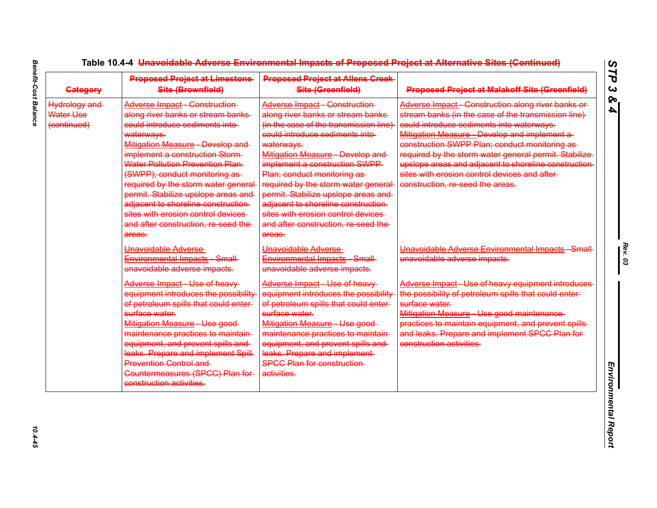| <b>Category</b>                                  | <b>Proposed Project at Limestone-</b><br>Site (Brownfield)                                                                                                                                                                                                                                                                                                                                                                                                                         | <b>Proposed Project at Allens Creek-</b><br>Site (Greenfield)                                                                                                                                                                                                                                                                                                                                                                                                                     | <b>Proposed Project at Malakoff Site (Greenfield)</b>                                                                                                                                                                                                                                                                                                                                                                                                         |
|--------------------------------------------------|------------------------------------------------------------------------------------------------------------------------------------------------------------------------------------------------------------------------------------------------------------------------------------------------------------------------------------------------------------------------------------------------------------------------------------------------------------------------------------|-----------------------------------------------------------------------------------------------------------------------------------------------------------------------------------------------------------------------------------------------------------------------------------------------------------------------------------------------------------------------------------------------------------------------------------------------------------------------------------|---------------------------------------------------------------------------------------------------------------------------------------------------------------------------------------------------------------------------------------------------------------------------------------------------------------------------------------------------------------------------------------------------------------------------------------------------------------|
| <b>Hydrology and</b><br>Water Use<br>(continued) | Adverse Impact Construction<br>along river banks or stream banks<br>could introduce sediments into-<br>waterways.<br>Mitigation Measure - Develop and-<br>implement a construction Storm-<br><b>Water Pollution Prevention Plan-</b><br>(SWPP); conduct monitoring as-<br>required by the storm water general<br>permit. Stabilize upslope areas and<br>adjacent to shoreline construction-<br>sites with erosion control devices<br>and after construction, re-seed the<br>areas. | <b>Adverse Impact Construction</b><br>along river banks or stream banks<br>(in the case of the transmission line)<br>could introduce sediments into-<br>waterways.<br>Mitigation Measure Develop and<br>implement a construction SWPP<br>Plan; conduct monitoring as-<br>required by the storm water general<br>permit. Stabilize upslope areas and<br>adjacent to shoreline construction-<br>sites with erosion control devices<br>and after construction, re seed the<br>areas. | Adverse Impact Construction along river banks or<br>stream banks (in the case of the transmission line)<br>could introduce sediments into waterways.<br>Mitigation Measure - Develop and implement a-<br>construction SWPP Plan; conduct monitoring as-<br>required by the storm water general permit. Stabilize<br>upslope areas and adjacent to shoreline construction<br>sites with erosion control devices and after-<br>construction, re-seed the areas. |
|                                                  | Unavoidable Adverse<br>Environmental Impacts Small<br>unavoidable adverse impacts.                                                                                                                                                                                                                                                                                                                                                                                                 | Unavoidable Adverse<br>Environmental Impacts Small<br>unavoidable adverse impacts.                                                                                                                                                                                                                                                                                                                                                                                                | Unavoidable Adverse Environmental Impacts Small<br>unavoidable adverse impacts.                                                                                                                                                                                                                                                                                                                                                                               |
|                                                  | Adverse Impact Use of heavy<br>equipment introduces the possibility<br>of petroleum spills that could enter-<br>surface water.<br>Mitigation Measure Use good<br>maintenance practices to maintain-<br>equipment, and prevent spills and<br>leaks. Prepare and implement Spill<br><b>Prevention Control and-</b><br>Countermeasures (SPCC) Plan for-<br>construction activities.                                                                                                   | Adverse Impact Use of heavy<br>equipment introduces the possibility<br>of petroleum spills that could enter-<br>surface water.<br>Mitigation Measure Use good<br>maintenance practices to maintain-<br>equipment, and prevent spills and<br>leaks. Prepare and implement<br><b>SPCC Plan for construction-</b><br>activities.                                                                                                                                                     | Adverse Impact - Use of heavy equipment introduces-<br>the possibility of petroleum spills that could enter-<br>surface water.<br>Mitigation Measure - Use good maintenance-<br>practices to maintain equipment, and prevent spills-<br>and leaks. Prepare and implement SPCC Plan for-<br>construction activities.                                                                                                                                           |

 $10.4 - 45$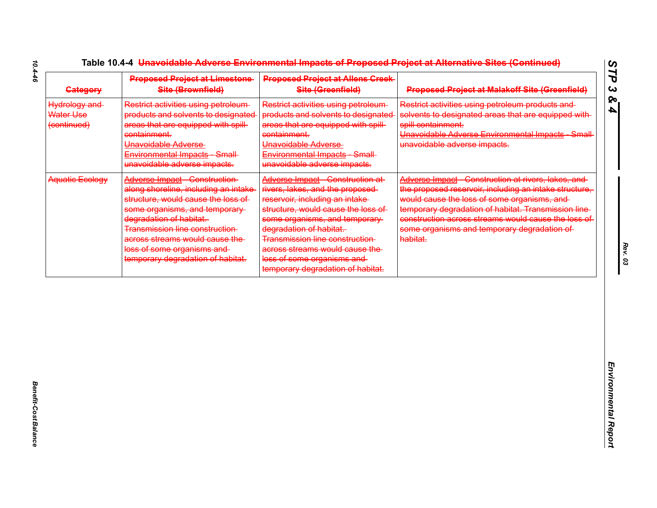| <b>Gategory</b>                           | <b>Proposed Project at Limestone-</b><br>Site (Brownfield)                                                                                                                                                                                                                                                           | <b>Proposed Project at Allens Creek</b><br>Site (Greenfield)                                                                                                                                                                                                                                                                                     | <b>Proposed Project at Malakoff Site (Greenfield)</b>                                                                                                                                                                                                                                                                                |
|-------------------------------------------|----------------------------------------------------------------------------------------------------------------------------------------------------------------------------------------------------------------------------------------------------------------------------------------------------------------------|--------------------------------------------------------------------------------------------------------------------------------------------------------------------------------------------------------------------------------------------------------------------------------------------------------------------------------------------------|--------------------------------------------------------------------------------------------------------------------------------------------------------------------------------------------------------------------------------------------------------------------------------------------------------------------------------------|
| Hydrology and<br>Water Use<br>(continued) | Restrict activities using petroleum-<br>products and solvents to designated<br>areas that are equipped with spill-<br>containment.<br>Unavoidable Adverse<br>Environmental Impacts Small<br>unavoidable adverse impacts.                                                                                             | Restrict activities using petroleum-<br>products and solvents to designated<br>areas that are equipped with spill-<br>containment.<br>Unavoidable Adverse<br>Environmental Impacts Small<br>unavoidable adverse impacts.                                                                                                                         | Restrict activities using petroleum products and<br>solvents to designated areas that are equipped with-<br>spill containment.<br>Unavoidable Adverse Environmental Impacts Small<br>unavoidable adverse impacts.                                                                                                                    |
| Aquatic Ecology                           | Adverse Impact Construction<br>along shoreline, including an intake<br>structure, would cause the loss of<br>some organisms, and temporary-<br>degradation of habitat.<br><b>Transmission line construction</b><br>across streams would cause the<br>loss of some organisms and<br>temporary degradation of habitat. | Adverse Impact Construction at<br>rivers, lakes, and the proposed-<br>reservoir, including an intake-<br>structure, would cause the loss of<br>some organisms, and temporary-<br>degradation of habitat.<br>Transmission line construction-<br>across streams would cause the<br>loss of some organisms and<br>temporary degradation of habitat. | Adverse Impact Construction at rivers, lakes, and<br>the proposed reservoir, including an intake structure,<br>would cause the loss of some organisms, and<br>temporary degradation of habitat. Transmission line-<br>construction across streams would cause the loss of<br>some organisms and temporary degradation of<br>habitat. |
|                                           |                                                                                                                                                                                                                                                                                                                      |                                                                                                                                                                                                                                                                                                                                                  |                                                                                                                                                                                                                                                                                                                                      |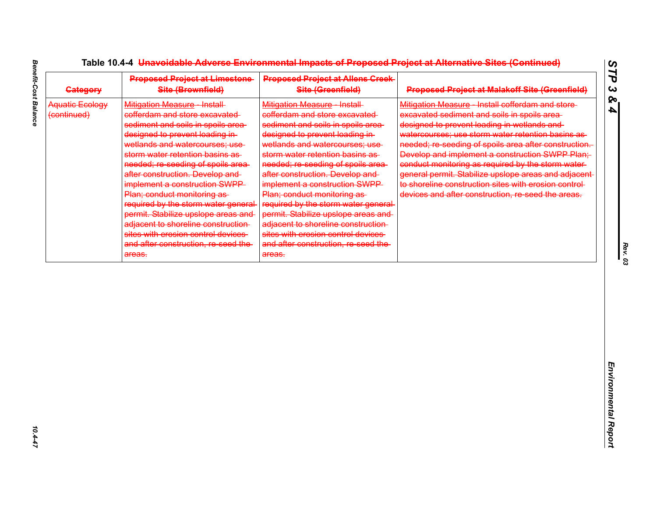| <b>Gategory</b>                       | <b>Proposed Project at Limestone</b><br>Site (Brownfield)                                                                                                                                                                                                                                                                                                                                                                                                                                                                                                           | <b>Proposed Project at Allens Creek</b><br>Site (Greenfield)                                                                                                                                                                                                                                                                                                                                                                                                                                                                                                        | <b>Proposed Project at Malakoff Site (Greenfield)</b>                                                                                                                                                                                                                                                                                                                                                                                                                                                                                          |
|---------------------------------------|---------------------------------------------------------------------------------------------------------------------------------------------------------------------------------------------------------------------------------------------------------------------------------------------------------------------------------------------------------------------------------------------------------------------------------------------------------------------------------------------------------------------------------------------------------------------|---------------------------------------------------------------------------------------------------------------------------------------------------------------------------------------------------------------------------------------------------------------------------------------------------------------------------------------------------------------------------------------------------------------------------------------------------------------------------------------------------------------------------------------------------------------------|------------------------------------------------------------------------------------------------------------------------------------------------------------------------------------------------------------------------------------------------------------------------------------------------------------------------------------------------------------------------------------------------------------------------------------------------------------------------------------------------------------------------------------------------|
| <b>Aquatic Ecology</b><br>(continued) | Mitigation Measure Install<br>cofferdam and store excavated<br>sediment and soils in spoils area-<br>designed to prevent loading in-<br>wetlands and watercourses; use-<br>storm water retention basins as-<br>needed; re-seeding of spoils area-<br>after construction. Develop and-<br>implement a construction SWPP<br>Plan; conduct monitoring as-<br>required by the storm water general-<br>permit. Stabilize upslope areas and<br>adjacent to shoreline construction-<br>sites with erosion control devices<br>and after construction, re seed the<br>areas. | Mitigation Measure Install<br>cofferdam and store excavated<br>sediment and soils in spoils area-<br>designed to prevent loading in-<br>wetlands and watercourses; use-<br>storm water retention basins as<br>needed; re-seeding of spoils area-<br>after construction. Develop and-<br>implement a construction SWPP<br>Plan; conduct monitoring as-<br>required by the storm water general-<br>permit. Stabilize upslope areas and<br>adjacent to shoreline construction-<br>sites with erosion control devices<br>and after construction, re-seed the-<br>areas. | Mitigation Measure Install cofferdam and store-<br>excavated sediment and soils in spoils area-<br>designed to prevent loading in wetlands and-<br>watercourses; use storm water retention basins as<br>needed; re-seeding of spoils area after construction.<br>Develop and implement a construction SWPP Plan;<br>conduct monitoring as required by the storm water-<br>general permit. Stabilize upslope areas and adjacent-<br>to shoreline construction sites with erosion control-<br>devices and after construction, re-seed the areas. |
|                                       |                                                                                                                                                                                                                                                                                                                                                                                                                                                                                                                                                                     |                                                                                                                                                                                                                                                                                                                                                                                                                                                                                                                                                                     |                                                                                                                                                                                                                                                                                                                                                                                                                                                                                                                                                |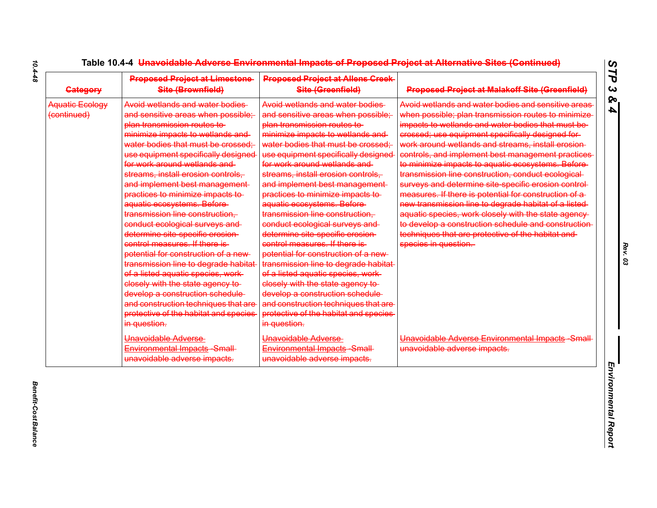| <b>Category</b>                | <b>Proposed Project at Limestone</b><br>Site (Brownfield)                                                                                                                                                                                                                                                                                                                                                                                                                                                                                                                                                                                                                                                                                                                                                                                                    | <b>Proposed Project at Allens Creek-</b><br>Site (Greenfield)                                                                                                                                                                                                                                                                                                                                                                                                                                                                                                                                                                                                                                                                                                                                                                                  | <b>Proposed Project at Malakoff Site (Greenfield)</b>                                                                                                                                                                                                                                                                                                                                                                                                                                                                                                                                                                                                                                                                                                                                                                |
|--------------------------------|--------------------------------------------------------------------------------------------------------------------------------------------------------------------------------------------------------------------------------------------------------------------------------------------------------------------------------------------------------------------------------------------------------------------------------------------------------------------------------------------------------------------------------------------------------------------------------------------------------------------------------------------------------------------------------------------------------------------------------------------------------------------------------------------------------------------------------------------------------------|------------------------------------------------------------------------------------------------------------------------------------------------------------------------------------------------------------------------------------------------------------------------------------------------------------------------------------------------------------------------------------------------------------------------------------------------------------------------------------------------------------------------------------------------------------------------------------------------------------------------------------------------------------------------------------------------------------------------------------------------------------------------------------------------------------------------------------------------|----------------------------------------------------------------------------------------------------------------------------------------------------------------------------------------------------------------------------------------------------------------------------------------------------------------------------------------------------------------------------------------------------------------------------------------------------------------------------------------------------------------------------------------------------------------------------------------------------------------------------------------------------------------------------------------------------------------------------------------------------------------------------------------------------------------------|
| Aquatic Ecology<br>(continued) | Avoid wetlands and water bodies<br>and sensitive areas when possible;<br>plan transmission routes to<br>minimize impacts to wetlands and-<br>water bodies that must be crossed;<br>use equipment specifically designed<br>for work around wetlands and<br>streams, install erosion controls,<br>and implement best management-<br>practices to minimize impacts to<br>aquatic ecosystems. Before-<br>transmission line construction,<br>conduct ecological surveys and<br>determine site specific erosion-<br>control measures. If there is-<br>potential for construction of a new-<br>.<br><del>transmission line to degrade habitat</del><br>of a listed aquatic species, work-<br>closely with the state agency to-<br>develop a construction schedule-<br>and construction techniques that are<br>protective of the habitat and species<br>in question. | Avoid wetlands and water bodies<br>and sensitive areas when possible;<br>plan transmission routes to<br>minimize impacts to wetlands and<br>water bodies that must be crossed;<br>use equipment specifically designed<br>for work around wetlands and<br>streams, install erosion controls,<br>and implement best management-<br>practices to minimize impacts to<br>aquatic ecosystems. Before-<br>transmission line construction,<br>conduct ecological surveys and-<br>determine site specific erosion-<br>control measures. If there is-<br>potential for construction of a new-<br>transmission line to degrade habitat-<br>of a listed aquatic species, work-<br>elosely with the state agency to-<br>develop a construction schedule-<br>and construction techniques that are-<br>protective of the habitat and species<br>in question. | Avoid wetlands and water bodies and sensitive areas<br>when possible; plan transmission routes to minimize<br>impacts to wetlands and water bodies that must be-<br>crossed; use equipment specifically designed for-<br>work around wetlands and streams, install erosion-<br>controls, and implement best management practices<br>to minimize impacts to aquatic ecosystems. Before-<br>transmission line construction, conduct ecological-<br>surveys and determine site specific erosion control-<br>measures. If there is potential for construction of a-<br>new transmission line to degrade habitat of a listed<br>aquatic species, work closely with the state agency-<br>to develop a construction schedule and construction<br>techniques that are protective of the habitat and-<br>species in question. |
|                                | Unavoidable Adverse<br>Environmental Impacts Small<br>unavoidable adverse impacts.                                                                                                                                                                                                                                                                                                                                                                                                                                                                                                                                                                                                                                                                                                                                                                           | Unavoidable Adverse<br>Environmental Impacts Small<br>unavoidable adverse impacts.                                                                                                                                                                                                                                                                                                                                                                                                                                                                                                                                                                                                                                                                                                                                                             | Unavoidable Adverse Environmental Impacts Small<br>unavoidable adverse impacts.                                                                                                                                                                                                                                                                                                                                                                                                                                                                                                                                                                                                                                                                                                                                      |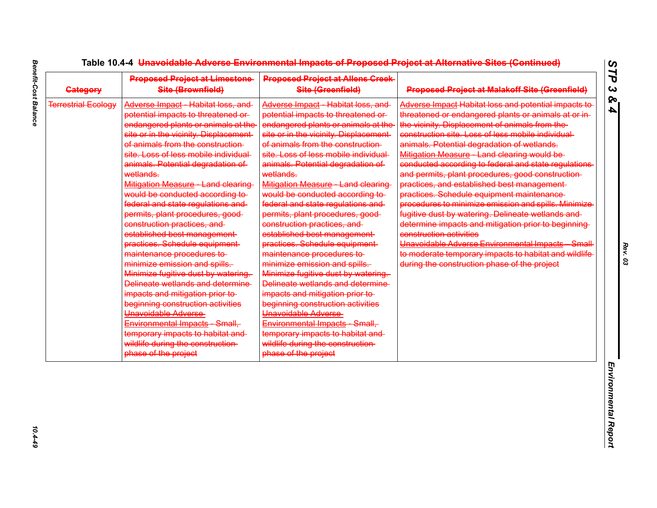| <b>Category</b>            | <b>Proposed Project at Limestone</b><br>Site (Brownfield)                                                                                                                                                                                                                                                                                                                                                                                                                                                                                                                                                                                                                                                                                                                                                                                                                                                             | <b>Proposed Project at Allens Creek-</b><br>Site (Greenfield)                                                                                                                                                                                                                                                                                                                                                                                                                                                                                                                                                                                                                                                                                                                                                                                                                                                      | <b>Proposed Project at Malakoff Site (Greenfield)</b>                                                                                                                                                                                                                                                                                                                                                                                                                                                                                                                                                                                                                                                                                                                                                                                                                                      |
|----------------------------|-----------------------------------------------------------------------------------------------------------------------------------------------------------------------------------------------------------------------------------------------------------------------------------------------------------------------------------------------------------------------------------------------------------------------------------------------------------------------------------------------------------------------------------------------------------------------------------------------------------------------------------------------------------------------------------------------------------------------------------------------------------------------------------------------------------------------------------------------------------------------------------------------------------------------|--------------------------------------------------------------------------------------------------------------------------------------------------------------------------------------------------------------------------------------------------------------------------------------------------------------------------------------------------------------------------------------------------------------------------------------------------------------------------------------------------------------------------------------------------------------------------------------------------------------------------------------------------------------------------------------------------------------------------------------------------------------------------------------------------------------------------------------------------------------------------------------------------------------------|--------------------------------------------------------------------------------------------------------------------------------------------------------------------------------------------------------------------------------------------------------------------------------------------------------------------------------------------------------------------------------------------------------------------------------------------------------------------------------------------------------------------------------------------------------------------------------------------------------------------------------------------------------------------------------------------------------------------------------------------------------------------------------------------------------------------------------------------------------------------------------------------|
| <b>Terrestrial Ecology</b> | Adverse Impact - Habitat loss, and<br>potential impacts to threatened or-<br>endangered plants or animals at the<br>site or in the vicinity. Displacement-<br>of animals from the construction-<br>site. Loss of less mobile individual<br>animals. Potential degradation of<br>wetlands.<br>Mitigation Measure Land clearing<br>would be conducted according to-<br>federal and state regulations and<br>permits, plant procedures, good-<br>construction practices, and<br>established best management-<br>practices. Schedule equipment-<br>maintenance procedures to<br>minimize emission and spills.<br>Minimize fugitive dust by watering.<br>Delineate wetlands and determine<br>impacts and mitigation prior to-<br>beginning construction activities<br>Unavoidable Adverse<br>Environmental Impacts Small,<br>temporary impacts to habitat and<br>wildlife during the construction-<br>phase of the project | Adverse Impact Habitat loss, and<br>potential impacts to threatened or<br>endangered plants or animals at the<br>site or in the vicinity. Displacement-<br>of animals from the construction-<br>site. Loss of less mobile individual<br>animals. Potential degradation of<br>wetlands.<br>Mitigation Measure Land clearing<br>would be conducted according to-<br>federal and state regulations and<br>permits, plant procedures, good-<br>construction practices, and<br>established best management-<br>practices. Schedule equipment-<br>maintenance procedures to<br>minimize emission and spills.<br>Minimize fugitive dust by watering.<br>Delineate wetlands and determine<br>impacts and mitigation prior to-<br>beginning construction activities<br>Unavoidable Adverse<br>Environmental Impacts Small,<br>temporary impacts to habitat and<br>wildlife during the construction-<br>phase of the project | Adverse Impact Habitat loss and potential impacts to<br>threatened or endangered plants or animals at or in-<br>the vicinity. Displacement of animals from the-<br>construction site. Loss of less mobile individual-<br>animals. Potential degradation of wetlands.<br>Mitigation Measure - Land clearing would be-<br>conducted according to federal and state regulations<br>and permits, plant procedures, good construction-<br>practices, and established best management-<br>practices. Schedule equipment maintenance-<br>procedures to minimize emission and spills. Minimize<br>fugitive dust by watering. Delineate wetlands and-<br>determine impacts and mitigation prior to beginning<br>construction activities<br>Unavoidable Adverse Environmental Impacts Small<br>to moderate temporary impacts to habitat and wildlife<br>during the construction phase of the project |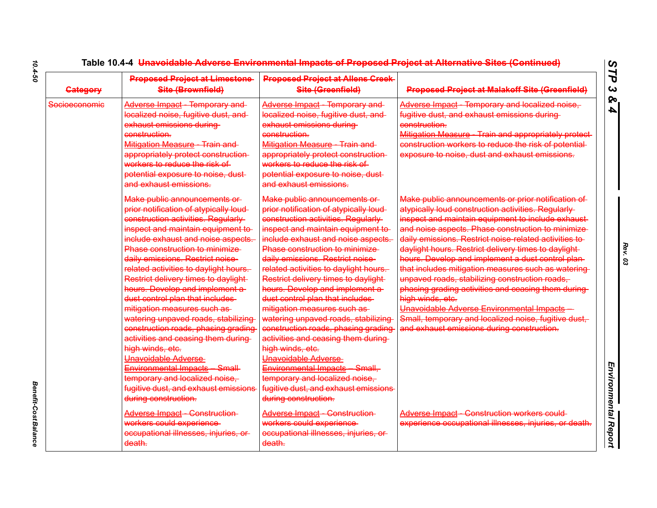| <b>Gategory</b> | <b>Proposed Project at Limestone</b><br>Site (Brownfield)                                                                                                                                                                                                                                                                                                                                                                                                                                                                                                                                                                                                                                                                                               | <b>Proposed Project at Allens Creek-</b><br>Site (Greenfield)                                                                                                                                                                                                                                                                                                                                                                                                                                                                                                                                                                                                                                                                                            | <b>Proposed Project at Malakoff Site (Greenfield)</b>                                                                                                                                                                                                                                                                                                                                                                                                                                                                                                                                                                                                                                                                             |
|-----------------|---------------------------------------------------------------------------------------------------------------------------------------------------------------------------------------------------------------------------------------------------------------------------------------------------------------------------------------------------------------------------------------------------------------------------------------------------------------------------------------------------------------------------------------------------------------------------------------------------------------------------------------------------------------------------------------------------------------------------------------------------------|----------------------------------------------------------------------------------------------------------------------------------------------------------------------------------------------------------------------------------------------------------------------------------------------------------------------------------------------------------------------------------------------------------------------------------------------------------------------------------------------------------------------------------------------------------------------------------------------------------------------------------------------------------------------------------------------------------------------------------------------------------|-----------------------------------------------------------------------------------------------------------------------------------------------------------------------------------------------------------------------------------------------------------------------------------------------------------------------------------------------------------------------------------------------------------------------------------------------------------------------------------------------------------------------------------------------------------------------------------------------------------------------------------------------------------------------------------------------------------------------------------|
| Socioeconomic   | Adverse Impact Temporary and<br>localized noise, fugitive dust, and<br>exhaust emissions during<br>construction.<br>Mitigation Measure Train and<br>appropriately protect construction-<br>workers to reduce the risk of<br>potential exposure to noise, dust-<br>and exhaust emissions.                                                                                                                                                                                                                                                                                                                                                                                                                                                                | <b>Adverse Impact</b> Temporary and<br>localized noise, fugitive dust, and<br>exhaust emissions during<br>construction.<br>Mitigation Measure - Train and<br>appropriately protect construction-<br>workers to reduce the risk of<br>potential exposure to noise, dust-<br>and exhaust emissions.                                                                                                                                                                                                                                                                                                                                                                                                                                                        | Adverse Impact - Temporary and localized noise,<br>fugitive dust, and exhaust emissions during-<br>construction.<br>Mitigation Measure - Train and appropriately protect-<br>construction workers to reduce the risk of potential-<br>exposure to noise, dust and exhaust emissions.                                                                                                                                                                                                                                                                                                                                                                                                                                              |
|                 | Make public announcements or<br>prior notification of atypically loud-<br>construction activities. Regularly<br>inspect and maintain equipment to-<br>include exhaust and noise aspects.<br>Phase construction to minimize<br>daily emissions. Restrict noise-<br>related activities to daylight hours.<br>Restrict delivery times to daylight-<br>hours. Develop and implement a-<br>dust control plan that includes<br>mitigation measures such as-<br>watering unpaved roads, stabilizing<br>construction roads, phasing grading<br>activities and ceasing them during-<br>high winds, etc.<br>Unavoidable Adverse-<br>Environmental Impacts Small<br>temporary and localized noise,<br>fugitive dust, and exhaust emissions<br>during construction. | Make public announcements or<br>prior notification of atypically loud-<br>construction activities. Regularly<br>inspect and maintain equipment to-<br>include exhaust and noise aspects.<br>Phase construction to minimize<br>daily emissions. Restrict noise-<br>related activities to daylight hours.<br>Restrict delivery times to daylight-<br>hours. Develop and implement a-<br>dust control plan that includes<br>mitigation measures such as-<br>watering unpaved roads, stabilizing<br>construction roads, phasing grading<br>activities and ceasing them during-<br>high winds, etc.<br>Unavoidable Adverse-<br>Environmental Impacts Small,<br>temporary and localized noise,<br>fugitive dust, and exhaust emissions<br>during construction. | Make public announcements or prior notification of<br>atypically loud construction activities. Regularly<br>inspect and maintain equipment to include exhaust-<br>and noise aspects. Phase construction to minimize<br>daily emissions. Restrict noise related activities to-<br>daylight hours. Restrict delivery times to daylight-<br>hours. Develop and implement a dust control plan-<br>that includes mitigation measures such as watering-<br>unpaved roads, stabilizing construction roads,<br>phasing grading activities and ceasing them during-<br>high winds, etc.<br>Unavoidable Adverse Environmental Impacts<br>Small, temporary and localized noise, fugitive dust,<br>and exhaust emissions during construction. |
|                 | Adverse Impact Construction<br>workers could experience<br>occupational illnesses, injuries, or-<br>death.                                                                                                                                                                                                                                                                                                                                                                                                                                                                                                                                                                                                                                              | Adverse Impact Construction<br>workers could experience<br>occupational illnesses, injuries, or<br>death.                                                                                                                                                                                                                                                                                                                                                                                                                                                                                                                                                                                                                                                | Adverse Impact Construction workers could<br>experience occupational illnesses, injuries, or death.                                                                                                                                                                                                                                                                                                                                                                                                                                                                                                                                                                                                                               |

*Benefit-Cost Balance* 

**Benefit-Cost Balance**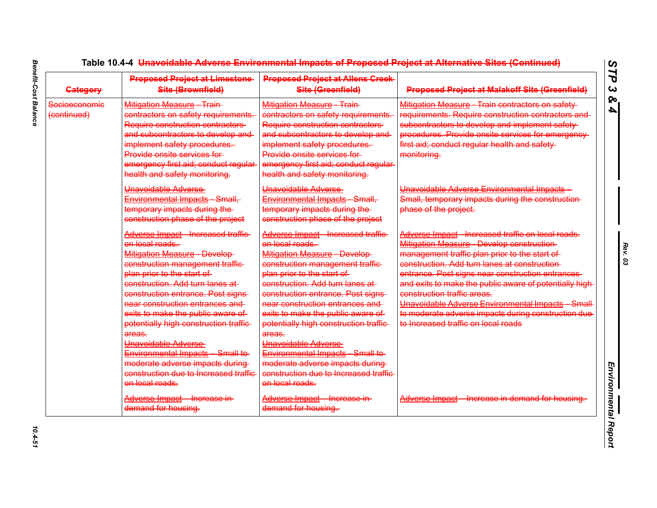| <b>Category</b>              | <b>Proposed Project at Limestone</b><br>Site (Brownfield)                                                                                                                                                                                                                                                                                                                                                                                                                                                                  | <b>Proposed Project at Allens Creek-</b><br>Site (Greenfield)                                                                                                                                                                                                                                                                                                                                                                                                                                                                | <b>Proposed Project at Malakoff Site (Greenfield)</b>                                                                                                                                                                                                                                                                                                                                                                                                                                             |
|------------------------------|----------------------------------------------------------------------------------------------------------------------------------------------------------------------------------------------------------------------------------------------------------------------------------------------------------------------------------------------------------------------------------------------------------------------------------------------------------------------------------------------------------------------------|------------------------------------------------------------------------------------------------------------------------------------------------------------------------------------------------------------------------------------------------------------------------------------------------------------------------------------------------------------------------------------------------------------------------------------------------------------------------------------------------------------------------------|---------------------------------------------------------------------------------------------------------------------------------------------------------------------------------------------------------------------------------------------------------------------------------------------------------------------------------------------------------------------------------------------------------------------------------------------------------------------------------------------------|
| Socioeconomic<br>(continued) | Mitigation Measure Train<br>contractors on safety requirements.<br>Require construction contractors<br>and subcontractors to develop and-<br>implement safety procedures.<br>Provide onsite services for<br>emergency first aid; conduct regular-<br>health and safety monitoring.                                                                                                                                                                                                                                         | <b>Mitigation Measure - Train-</b><br>contractors on safety requirements.<br>Require construction contractors<br>and subcontractors to develop and<br>implement safety procedures.<br>Provide onsite services for-<br>emergency first aid; conduct regular-<br>health and safety monitoring.                                                                                                                                                                                                                                 | Mitigation Measure Train contractors on safety<br>requirements. Require construction contractors and<br>subcontractors to develop and implement safety<br>procedures. Provide onsite services for emergency-<br>first aid; conduct regular health and safety-<br>monitoring.                                                                                                                                                                                                                      |
|                              | Unavoidable Adverse<br>Environmental Impacts Small,<br>temporary impacts during the<br>construction phase of the project                                                                                                                                                                                                                                                                                                                                                                                                   | Unavoidable Adverse<br>Environmental Impacts Small,<br>temporary impacts during the-<br>construction phase of the project                                                                                                                                                                                                                                                                                                                                                                                                    | Unavoidable Adverse Environmental Impacts<br>Small, temporary impacts during the construction-<br>phase of the project.                                                                                                                                                                                                                                                                                                                                                                           |
|                              | Adverse Impact Increased traffic<br>on local roads.<br><b>Mitigation Measure Develop-</b><br>construction management traffic-<br>plan prior to the start of<br>construction. Add turn lanes at-<br>construction entrance. Post signs-<br>near construction entrances and<br>exits to make the public aware of<br>potentially high construction traffic<br>areas.<br>Unavoidable Adverse<br>Environmental Impacts Small to<br>moderate adverse impacts during-<br>construction due to Increased traffic-<br>on local roads. | Adverse Impact Increased traffic<br>on local roads.<br><b>Mitigation Measure - Develop-</b><br>construction management traffic-<br>plan prior to the start of<br>construction. Add turn lanes at-<br>construction entrance. Post signs-<br>near construction entrances and<br>exits to make the public aware of<br>potentially high construction traffic<br>areas.<br>Unavoidable Adverse<br>Environmental Impacts Small to<br>moderate adverse impacts during-<br>construction due to Increased traffic-<br>on local roads. | Adverse Impact - Increased traffic on local roads.<br>Mitigation Measure - Develop construction-<br>management traffic plan prior to the start of<br>construction. Add turn lanes at construction-<br>entrance. Post signs near construction entrances-<br>and exits to make the public aware of potentially high<br>construction traffic areas.<br>Unavoidable Adverse Environmental Impacts Small<br>to moderate adverse impacts during construction due<br>to Increased traffic on local roads |
|                              | Adverse Impact - Increase in-<br>demand for housing.                                                                                                                                                                                                                                                                                                                                                                                                                                                                       | Adverse Impact - Increase in-<br>demand for housing.                                                                                                                                                                                                                                                                                                                                                                                                                                                                         | Adverse Impact - Increase in demand for housing.                                                                                                                                                                                                                                                                                                                                                                                                                                                  |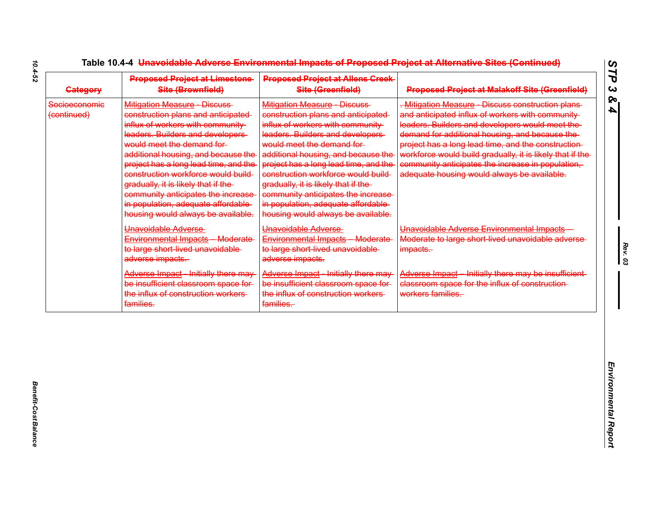| <b>Proposed Project at Limestone-</b><br>Site (Brownfield)                                                                                                                                                                                                                                                                                                                                                                                                           | <b>Proposed Project at Allens Creek</b><br>Site (Greenfield)                                                                                                                                                                                                                                                                                                                                                                                              | <b>Proposed Project at Malakoff Site (Greenfield)</b>                                                                                                                                                                                                                                                                                                                                                                            |
|----------------------------------------------------------------------------------------------------------------------------------------------------------------------------------------------------------------------------------------------------------------------------------------------------------------------------------------------------------------------------------------------------------------------------------------------------------------------|-----------------------------------------------------------------------------------------------------------------------------------------------------------------------------------------------------------------------------------------------------------------------------------------------------------------------------------------------------------------------------------------------------------------------------------------------------------|----------------------------------------------------------------------------------------------------------------------------------------------------------------------------------------------------------------------------------------------------------------------------------------------------------------------------------------------------------------------------------------------------------------------------------|
| <b>Mitigation Measure - Discuss-</b><br>construction plans and anticipated<br>influx of workers with community-<br>leaders. Builders and developers-<br>would meet the demand for-<br>additional housing, and because the<br>project has a long lead time, and the<br>construction workforce would build-<br>gradually, it is likely that if the-<br>community anticipates the increase<br>in population, adequate affordable-<br>housing would always be available. | Mitigation Measure Discuss<br>construction plans and anticipated<br>influx of workers with community-<br>leaders. Builders and developers-<br>would meet the demand for-<br>additional housing, and because the<br>project has a long lead time, and the<br>construction workforce would build<br>gradually, it is likely that if the-<br>community anticipates the increase<br>in population, adequate affordable-<br>housing would always be available. | Mitigation Measure Discuss construction plans<br>and anticipated influx of workers with community<br>leaders. Builders and developers would meet the-<br>demand for additional housing, and because the<br>project has a long lead time, and the construction-<br>workforce would build gradually, it is likely that if the-<br>community anticipates the increase in population,<br>adequate housing would always be available. |
| Unavoidable Adverse<br>Environmental Impacts Moderate<br>to large short lived unavoidable<br>adverse impacts.                                                                                                                                                                                                                                                                                                                                                        | Unavoidable Adverse<br>Environmental Impacts Moderate<br>to large short lived unavoidable<br>adverse impacts.                                                                                                                                                                                                                                                                                                                                             | Unavoidable Adverse Environmental Impacts<br>Moderate to large short lived unavoidable adverse-<br>impacts.                                                                                                                                                                                                                                                                                                                      |
| <b>Adverse Impact</b> - Initially there may<br>be insufficient classroom space for-<br>the influx of construction workers<br>families.                                                                                                                                                                                                                                                                                                                               | <b>Adverse Impact</b> - Initially there may<br>be insufficient classroom space for-<br>the influx of construction workers<br>families.                                                                                                                                                                                                                                                                                                                    | Adverse Impact - Initially there may be insufficient-<br>classroom space for the influx of construction-<br>workers families.                                                                                                                                                                                                                                                                                                    |
|                                                                                                                                                                                                                                                                                                                                                                                                                                                                      |                                                                                                                                                                                                                                                                                                                                                                                                                                                           |                                                                                                                                                                                                                                                                                                                                                                                                                                  |
|                                                                                                                                                                                                                                                                                                                                                                                                                                                                      |                                                                                                                                                                                                                                                                                                                                                                                                                                                           |                                                                                                                                                                                                                                                                                                                                                                                                                                  |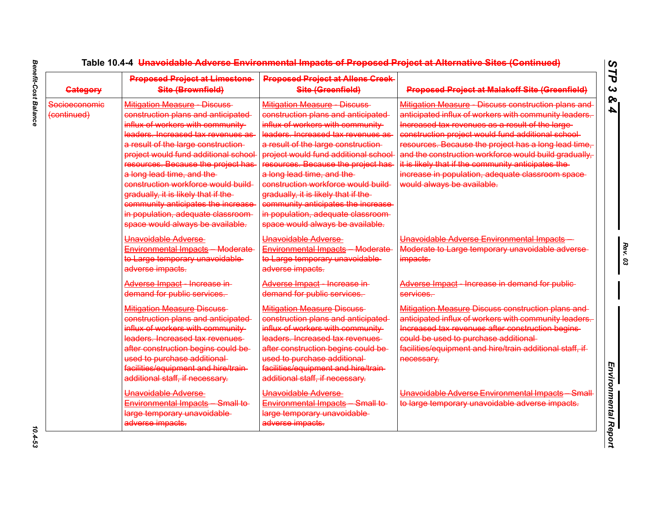| <b>Category</b>              | <b>Proposed Project at Limestone</b><br>Site (Brownfield)                                                                                                                                                                                                                                                                                                                                                                                                                                    | <b>Proposed Project at Allens Creek-</b><br>Site (Greenfield)                                                                                                                                                                                                                                                                                                                                                                                                                                       | <b>Proposed Project at Malakoff Site (Greenfield)</b>                                                                                                                                                                                                                                                                                                                                                                                                                             |
|------------------------------|----------------------------------------------------------------------------------------------------------------------------------------------------------------------------------------------------------------------------------------------------------------------------------------------------------------------------------------------------------------------------------------------------------------------------------------------------------------------------------------------|-----------------------------------------------------------------------------------------------------------------------------------------------------------------------------------------------------------------------------------------------------------------------------------------------------------------------------------------------------------------------------------------------------------------------------------------------------------------------------------------------------|-----------------------------------------------------------------------------------------------------------------------------------------------------------------------------------------------------------------------------------------------------------------------------------------------------------------------------------------------------------------------------------------------------------------------------------------------------------------------------------|
| Socioeconomic<br>(continued) | Mitigation Measure Discuss<br>construction plans and anticipated<br>influx of workers with community-<br>leaders. Increased tax revenues as<br>a result of the large construction-<br>project would fund additional school<br>resources. Because the project has<br>a long lead time, and the<br>construction workforce would build-<br>gradually, it is likely that if the-<br>community anticipates the increase<br>in population, adequate classroom-<br>space would always be available. | <b>Mitigation Measure Discuss</b><br>construction plans and anticipated<br>influx of workers with community-<br>leaders. Increased tax revenues as<br>a result of the large construction-<br>project would fund additional school<br>resources. Because the project has<br>a long lead time, and the<br>construction workforce would build<br>gradually, it is likely that if the-<br>community anticipates the increase-<br>in population, adequate classroom-<br>space would always be available. | Mitigation Measure - Discuss construction plans and<br>anticipated influx of workers with community leaders.<br>Increased tax revenues as a result of the large-<br>construction project would fund additional school-<br>resources. Because the project has a long lead time,<br>and the construction workforce would build gradually.<br>it is likely that if the community anticipates the-<br>increase in population, adequate classroom space-<br>would always be available. |
|                              | Unavoidable Adverse<br>Environmental Impacts Moderate<br>to Large temporary unavoidable-<br>adverse impacts.                                                                                                                                                                                                                                                                                                                                                                                 | Unavoidable Adverse<br>Environmental Impacts Moderate<br>to Large temporary unavoidable-<br>adverse impacts.                                                                                                                                                                                                                                                                                                                                                                                        | Unavoidable Adverse Environmental Impacts<br>Moderate to Large temporary unavoidable adverse-<br>impacts.                                                                                                                                                                                                                                                                                                                                                                         |
|                              | Adverse Impact - Increase in-<br>demand for public services.                                                                                                                                                                                                                                                                                                                                                                                                                                 | Adverse Impact - Increase in-<br>demand for public services.                                                                                                                                                                                                                                                                                                                                                                                                                                        | Adverse Impact - Increase in demand for public-<br>services.                                                                                                                                                                                                                                                                                                                                                                                                                      |
|                              | <b>Mitigation Measure Discuss</b><br>construction plans and anticipated<br>influx of workers with community-<br>leaders. Increased tax revenues<br>after construction begins could be-<br>used to purchase additional-<br>facilities/equipment and hire/train-<br>additional staff, if necessary.                                                                                                                                                                                            | <b>Mitigation Measure Discuss</b><br>construction plans and anticipated-<br>influx of workers with community-<br>leaders. Increased tax revenues<br>after construction begins could be-<br>used to purchase additional-<br>facilities/equipment and hire/train-<br>additional staff, if necessary.                                                                                                                                                                                                  | Mitigation Measure Discuss construction plans and-<br>anticipated influx of workers with community leaders.<br>Increased tax revenues after construction begins-<br>could be used to purchase additional-<br>facilities/equipment and hire/train additional staff, if-<br>necessary.                                                                                                                                                                                              |
|                              | Unavoidable Adverse<br>Environmental Impacts Small to<br>large temporary unavoidable-<br>adverse impacts.                                                                                                                                                                                                                                                                                                                                                                                    | Unavoidable Adverse<br>Environmental Impacts Small to<br>large temporary unavoidable<br>adverse impacts.                                                                                                                                                                                                                                                                                                                                                                                            | Unavoidable Adverse Environmental Impacts Small<br>to large temporary unavoidable adverse impacts.                                                                                                                                                                                                                                                                                                                                                                                |

 $10.4 - 53$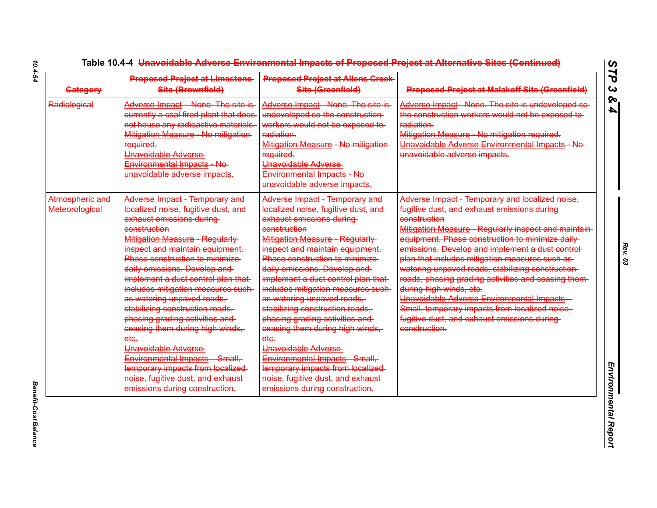| <b>Gategory</b>                          | <b>Proposed Project at Limestone-</b><br>Site (Brownfield)                                                                                                                                                                                                                                                                                                                                                                                                                                                                                                                                                                                                    | <b>Proposed Project at Allens Creek-</b><br>Site (Greenfield)                                                                                                                                                                                                                                                                                                                                                                                                                                                                                                                                                                                               | <b>Proposed Project at Malakoff Site (Greenfield)</b>                                                                                                                                                                                                                                                                                                                                                                                                                                                                                                                                                                                     |
|------------------------------------------|---------------------------------------------------------------------------------------------------------------------------------------------------------------------------------------------------------------------------------------------------------------------------------------------------------------------------------------------------------------------------------------------------------------------------------------------------------------------------------------------------------------------------------------------------------------------------------------------------------------------------------------------------------------|-------------------------------------------------------------------------------------------------------------------------------------------------------------------------------------------------------------------------------------------------------------------------------------------------------------------------------------------------------------------------------------------------------------------------------------------------------------------------------------------------------------------------------------------------------------------------------------------------------------------------------------------------------------|-------------------------------------------------------------------------------------------------------------------------------------------------------------------------------------------------------------------------------------------------------------------------------------------------------------------------------------------------------------------------------------------------------------------------------------------------------------------------------------------------------------------------------------------------------------------------------------------------------------------------------------------|
| Radiological                             | Adverse Impact None. The site is-<br>currently a coal fired plant that does<br>not house any radioactive materials.<br>Mitigation Measure No mitigation<br>required.<br>Unavoidable Adverse<br>Environmental Impacts No<br>unavoidable adverse impacts.                                                                                                                                                                                                                                                                                                                                                                                                       | Adverse Impact None. The site is<br>undeveloped so the construction-<br>workers would not be exposed to-<br>radiation.<br>Mitigation Measure - No mitigation-<br>required.<br>Unavoidable Adverse<br>Environmental Impacts No<br>unavoidable adverse impacts.                                                                                                                                                                                                                                                                                                                                                                                               | Adverse Impact None. The site is undeveloped so-<br>the construction workers would not be exposed to-<br>radiation.<br>Mitigation Measure - No mitigation required.<br>Unavoidable Adverse Environmental Impacts No<br>unavoidable adverse impacts.                                                                                                                                                                                                                                                                                                                                                                                       |
| Atmospheric and<br><b>Meteorological</b> | Adverse Impact Temporary and<br>localized noise, fugitive dust, and<br>exhaust emissions during<br>construction<br><b>Mitigation Measure - Regularly-</b><br>inspect and maintain equipment.<br>Phase construction to minimize<br>daily emissions. Develop and-<br>implement a dust control plan that-<br>includes mitigation measures such-<br>as watering unpaved roads,<br>stabilizing construction roads,<br>phasing grading activities and<br>ceasing them during high winds,<br>ete.<br>Unavoidable Adverse<br>Environmental Impacts Small,<br>temporary impacts from localized<br>noise, fugitive dust, and exhaust-<br>emissions during construction. | <b>Adverse Impact</b> Temporary and<br>localized noise, fugitive dust, and<br>exhaust emissions during<br>construction<br>Mitigation Measure Regularly<br>inspect and maintain equipment.<br>Phase construction to minimize<br>daily emissions. Develop and-<br>implement a dust control plan that-<br>includes mitigation measures such-<br>as watering unpaved roads,<br>stabilizing construction roads,<br>phasing grading activities and<br>ceasing them during high winds,<br>ete.<br>Unavoidable Adverse<br>Environmental Impacts Small,<br>temporary impacts from localized-<br>noise, fugitive dust, and exhaust-<br>emissions during construction. | Adverse Impact - Temporary and localized noise,<br>fugitive dust, and exhaust emissions during-<br>construction<br>Mitigation Measure - Regularly inspect and maintain-<br>equipment. Phase construction to minimize daily<br>emissions. Develop and implement a dust control-<br>plan that includes mitigation measures such as-<br>watering unpaved roads, stabilizing construction-<br>roads, phasing grading activities and ceasing them-<br>during high winds, etc.<br>Unavoidable Adverse Environmental Impacts-<br>Small, temporary impacts from localized noise,<br>fugitive dust, and exhaust emissions during-<br>construction. |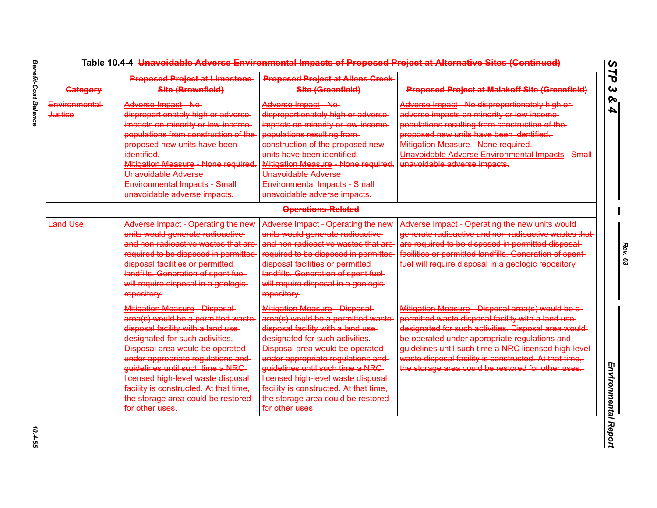| <b>Category</b>                 | <b>Proposed Project at Limestone-</b><br>Site (Brownfield)                                                                                                                                                                                                                                                                                                                                                  | <b>Proposed Project at Allens Creek-</b><br>Site (Greenfield)                                                                                                                                                                                                                                                                                                                                         | <b>Proposed Project at Malakoff Site (Greenfield)</b>                                                                                                                                                                                                                                                                                                                                     |
|---------------------------------|-------------------------------------------------------------------------------------------------------------------------------------------------------------------------------------------------------------------------------------------------------------------------------------------------------------------------------------------------------------------------------------------------------------|-------------------------------------------------------------------------------------------------------------------------------------------------------------------------------------------------------------------------------------------------------------------------------------------------------------------------------------------------------------------------------------------------------|-------------------------------------------------------------------------------------------------------------------------------------------------------------------------------------------------------------------------------------------------------------------------------------------------------------------------------------------------------------------------------------------|
| Environmental<br><b>Justice</b> | Adverse Impact No<br>disproportionately high or adverse-<br>impacts on minority or low income-<br>populations from construction of the<br>proposed new units have been-<br>identified.<br>Mitigation Measure - None required.<br>Unavoidable Adverse<br>Environmental Impacts Small<br>unavoidable adverse impacts.                                                                                         | Adverse Impact No<br>disproportionately high or adverse-<br>impacts on minority or low income-<br>populations resulting from-<br>construction of the proposed new-<br>units have been identified.<br>Mitigation Measure None required.<br>Unavoidable Adverse<br>Environmental Impacts Small<br>unavoidable adverse impacts.                                                                          | Adverse Impact - No disproportionately high or-<br>adverse impacts on minority or low income-<br>populations resulting from construction of the-<br>proposed new units have been identified.<br>Mitigation Measure None required.<br>Unavoidable Adverse Environmental Impacts Small<br>unavoidable adverse impacts.                                                                      |
|                                 |                                                                                                                                                                                                                                                                                                                                                                                                             | <b>Operations-Related</b>                                                                                                                                                                                                                                                                                                                                                                             |                                                                                                                                                                                                                                                                                                                                                                                           |
| <b>Land Use</b>                 | Adverse Impact - Operating the new<br>units would generate radioactive<br>and non-radioactive wastes that are<br>required to be disposed in permitted<br>disposal facilities or permitted<br>landfills. Generation of spent fuel-<br>will require disposal in a geologie-<br>repository.                                                                                                                    | <b>Adverse Impact - Operating the new</b><br>units would generate radioactive<br>and non-radioactive wastes that are<br>required to be disposed in permitted<br>disposal facilities or permitted<br>landfills. Generation of spent fuel-<br>will require disposal in a geologie-<br>repository.                                                                                                       | Adverse Impact - Operating the new units would-<br>generate radioactive and non-radioactive wastes that<br>are required to be disposed in permitted disposal<br>facilities or permitted landfills. Generation of spent-<br>fuel will require disposal in a geologic repository.                                                                                                           |
|                                 | <b>Mitigation Measure - Disposal-</b><br>area(s) would be a permitted waste<br>disposal facility with a land use-<br>designated for such activities.<br>Disposal area would be operated<br>under appropriate regulations and<br>guidelines until such time a NRC-<br>licensed high level waste disposal-<br>facility is constructed. At that time,<br>the storage area could be restored<br>for other uses. | Mitigation Measure - Disposal-<br>area(s) would be a permitted waste<br>disposal facility with a land use-<br>designated for such activities.<br>Disposal area would be operated<br>under appropriate regulations and<br>guidelines until such time a NRC-<br>licensed high level waste disposal-<br>facility is constructed. At that time,<br>the storage area could be restored-<br>for other uses. | Mitigation Measure - Disposal area(s) would be a-<br>permitted waste disposal facility with a land use-<br>designated for such activities. Disposal area would-<br>be operated under appropriate regulations and-<br>guidelines until such time a NRC licensed high level-<br>waste disposal facility is constructed. At that time,<br>the storage area could be restored for other uses. |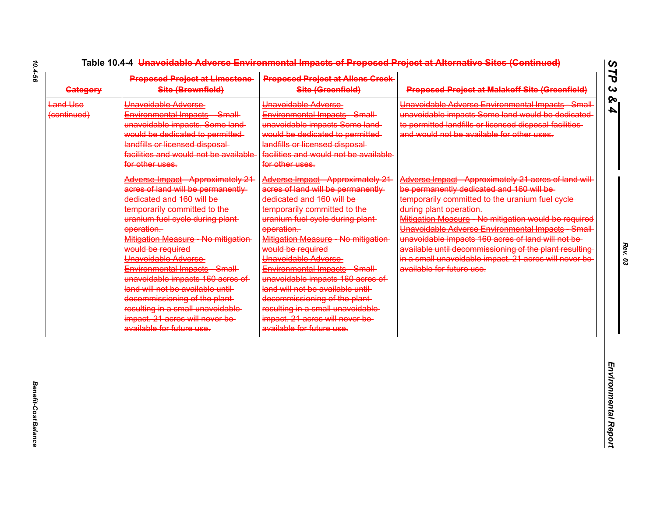| <b>Gategory</b>                | <b>Proposed Project at Limestone-</b><br>Site (Brownfield)                                                                                                                                                                                                                                                                                                                                                                                                                                                                   | <b>Proposed Project at Allens Creek-</b><br>Site (Greenfield)                                                                                                                                                                                                                                                                                                                                                                                                                                                        | <b>Proposed Project at Malakoff Site (Greenfield)</b>                                                                                                                                                                                                                                                                                                                                                                                                                                              |
|--------------------------------|------------------------------------------------------------------------------------------------------------------------------------------------------------------------------------------------------------------------------------------------------------------------------------------------------------------------------------------------------------------------------------------------------------------------------------------------------------------------------------------------------------------------------|----------------------------------------------------------------------------------------------------------------------------------------------------------------------------------------------------------------------------------------------------------------------------------------------------------------------------------------------------------------------------------------------------------------------------------------------------------------------------------------------------------------------|----------------------------------------------------------------------------------------------------------------------------------------------------------------------------------------------------------------------------------------------------------------------------------------------------------------------------------------------------------------------------------------------------------------------------------------------------------------------------------------------------|
| <b>Land Use</b><br>(continued) | Unavoidable Adverse<br>Environmental Impacts Small<br>unavoidable impacts. Some land-<br>would be dedicated to permitted-<br>landfills or licensed disposal-<br>facilities and would not be available<br>for other uses.                                                                                                                                                                                                                                                                                                     | Unavoidable Adverse<br>Environmental Impacts Small<br>unavoidable impacts Some land-<br>would be dedicated to permitted<br>landfills or licensed disposal-<br>facilities and would not be available<br>for other uses.                                                                                                                                                                                                                                                                                               | Unavoidable Adverse Environmental Impacts Small<br>unavoidable impacts Some land would be dedicated<br>to permitted landfills or licensed disposal facilities<br>and would not be available for other uses.                                                                                                                                                                                                                                                                                        |
|                                | <b>Adverse Impact - Approximately 21</b><br>acres of land will be permanently-<br>dedicated and 160 will be<br>temporarily committed to the-<br>uranium fuel cycle during plant-<br>operation.<br>Mitigation Measure No mitigation-<br>would be required<br>Unavoidable Adverse<br>Environmental Impacts Small<br>unavoidable impacts 160 acres of<br>land will not be available until-<br>decommissioning of the plant-<br>resulting in a small unavoidable<br>impact. 21 acres will never be-<br>available for future use. | Adverse Impact - Approximately 21<br>acres of land will be permanently<br>dedicated and 160 will be<br>temporarily committed to the-<br>uranium fuel cycle during plant-<br>operation.<br>Mitigation Measure No mitigation-<br>would be required<br>Unavoidable Adverse<br>Environmental Impacts Small<br>unavoidable impacts 160 acres of<br>land will not be available until-<br>decommissioning of the plant-<br>resulting in a small unavoidable<br>impact. 21 acres will never be-<br>available for future use. | Adverse Impact - Approximately 21 acres of land will<br>be permanently dedicated and 160 will be-<br>temporarily committed to the uranium fuel cycle-<br>during plant operation.<br>Mitigation Measure - No mitigation would be required<br>Unavoidable Adverse Environmental Impacts Small<br>unavoidable impacts 160 acres of land will not be-<br>available until decommissioning of the plant resulting-<br>in a small unavoidable impact. 21 acres will never be<br>available for future use. |
|                                |                                                                                                                                                                                                                                                                                                                                                                                                                                                                                                                              |                                                                                                                                                                                                                                                                                                                                                                                                                                                                                                                      |                                                                                                                                                                                                                                                                                                                                                                                                                                                                                                    |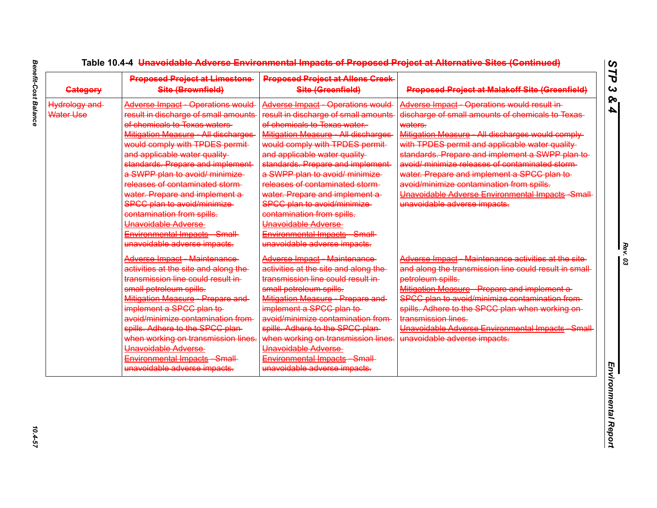| <b>Gategory</b>            | <b>Proposed Project at Limestone-</b><br>Site (Brownfield)                                                                                                                                                                                                                                                                                                                                                                                                                                                                           | <b>Proposed Project at Allens Creek-</b><br>Site (Greenfield)                                                                                                                                                                                                                                                                                                                                                                                                                                                                        | <b>Proposed Project at Malakoff Site (Greenfield)</b>                                                                                                                                                                                                                                                                                                                                                                                                                                                       |
|----------------------------|--------------------------------------------------------------------------------------------------------------------------------------------------------------------------------------------------------------------------------------------------------------------------------------------------------------------------------------------------------------------------------------------------------------------------------------------------------------------------------------------------------------------------------------|--------------------------------------------------------------------------------------------------------------------------------------------------------------------------------------------------------------------------------------------------------------------------------------------------------------------------------------------------------------------------------------------------------------------------------------------------------------------------------------------------------------------------------------|-------------------------------------------------------------------------------------------------------------------------------------------------------------------------------------------------------------------------------------------------------------------------------------------------------------------------------------------------------------------------------------------------------------------------------------------------------------------------------------------------------------|
| Hydrology and<br>Water Use | <b>Adverse Impact - Operations would</b><br>result in discharge of small amounts-<br>of chemicals to Texas waters<br>Mitigation Measure - All discharges<br>would comply with TPDES permit-<br>and applicable water quality-<br>standards. Prepare and implement<br>a SWPP plan to avoid/ minimize-<br>releases of contaminated storm-<br>water. Prepare and implement a-<br><b>SPCC plan to avoid/minimize-</b><br>contamination from spills.<br>Unavoidable Adverse<br>Environmental Impacts Small<br>unavoidable adverse impacts. | <b>Adverse Impact - Operations would</b><br>result in discharge of small amounts-<br>of chemicals to Texas water.<br>Mitigation Measure - All discharges<br>would comply with TPDES permit-<br>and applicable water quality-<br>standards. Prepare and implement<br>a SWPP plan to avoid/ minimize-<br>releases of contaminated storm-<br>water. Prepare and implement a-<br><b>SPCC plan to avoid/minimize-</b><br>contamination from spills.<br>Unavoidable Adverse<br>Environmental Impacts Small<br>unavoidable adverse impacts. | Adverse Impact - Operations would result in-<br>discharge of small amounts of chemicals to Texas-<br>waters.<br>Mitigation Measure - All discharges would comply-<br>with TPDES permit and applicable water quality-<br>standards. Prepare and implement a SWPP plan to-<br>avoid/ minimize releases of contaminated storm-<br>water. Prepare and implement a SPCC plan to-<br>avoid/minimize contamination from spills.<br>Unavoidable Adverse Environmental Impacts Small<br>unavoidable adverse impacts. |
|                            | <b>Adverse Impact Maintenance</b><br>activities at the site and along the<br>transmission line could result in-<br>small petroleum spills.<br>Mitigation Measure - Prepare and-<br>implement a SPCC plan to-<br>avoid/minimize contamination from-<br>spills. Adhere to the SPCC plan-<br>when working on transmission lines.<br>Unavoidable Adverse<br>Environmental Impacts Small<br>unavoidable adverse impacts.                                                                                                                  | Adverse Impact Maintenance<br>activities at the site and along the<br>transmission line could result in-<br>small petroleum spills.<br>Mitigation Measure Prepare and<br>implement a SPCC plan to-<br>avoid/minimize contamination from-<br>spills. Adhere to the SPCC plan-<br>when working on transmission lines.<br>Unavoidable Adverse<br>Environmental Impacts Small<br>unavoidable adverse impacts.                                                                                                                            | Adverse Impact - Maintenance activities at the site-<br>and along the transmission line could result in small-<br>petroleum spills.<br>Mitigation Measure - Prepare and implement a-<br>SPCC plan to avoid/minimize contamination from-<br>spills. Adhere to the SPCC plan when working on-<br>transmission lines.<br>Unavoidable Adverse Environmental Impacts Small<br>unavoidable adverse impacts.                                                                                                       |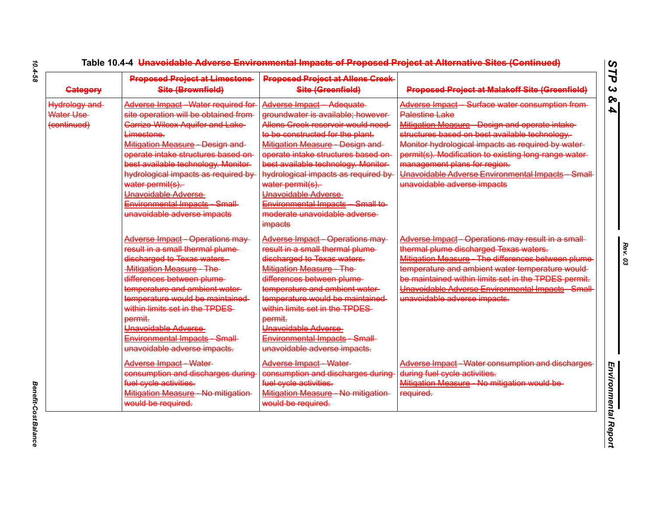| <b>Gategory</b>                           | <b>Proposed Project at Limestone-</b><br>Site (Brownfield)                                                                                                                                                                                                                                                                                                                                            | <b>Proposed Project at Allens Creek-</b><br>Site (Greenfield)                                                                                                                                                                                                                                                                                                                                                          | <b>Proposed Project at Malakoff Site (Greenfield)</b>                                                                                                                                                                                                                                                                                                                                                       |
|-------------------------------------------|-------------------------------------------------------------------------------------------------------------------------------------------------------------------------------------------------------------------------------------------------------------------------------------------------------------------------------------------------------------------------------------------------------|------------------------------------------------------------------------------------------------------------------------------------------------------------------------------------------------------------------------------------------------------------------------------------------------------------------------------------------------------------------------------------------------------------------------|-------------------------------------------------------------------------------------------------------------------------------------------------------------------------------------------------------------------------------------------------------------------------------------------------------------------------------------------------------------------------------------------------------------|
| Hydrology and<br>Water Use<br>(continued) | Adverse Impact Water required for<br>site operation will be obtained from-<br><b>Carrizo Wilcox Aquifer and Lake-</b><br>Limestone.<br>Mitigation Measure - Design and-<br>operate intake structures based on-<br>best available technology. Monitor-<br>hydrological impacts as required by<br>water permit(s).<br>Unavoidable Adverse<br>Environmental Impacts Small<br>unavoidable adverse impacts | Adverse Impact Adequate<br>groundwater is available; however-<br>Allens Creek reservoir would need-<br>to be constructed for the plant.<br>Mitigation Measure Design and<br>operate intake structures based on-<br>best available technology. Monitor-<br>hydrological impacts as required by<br>water permit(s).<br>Unavoidable Adverse<br>Environmental Impacts Small to<br>moderate unavoidable adverse-<br>impacts | Adverse Impact - Surface water consumption from-<br>Palestine Lake<br>Mitigation Measure - Design and operate intake-<br>structures based on best available technology.<br>Monitor hydrological impacts as required by water-<br>permit(s). Modification to existing long range water-<br>management plans for region.<br>Unavoidable Adverse Environmental Impacts - Small-<br>unavoidable adverse impacts |
|                                           | Adverse Impact - Operations may-<br>result in a small thermal plume-<br>discharged to Texas waters.<br><b>Mitigation Measure The</b><br>differences between plume-<br>temperature and ambient water-<br>temperature would be maintained-<br>within limits set in the TPDES<br>permit.<br>Unavoidable Adverse<br>Environmental Impacts Small<br>unavoidable adverse impacts.                           | <b>Adverse Impact - Operations may-</b><br>result in a small thermal plume-<br>discharged to Texas waters.<br>Mitigation Measure The<br>differences between plume-<br>temperature and ambient water-<br>temperature would be maintained-<br>within limits set in the TPDES<br>permit.<br>Unavoidable Adverse<br>Environmental Impacts Small<br>unavoidable adverse impacts.                                            | Adverse Impact - Operations may result in a small-<br>thermal plume discharged Texas waters.<br>Mitigation Measure The differences between plume<br>temperature and ambient water temperature would-<br>be maintained within limits set in the TPDES permit.<br>Unavoidable Adverse Environmental Impacts Small<br>unavoidable adverse impacts.                                                             |
|                                           | Adverse Impact Water<br>consumption and discharges during<br>fuel cycle activities.<br>Mitigation Measure No mitigation-<br>would be required.                                                                                                                                                                                                                                                        | Adverse Impact Water<br>consumption and discharges during<br>fuel cycle activities.<br>Mitigation Measure No mitigation<br>would be required.                                                                                                                                                                                                                                                                          | Adverse Impact Water consumption and discharges<br>during fuel cycle activities.<br>Mitigation Measure - No mitigation would be-<br>required.                                                                                                                                                                                                                                                               |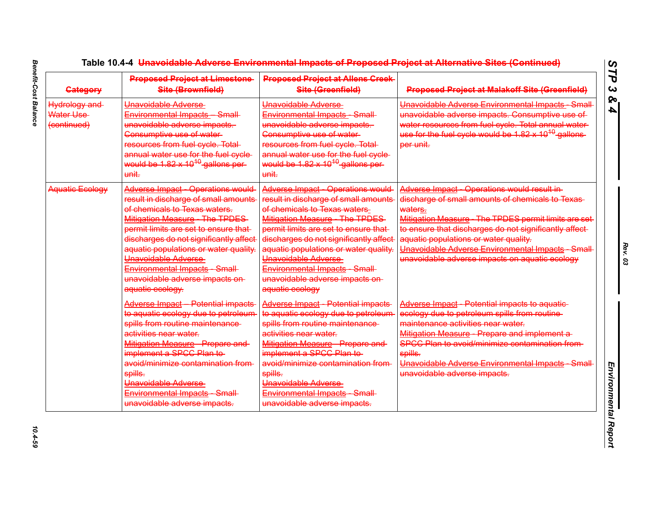| <b>Gategory</b>                           | <b>Proposed Project at Limestone-</b><br>Site (Brownfield)                                                                                                                                                                                                                                                                                                                                    | <b>Proposed Project at Allens Creek-</b><br>Site (Greenfield)                                                                                                                                                                                                                                                                                                                               | <b>Proposed Project at Malakoff Site (Greenfield)</b>                                                                                                                                                                                                                                                                                                                         |
|-------------------------------------------|-----------------------------------------------------------------------------------------------------------------------------------------------------------------------------------------------------------------------------------------------------------------------------------------------------------------------------------------------------------------------------------------------|---------------------------------------------------------------------------------------------------------------------------------------------------------------------------------------------------------------------------------------------------------------------------------------------------------------------------------------------------------------------------------------------|-------------------------------------------------------------------------------------------------------------------------------------------------------------------------------------------------------------------------------------------------------------------------------------------------------------------------------------------------------------------------------|
| Hydrology and<br>Water Use<br>(continued) | Unavoidable Adverse<br>Environmental Impacts Small<br>unavoidable adverse impacts.<br>Consumptive use of water-<br>resources from fuel cycle. Total-<br>annual water use for the fuel evele-<br>would be $1.82 \times 10^{10}$ gallons per-<br>unit.                                                                                                                                          | Unavoidable Adverse-<br>Environmental Impacts Small<br>unavoidable adverse impacts.<br>Consumptive use of water-<br>resources from fuel cycle. Total<br>annual water use for the fuel evele-<br>would be $1.82 \times 10^{10}$ gallons per<br>unit.                                                                                                                                         | Unavoidable Adverse Environmental Impacts Small<br>unavoidable adverse impacts. Consumptive use of<br>water resources from fuel cycle. Total annual water<br>use for the fuel cycle would be 1.82 x 10 <sup>10</sup> gallons-<br>per unit.                                                                                                                                    |
| Aquatic Ecology                           | <b>Adverse Impact - Operations would</b><br>result in discharge of small amounts<br>of chemicals to Texas waters.<br>Mitigation Measure - The TPDES-<br>permit limits are set to ensure that-<br>discharges do not significantly affect<br>aquatic populations or water quality.<br>Unavoidable Adverse<br>Environmental Impacts Small<br>unavoidable adverse impacts on-<br>aquatic ecology. | Adverse Impact - Operations would<br>result in discharge of small amounts<br>of chemicals to Texas waters-<br><b>Mitigation Measure - The TPDES</b><br>permit limits are set to ensure that-<br>discharges do not significantly affect<br>aquatic populations or water quality.<br>Unavoidable Adverse<br>Environmental Impacts Small<br>unavoidable adverse impacts on-<br>aquatic ecology | Adverse Impact - Operations would result in-<br>discharge of small amounts of chemicals to Texas-<br>waters.<br>Mitigation Measure - The TPDES permit limits are set-<br>to ensure that discharges do not significantly affect-<br>aquatic populations or water quality.<br>Unavoidable Adverse Environmental Impacts Small<br>unavoidable adverse impacts on aquatic ecology |
|                                           | <b>Adverse Impact - Potential impacts</b><br>to aquatic ecology due to petroleum<br>spills from routine maintenance<br>activities near water.<br>Mitigation Measure Prepare and<br>implement a SPCC Plan to-<br>avoid/minimize contamination from-<br>spills.<br>Unavoidable Adverse<br>Environmental Impacts Small<br>unavoidable adverse impacts.                                           | Adverse Impact - Potential impacts<br>to aquatic ecology due to petroleum<br>spills from routine maintenance<br>activities near water.<br>Mitigation Measure Prepare and<br>implement a SPCC Plan to-<br>avoid/minimize contamination from<br>spills.<br>Unavoidable Adverse<br>Environmental Impacts Small<br>unavoidable adverse impacts.                                                 | <b>Adverse Impact - Potential impacts to aquatic-</b><br>ecology due to petroleum spills from routine-<br>maintenance activities near water.<br>Mitigation Measure - Prepare and implement a-<br>SPCC Plan to avoid/minimize contamination from-<br>spills.<br>Unavoidable Adverse Environmental Impacts Small<br>unavoidable adverse impacts.                                |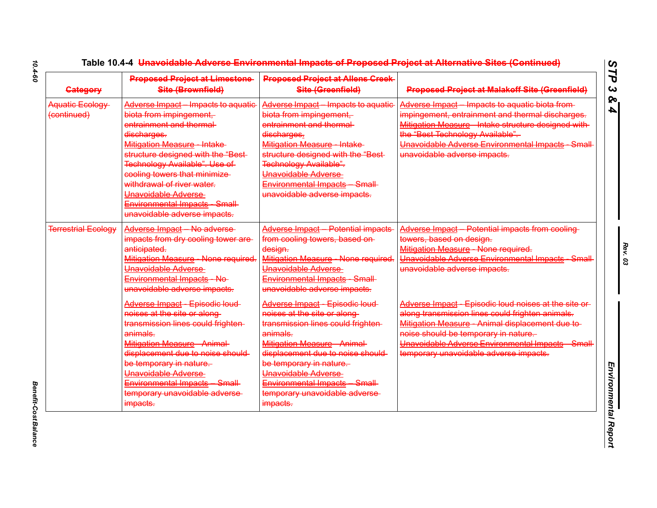| <b>Gategory</b>                | <b>Proposed Project at Limestone</b><br>Site (Brownfield)                                                                                                                                                                                                                                                                                                         | <b>Proposed Project at Allens Creek-</b><br>Site (Greenfield)                                                                                                                                                                                                                                                       | <b>Proposed Project at Malakoff Site (Greenfield)</b>                                                                                                                                                                                                                                            |
|--------------------------------|-------------------------------------------------------------------------------------------------------------------------------------------------------------------------------------------------------------------------------------------------------------------------------------------------------------------------------------------------------------------|---------------------------------------------------------------------------------------------------------------------------------------------------------------------------------------------------------------------------------------------------------------------------------------------------------------------|--------------------------------------------------------------------------------------------------------------------------------------------------------------------------------------------------------------------------------------------------------------------------------------------------|
| Aquatic Ecology<br>(continued) | Adverse Impact - Impacts to aquatic<br>biota from impingement,<br>entrainment and thermal-<br>discharges.<br>Mitigation Measure Intake<br>structure designed with the "Best-<br>Technology Available". Use of<br>cooling towers that minimize<br>withdrawal of river water.<br>Unavoidable Adverse<br>Environmental Impacts Small<br>unavoidable adverse impacts. | Adverse Impact - Impacts to aquatic<br>biota from impingement,<br>entrainment and thermal-<br>discharges.<br>Mitigation Measure Intake<br>structure designed with the "Best-<br>Technology Available".<br>Unavoidable Adverse<br>Environmental Impacts Small<br>unavoidable adverse impacts.                        | Adverse Impact - Impacts to aquatic biota from-<br>impingement, entrainment and thermal discharges.<br>Mitigation Measure - Intake structure designed with-<br>the "Best Technology Available".<br>Unavoidable Adverse Environmental Impacts Small<br>unavoidable adverse impacts.               |
| <b>Terrestrial Ecology</b>     | Adverse Impact No adverse<br>impacts from dry cooling tower are-<br>anticipated.<br>Mitigation Measure - None required.<br>Unavoidable Adverse<br>Environmental Impacts No<br>unavoidable adverse impacts.                                                                                                                                                        | <b>Adverse Impact - Potential impacts</b><br>from cooling towers, based on-<br>design.<br>Mitigation Measure - None required.<br>Unavoidable Adverse<br>Environmental Impacts Small<br>unavoidable adverse impacts.                                                                                                 | Adverse Impact Potential impacts from cooling<br>towers, based on design.<br>Mitigation Measure None required.<br>Unavoidable Adverse Environmental Impacts Small<br>unavoidable adverse impacts.                                                                                                |
|                                | Adverse Impact Episodic loud-<br>noises at the site or along-<br>transmission lines could frighten-<br>animals.<br>Mitigation Measure - Animal-<br>displacement due to noise should-<br>be temporary in nature.<br>Unavoidable Adverse<br>Environmental Impacts Small<br>temporary unavoidable adverse-<br>impacts.                                               | Adverse Impact Episodic loud-<br>noises at the site or along-<br>transmission lines could frighten-<br>animals.<br>Mitigation Measure - Animal-<br>displacement due to noise should-<br>be temporary in nature.<br>Unavoidable Adverse<br>Environmental Impacts Small<br>temporary unavoidable adverse-<br>impacts. | Adverse Impact - Episodic loud noises at the site or-<br>along transmission lines could frighten animals.<br>Mitigation Measure Animal displacement due to-<br>noise should be temporary in nature.<br>Unavoidable Adverse Environmental Impacts Small<br>temporary unavoidable adverse impacts. |

**Benefit-Cost Balance** *Benefit-Cost Balance*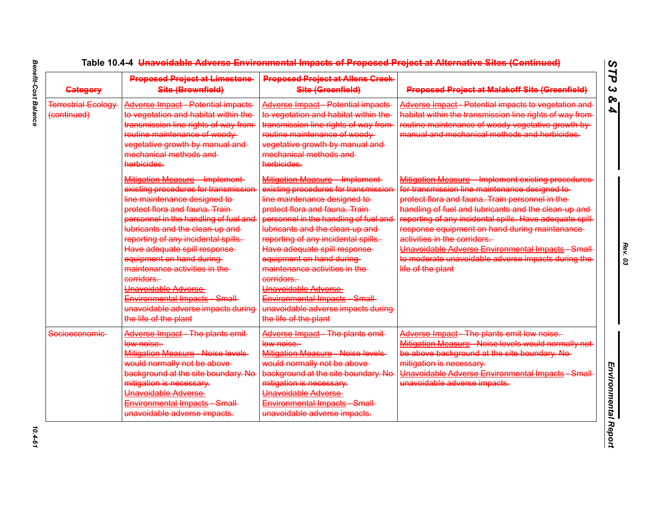| <b>Gategory</b>                           | <b>Proposed Project at Limestone</b><br>Site (Brownfield)                                                                                                                                                                                                                                                                                                                                                                                                                                             | <b>Proposed Project at Allens Creek-</b><br>Site (Greenfield)                                                                                                                                                                                                                                                                                                                                                                                                                                                      | <b>Proposed Project at Malakoff Site (Greenfield)</b>                                                                                                                                                                                                                                                                                                                                                                                                                                       |
|-------------------------------------------|-------------------------------------------------------------------------------------------------------------------------------------------------------------------------------------------------------------------------------------------------------------------------------------------------------------------------------------------------------------------------------------------------------------------------------------------------------------------------------------------------------|--------------------------------------------------------------------------------------------------------------------------------------------------------------------------------------------------------------------------------------------------------------------------------------------------------------------------------------------------------------------------------------------------------------------------------------------------------------------------------------------------------------------|---------------------------------------------------------------------------------------------------------------------------------------------------------------------------------------------------------------------------------------------------------------------------------------------------------------------------------------------------------------------------------------------------------------------------------------------------------------------------------------------|
| <b>Terrestrial Ecology</b><br>(continued) | <b>Adverse Impact - Potential impacts-</b><br>to vegetation and habitat within the<br>transmission line rights of way from-<br>routine maintenance of woody-<br>vegetative growth by manual and<br>mechanical methods and<br>herbicides.                                                                                                                                                                                                                                                              | Adverse Impact - Potential impacts-<br>to vegetation and habitat within the<br>transmission line rights of way from-<br>routine maintenance of woody-<br>vegetative growth by manual and<br>mechanical methods and<br>herbicides.                                                                                                                                                                                                                                                                                  | Adverse Impact - Potential impacts to vegetation and<br>habitat within the transmission line rights of way from<br>routine maintenance of woody vegetative growth by-<br>manual and mechanical methods and herbicides.                                                                                                                                                                                                                                                                      |
|                                           | Mitigation Measure - Implement-<br>existing procedures for transmission<br>line maintenance designed to-<br>protect flora and fauna. Train-<br>personnel in the handling of fuel and<br>lubricants and the clean up and<br>reporting of any incidental spills.<br>Have adequate spill response<br>equipment on hand during<br>maintenance activities in the<br>corridors.<br>Unavoidable Adverse<br><b>Environmental Impacts Small</b><br>unavoidable adverse impacts during<br>the life of the plant | Mitigation Measure - Implement-<br>existing procedures for transmission<br>line maintenance designed to-<br>protect flora and fauna. Train-<br>personnel in the handling of fuel and<br>lubricants and the clean up and<br>reporting of any incidental spills.<br>Have adequate spill response<br>equipment on hand during<br>maintenance activities in the-<br>corridors.<br>Unavoidable Adverse<br><del>Environm<u>ental</u> Impacts</del> Small-<br>unavoidable adverse impacts during<br>the life of the plant | Mitigation Measure - Implement existing procedures<br>for transmission line maintenance designed to-<br>protect flora and fauna. Train personnel in the-<br>handling of fuel and lubricants and the clean up and<br>reporting of any incidental spills. Have adequate spill<br>response equipment on hand during maintenance-<br>activities in the corridors.<br>Unavoidable Adverse Environmental Impacts Small<br>to moderate unavoidable adverse impacts during the<br>life of the plant |
| Socioeconomic-                            | Adverse Impact - The plants emit-<br>low noise.<br>Mitigation Measure Noise levels<br>would normally not be above-<br>background at the site boundary. No<br>mitigation is necessary.<br>Unavoidable Adverse<br><b>Environmental Impacts - Small-</b><br>unavoidable adverse impacts.                                                                                                                                                                                                                 | Adverse Impact - The plants emit-<br>low noise.<br><b>Mitigation Measure - Noise levels-</b><br>would normally not be above-<br>background at the site boundary. No<br>mitigation is necessary.<br>Unavoidable Adverse<br><b>Environmental Impacts Small</b><br>unavoidable adverse impacts.                                                                                                                                                                                                                       | Adverse Impact - The plants emit low noise.<br>Mitigation Measure Noise levels would normally not<br>be above background at the site boundary. No-<br>mitigation is necessary.<br>Unavoidable Adverse Environmental Impacts Small<br>unavoidable adverse impacts.                                                                                                                                                                                                                           |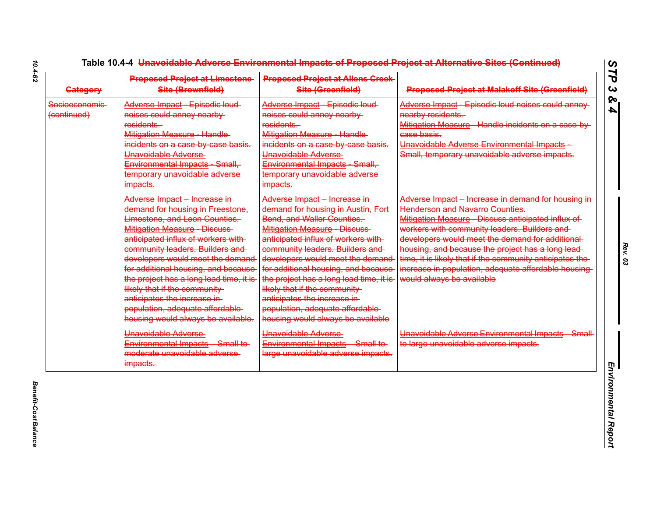| <b>Gategory</b>               | <b>Proposed Project at Limestone-</b><br>Site (Brownfield)                                                                                                                                                                                                                                                                                                                                                                                                                           | <b>Proposed Project at Allens Creek-</b><br>Site (Greenfield)                                                                                                                                                                                                                                                                                                                                                                                                                              | <b>Proposed Project at Malakoff Site (Greenfield)</b>                                                                                                                                                                                                                                                                                                                                                                                                       |
|-------------------------------|--------------------------------------------------------------------------------------------------------------------------------------------------------------------------------------------------------------------------------------------------------------------------------------------------------------------------------------------------------------------------------------------------------------------------------------------------------------------------------------|--------------------------------------------------------------------------------------------------------------------------------------------------------------------------------------------------------------------------------------------------------------------------------------------------------------------------------------------------------------------------------------------------------------------------------------------------------------------------------------------|-------------------------------------------------------------------------------------------------------------------------------------------------------------------------------------------------------------------------------------------------------------------------------------------------------------------------------------------------------------------------------------------------------------------------------------------------------------|
| Socioeconomic-<br>(continued) | Adverse Impact Episodic loud-<br>noises could annoy nearby<br>residents.<br><b>Mitigation Measure - Handle</b><br>incidents on a case by case basis.<br>Unavoidable Adverse<br>Environmental Impacts Small,<br>temporary unavoidable adverse-<br>impacts.                                                                                                                                                                                                                            | Adverse Impact Episodic loud-<br>noises could annoy nearby-<br>residents.<br>Mitigation Measure Handle<br>incidents on a case by case basis.<br>Unavoidable Adverse<br>Environmental Impacts Small,<br>temporary unavoidable adverse-<br>impacts.                                                                                                                                                                                                                                          | Adverse Impact Episodic loud noises could annoy<br>nearby residents.<br>Mitigation Measure - Handle incidents on a case-by-<br>case basis.<br>Unavoidable Adverse Environmental Impacts<br>Small, temporary unavoidable adverse impacts.                                                                                                                                                                                                                    |
|                               | Adverse Impact - Increase in-<br>demand for housing in Freestone,<br>Limestone, and Leon Counties.<br><b>Mitigation Measure - Discuss-</b><br>anticipated influx of workers with-<br>community leaders. Builders and<br>developers would meet the demand<br>for additional housing, and because<br>the project has a long lead time, it is<br>likely that if the community<br>anticipates the increase in-<br>population, adequate affordable-<br>housing would always be available. | Adverse Impact Increase in-<br>demand for housing in Austin, Fort-<br><b>Bend, and Waller Counties.</b><br><b>Mitigation Measure - Discuss-</b><br>anticipated influx of workers with-<br>community leaders. Builders and<br>developers would meet the demand<br>for additional housing, and because<br>the project has a long lead time, it is-<br>likely that if the community-<br>anticipates the increase in-<br>population, adequate affordable-<br>housing would always be available | Adverse Impact - Increase in demand for housing in-<br><b>Henderson and Navarro Counties.</b><br>Mitigation Measure - Discuss anticipated influx of<br>workers with community leaders. Builders and<br>developers would meet the demand for additional<br>housing, and because the project has a long lead-<br>time, it is likely that if the community anticipates the<br>increase in population, adequate affordable housing<br>would always be available |
|                               | Unavoidable Adverse<br>Environmental Impacts Small to<br>moderate unavoidable adverse-<br>impacts.                                                                                                                                                                                                                                                                                                                                                                                   | Unavoidable Adverse<br>Environmental Impacts Small to<br>large unavoidable adverse impacts.                                                                                                                                                                                                                                                                                                                                                                                                | Unavoidable Adverse Environmental Impacts Small<br>to large unavoidable adverse impacts.                                                                                                                                                                                                                                                                                                                                                                    |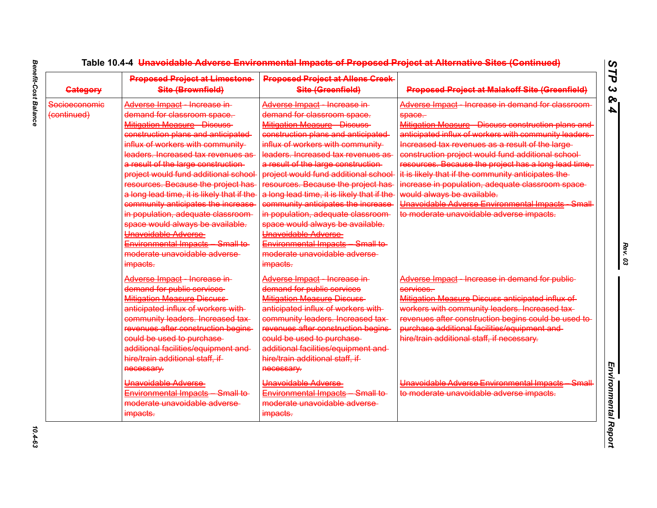| <b>Category</b>              | <b>Proposed Project at Limestone-</b><br>Site (Brownfield)                                                                                                                                                                                                                                                                                                                                                                                                                                                                                                                                                | <b>Proposed Project at Allens Creek-</b><br>Site (Greenfield)                                                                                                                                                                                                                                                                                                                                                                                                                                                                                                                                             | <b>Proposed Project at Malakoff Site (Greenfield)</b>                                                                                                                                                                                                                                                                                                                                                                                                                                                                                                                                  |
|------------------------------|-----------------------------------------------------------------------------------------------------------------------------------------------------------------------------------------------------------------------------------------------------------------------------------------------------------------------------------------------------------------------------------------------------------------------------------------------------------------------------------------------------------------------------------------------------------------------------------------------------------|-----------------------------------------------------------------------------------------------------------------------------------------------------------------------------------------------------------------------------------------------------------------------------------------------------------------------------------------------------------------------------------------------------------------------------------------------------------------------------------------------------------------------------------------------------------------------------------------------------------|----------------------------------------------------------------------------------------------------------------------------------------------------------------------------------------------------------------------------------------------------------------------------------------------------------------------------------------------------------------------------------------------------------------------------------------------------------------------------------------------------------------------------------------------------------------------------------------|
| Socioeconomic<br>(continued) | Adverse Impact Increase in<br>demand for classroom space.<br><b>Mitigation Measure Discuss</b><br>construction plans and anticipated<br>influx of workers with community-<br>leaders. Increased tax revenues as<br>a result of the large construction-<br>project would fund additional school-<br>resources. Because the project has-<br>a long lead time, it is likely that if the<br>community anticipates the increase<br>in population, adequate classroom-<br>space would always be available.<br>Unavoidable Adverse<br>Environmental Impacts Small to<br>moderate unavoidable adverse<br>impacts. | Adverse Impact Increase in<br>demand for classroom space.<br><b>Mitigation Measure Discuss</b><br>construction plans and anticipated<br>influx of workers with community-<br>leaders. Increased tax revenues as<br>a result of the large construction-<br>project would fund additional school<br>resources. Because the project has-<br>a long lead time, it is likely that if the<br>community anticipates the increase-<br>in population, adequate classroom-<br>space would always be available.<br>Unavoidable Adverse<br>Environmental Impacts Small to<br>moderate unavoidable adverse<br>impacts. | Adverse Impact - Increase in demand for classroom<br>space.<br>Mitigation Measure - Discuss construction plans and<br>anticipated influx of workers with community leaders.<br>Increased tax revenues as a result of the large-<br>construction project would fund additional school-<br>resources. Because the project has a long lead time,<br>it is likely that if the community anticipates the-<br>increase in population, adequate classroom space-<br>would always be available.<br>Unavoidable Adverse Environmental Impacts Small<br>to moderate unavoidable adverse impacts. |
|                              | Adverse Impact Increase in<br>demand for public services<br><b>Mitigation Measure Discuss</b><br>anticipated influx of workers with-<br>community leaders. Increased tax-<br>revenues after construction begins-<br>could be used to purchase<br>additional facilities/equipment and-<br>hire/train additional staff, if<br>necessary.                                                                                                                                                                                                                                                                    | Adverse Impact Increase in<br>demand for public services<br><b>Mitigation Measure Discuss</b><br>anticipated influx of workers with-<br>community leaders. Increased tax-<br>revenues after construction begins<br>could be used to purchase<br>additional facilities/equipment and-<br>hire/train additional staff, if<br>necessary.                                                                                                                                                                                                                                                                     | Adverse Impact Increase in demand for public<br>services.<br>Mitigation Measure Discuss anticipated influx of<br>workers with community leaders. Increased tax-<br>revenues after construction begins could be used to<br>purchase additional facilities/equipment and-<br>hire/train additional staff, if necessary.                                                                                                                                                                                                                                                                  |
|                              | Unavoidable Adverse<br>Environmental Impacts Small to<br>moderate unavoidable adverse<br>impacts.                                                                                                                                                                                                                                                                                                                                                                                                                                                                                                         | Unavoidable Adverse<br>Environmental Impacts Small to<br>moderate unavoidable adverse<br>impacts.                                                                                                                                                                                                                                                                                                                                                                                                                                                                                                         | Unavoidable Adverse Environmental Impacts Small<br>to moderate unavoidable adverse impacts.                                                                                                                                                                                                                                                                                                                                                                                                                                                                                            |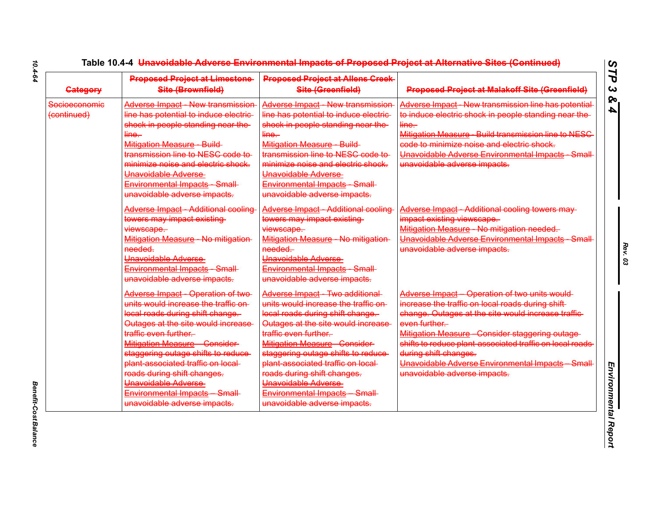| <b>Gategory</b>              | <b>Proposed Project at Limestone</b><br>Site (Brownfield)                                                                                                                                                                                                                                                                                                                                                     | <b>Proposed Project at Allens Creek-</b><br>Site (Greenfield)                                                                                                                                                                                                                                                                                                                                             | <b>Proposed Project at Malakoff Site (Greenfield)</b>                                                                                                                                                                                                                                                                                                                                                |
|------------------------------|---------------------------------------------------------------------------------------------------------------------------------------------------------------------------------------------------------------------------------------------------------------------------------------------------------------------------------------------------------------------------------------------------------------|-----------------------------------------------------------------------------------------------------------------------------------------------------------------------------------------------------------------------------------------------------------------------------------------------------------------------------------------------------------------------------------------------------------|------------------------------------------------------------------------------------------------------------------------------------------------------------------------------------------------------------------------------------------------------------------------------------------------------------------------------------------------------------------------------------------------------|
| Socioeconomic<br>(continued) | Adverse Impact New transmission<br>line has potential to induce electric-<br>shock in people standing near the<br>$\lim_{ }e-$<br>Mitigation Measure Build<br>transmission line to NESC code to<br>minimize noise and electric shock.<br>Unavoidable Adverse<br>Environmental Impacts Small<br>unavoidable adverse impacts.                                                                                   | Adverse Impact New transmission<br>line has potential to induce electric-<br>shock in people standing near the-<br>$\frac{line.}{ }$<br>Mitigation Measure Build<br>transmission line to NESC code to-<br>minimize noise and electric shock.<br>Unavoidable Adverse<br>Environmental Impacts Small<br>unavoidable adverse impacts.                                                                        | Adverse Impact New transmission line has potential<br>to induce electric shock in people standing near the<br>line.<br>Mitigation Measure Build transmission line to NESC<br>code to minimize noise and electric shock.<br>Unavoidable Adverse Environmental Impacts Small<br>unavoidable adverse impacts.                                                                                           |
|                              | Adverse Impact Additional cooling<br>towers may impact existing<br>viewscape.<br>Mitigation Measure No mitigation<br>needed.<br>Unavoidable Adverse<br>Environmental Impacts Small<br>unavoidable adverse impacts.                                                                                                                                                                                            | Adverse Impact Additional cooling<br>towers may impact existing<br>viewscape.<br>Mitigation Measure - No mitigation<br>needed.<br>Unavoidable Adverse<br>Environmental Impacts Small<br>unavoidable adverse impacts.                                                                                                                                                                                      | Adverse Impact - Additional cooling towers may-<br>impact existing viewscape.<br>Mitigation Measure No mitigation needed.<br>Unavoidable Adverse Environmental Impacts Small<br>unavoidable adverse impacts.                                                                                                                                                                                         |
|                              | Adverse Impact - Operation of two<br>units would increase the traffic on-<br>local roads during shift change.<br>Outages at the site would increase<br>traffic even further.<br>Mitigation Measure Consider<br>staggering outage shifts to reduce-<br>plant associated traffic on local-<br>roads during shift changes.<br>Unavoidable Adverse<br>Environmental Impacts Small<br>unavoidable adverse impacts. | Adverse Impact Two additional<br>units would increase the traffic on-<br>local roads during shift change.<br>Outages at the site would increase<br>traffic even further.<br>Mitigation Measure Consider<br>staggering outage shifts to reduce-<br>plant associated traffic on local-<br>roads during shift changes.<br>Unavoidable Adverse<br>Environmental Impacts Small<br>unavoidable adverse impacts. | Adverse Impact - Operation of two units would-<br>increase the traffic on local roads during shift-<br>change. Outages at the site would increase traffic-<br>even further.<br>Mitigation Measure Consider staggering outage<br>shifts to reduce plant associated traffic on local roads<br>during shift changes.<br>Unavoidable Adverse Environmental Impacts Small<br>unavoidable adverse impacts. |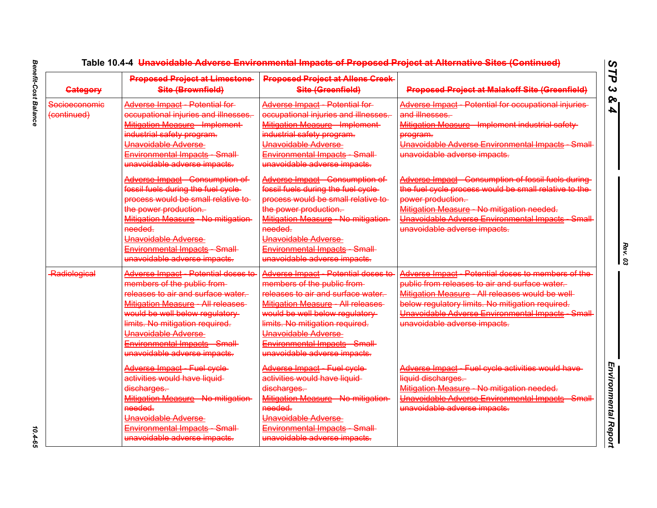| <b>Category</b>              | <b>Proposed Project at Limestone</b><br>Site (Brownfield)                                                                                                                                                                                                                                            | <b>Proposed Project at Allens Creek-</b><br>Site (Greenfield)                                                                                                                                                                                                                                          | <b>Proposed Project at Malakoff Site (Greenfield)</b>                                                                                                                                                                                                                                         |
|------------------------------|------------------------------------------------------------------------------------------------------------------------------------------------------------------------------------------------------------------------------------------------------------------------------------------------------|--------------------------------------------------------------------------------------------------------------------------------------------------------------------------------------------------------------------------------------------------------------------------------------------------------|-----------------------------------------------------------------------------------------------------------------------------------------------------------------------------------------------------------------------------------------------------------------------------------------------|
| Socioeconomic<br>(continued) | Adverse Impact Potential for<br>occupational injuries and illnesses.<br>Mitigation Measure Implement<br>industrial safety program.<br>Unavoidable Adverse-<br>Environmental Impacts Small<br>unavoidable adverse impacts.                                                                            | Adverse Impact Potential for<br>occupational injuries and illnesses.<br><b>Mitigation Measure Implement</b><br>industrial safety program.<br>Unavoidable Adverse<br>Environmental Impacts Small<br>unavoidable adverse impacts.                                                                        | Adverse Impact - Potential for occupational injuries-<br>and illnesses.<br>Mitigation Measure Implement industrial safety<br>program.<br>Unavoidable Adverse Environmental Impacts Small<br>unavoidable adverse impacts.                                                                      |
|                              | Adverse Impact Consumption of<br>fossil fuels during the fuel cycle-<br>process would be small relative to<br>the power production.<br>Mitigation Measure No mitigation-<br>needed.<br>Unavoidable Adverse<br>Environmental Impacts Small<br>unavoidable adverse impacts.                            | Adverse Impact Consumption of<br>fossil fuels during the fuel cycle-<br>process would be small relative to<br>the power production.<br>Mitigation Measure No mitigation-<br>needed.<br>Unavoidable Adverse<br>Environmental Impacts Small<br>unavoidable adverse impacts.                              | Adverse Impact - Consumption of fossil fuels during-<br>the fuel cycle process would be small relative to the<br>power production.<br>Mitigation Measure - No mitigation needed.<br>Unavoidable Adverse Environmental Impacts Small<br>unavoidable adverse impacts.                           |
| Radiological                 | Adverse Impact Potential doses to<br>members of the public from-<br>releases to air and surface water.<br>Mitigation Measure All releases<br>would be well below regulatory<br>limits. No mitigation required.<br>Unavoidable Adverse<br>Environmental Impacts Small<br>unavoidable adverse impacts. | Adverse Impact Potential doses to<br>members of the public from-<br>releases to air and surface water.<br>Mitigation Measure - All releases<br>would be well below regulatory<br>limits. No mitigation required.<br>Unavoidable Adverse<br>Environmental Impacts Small<br>unavoidable adverse impacts. | Adverse Impact - Potential doses to members of the<br>public from releases to air and surface water.<br>Mitigation Measure All releases would be well-<br>below regulatory limits. No mitigation required.<br>Unavoidable Adverse Environmental Impacts Small<br>unavoidable adverse impacts. |
|                              | Adverse Impact Fuel cycle<br>activities would have liquid-<br>discharges.<br>Mitigation Measure No mitigation-<br>needed.<br>Unavoidable Adverse<br>Environmental Impacts Small<br>unavoidable adverse impacts.                                                                                      | Adverse Impact Fuel cycle<br>activities would have liquid-<br>discharges.<br>Mitigation Measure - No mitigation-<br>needed.<br>Unavoidable Adverse<br>Environmental Impacts Small<br>unavoidable adverse impacts.                                                                                      | Adverse Impact - Fuel cycle activities would have-<br>liquid discharges.<br>Mitigation Measure - No mitigation needed.<br>Unavoidable Adverse Environmental Impacts Small<br>unavoidable adverse impacts.                                                                                     |

 $10.4 - 65$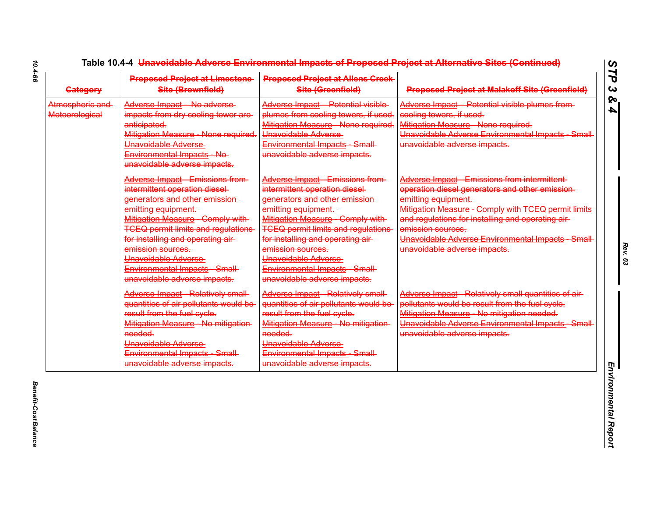| <b>Gategory</b>                          | <b>Proposed Project at Limestone</b><br>Site (Brownfield)                                                                                                                                                                                                                                                                                                | <b>Proposed Project at Allens Creek</b><br>Site (Greenfield)                                                                                                                                                                                                                                                                                                       | <b>Proposed Project at Malakoff Site (Greenfield)</b>                                                                                                                                                                                                                                                                                     |
|------------------------------------------|----------------------------------------------------------------------------------------------------------------------------------------------------------------------------------------------------------------------------------------------------------------------------------------------------------------------------------------------------------|--------------------------------------------------------------------------------------------------------------------------------------------------------------------------------------------------------------------------------------------------------------------------------------------------------------------------------------------------------------------|-------------------------------------------------------------------------------------------------------------------------------------------------------------------------------------------------------------------------------------------------------------------------------------------------------------------------------------------|
| Atmospheric and<br><b>Meteorological</b> | Adverse Impact No adverse<br>impacts from dry cooling tower are<br>anticipated.<br>Mitigation Measure - None required.<br>Unavoidable Adverse-<br>Environmental Impacts No<br>unavoidable adverse impacts.                                                                                                                                               | Adverse Impact Potential visible<br>plumes from cooling towers, if used.<br>Mitigation Measure None required.<br>Unavoidable Adverse<br><b>Environmental Impacts Small</b><br>unavoidable adverse impacts.                                                                                                                                                         | Adverse Impact Potential visible plumes from-<br>cooling towers, if used.<br>Mitigation Measure None required.<br>Unavoidable Adverse Environmental Impacts Small<br>unavoidable adverse impacts.                                                                                                                                         |
|                                          | Adverse Impact Emissions from-<br>intermittent operation diesel-<br>generators and other emission-<br>emitting equipment.<br>Mitigation Measure Comply with<br><b>TCEQ permit limits and regulations</b><br>for installing and operating air-<br>emission sources.<br>Unavoidable Adverse<br>Environmental Impacts Small<br>unavoidable adverse impacts. | <b>Adverse Impact - Emissions from-</b><br>intermittent operation diesel-<br>generators and other emission-<br>emitting equipment.<br>Mitigation Measure Comply with<br><b>TCEQ permit limits and regulations-</b><br>for installing and operating air-<br>emission sources.<br>Unavoidable Adverse<br>Environmental Impacts Small<br>unavoidable adverse impacts. | Adverse Impact Emissions from intermittent<br>operation diesel generators and other emission-<br>emitting equipment.<br>Mitigation Measure - Comply with TCEQ permit limits-<br>and regulations for installing and operating air-<br>emission sources.<br>Unavoidable Adverse Environmental Impacts Small<br>unavoidable adverse impacts. |
|                                          | Adverse Impact - Relatively small-<br>quantities of air pollutants would be<br>result from the fuel cycle.<br>Mitigation Measure - No mitigation<br>needed.<br>Unavoidable Adverse<br>Environmental Impacts Small<br>unavoidable adverse impacts.                                                                                                        | <b>Adverse Impact - Relatively small-</b><br>quantities of air pollutants would be<br>result from the fuel cycle.<br>Mitigation Measure - No mitigation-<br>needed.<br>Unavoidable Adverse<br>Environmental Impacts Small<br>unavoidable adverse impacts.                                                                                                          | Adverse Impact - Relatively small quantities of air-<br>pollutants would be result from the fuel cycle.<br>Mitigation Measure - No mitigation needed.<br>Unavoidable Adverse Environmental Impacts Small<br>unavoidable adverse impacts.                                                                                                  |